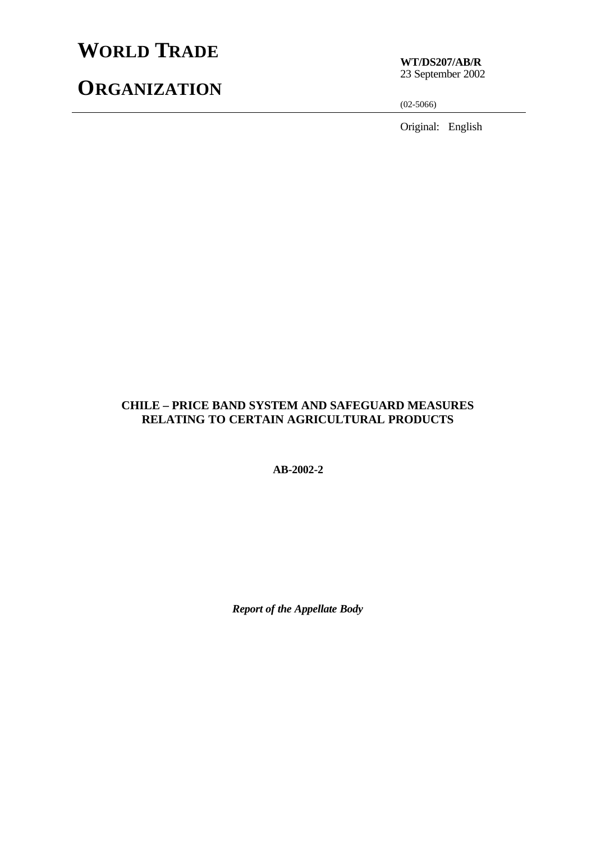# **WORLD TRADE**

**ORGANIZATION**

**WT/DS207/AB/R** 23 September 2002

(02-5066)

Original: English

# **CHILE – PRICE BAND SYSTEM AND SAFEGUARD MEASURES RELATING TO CERTAIN AGRICULTURAL PRODUCTS**

**AB-2002-2**

*Report of the Appellate Body*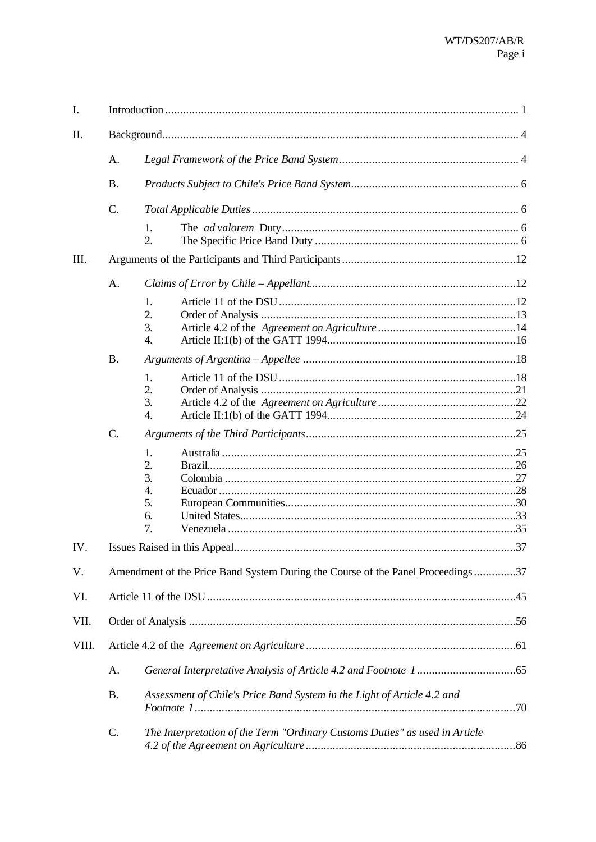| $\mathbf{I}$ . |                 |                                                                                 |     |  |
|----------------|-----------------|---------------------------------------------------------------------------------|-----|--|
| Π.             |                 |                                                                                 |     |  |
|                | A.              |                                                                                 |     |  |
|                | <b>B.</b>       |                                                                                 |     |  |
|                | C.              |                                                                                 |     |  |
|                |                 | 1.<br>2.                                                                        |     |  |
| III.           |                 |                                                                                 |     |  |
|                | A.              |                                                                                 |     |  |
|                |                 | 1.<br>2.<br>3.<br>4.                                                            |     |  |
|                | <b>B.</b>       |                                                                                 |     |  |
|                |                 | 1.<br>2.<br>3.<br>4.                                                            |     |  |
|                | C.              |                                                                                 |     |  |
|                |                 | 1.<br>2.<br>3.<br>4.<br>5.<br>6.<br>7.                                          |     |  |
| IV.            |                 |                                                                                 | .37 |  |
| V.             |                 | Amendment of the Price Band System During the Course of the Panel Proceedings37 |     |  |
| VI.            |                 |                                                                                 |     |  |
| VII.           |                 |                                                                                 |     |  |
| VIII.          |                 |                                                                                 |     |  |
|                | A.              |                                                                                 |     |  |
|                | <b>B.</b>       | Assessment of Chile's Price Band System in the Light of Article 4.2 and         |     |  |
|                | $\mathcal{C}$ . | The Interpretation of the Term "Ordinary Customs Duties" as used in Article     |     |  |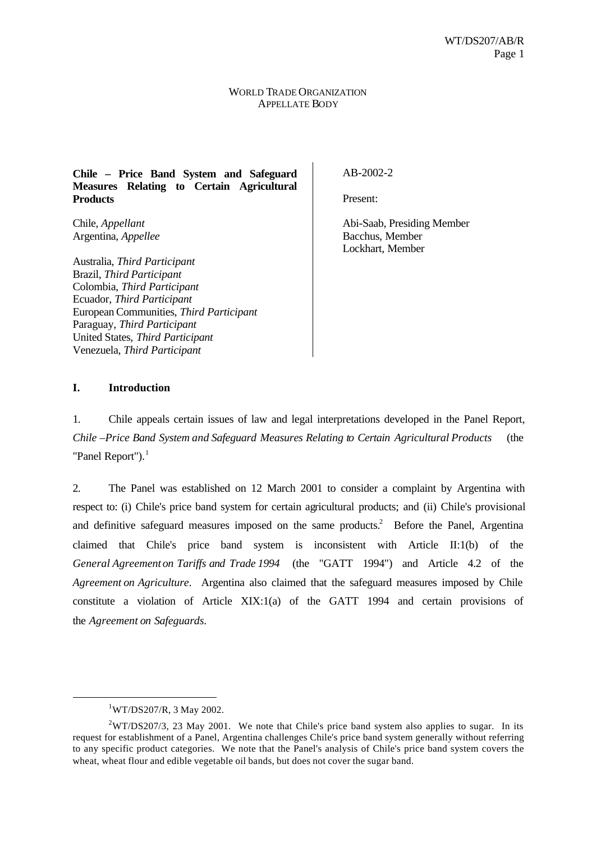#### WORLD TRADE ORGANIZATION APPELLATE BODY

#### **Chile – Price Band System and Safeguard Measures Relating to Certain Agricultural Products**

Chile, *Appellant* Argentina, *Appellee*

Australia, *Third Participant* Brazil, *Third Participant* Colombia, *Third Participant* Ecuador, *Third Participant* European Communities, *Third Participant* Paraguay, *Third Participant* United States, *Third Participant* Venezuela, *Third Participant*

AB-2002-2

Present:

Abi-Saab, Presiding Member Bacchus, Member Lockhart, Member

## **I. Introduction**

1. Chile appeals certain issues of law and legal interpretations developed in the Panel Report, *Chile –Price Band System and Safeguard Measures Relating to Certain Agricultural Products* (the "Panel Report"). $<sup>1</sup>$ </sup>

2. The Panel was established on 12 March 2001 to consider a complaint by Argentina with respect to: (i) Chile's price band system for certain agricultural products; and (ii) Chile's provisional and definitive safeguard measures imposed on the same products.<sup>2</sup> Before the Panel, Argentina claimed that Chile's price band system is inconsistent with Article II:1(b) of the *General Agreement on Tariffs and Trade 1994* (the "GATT 1994") and Article 4.2 of the *Agreement on Agriculture*. Argentina also claimed that the safeguard measures imposed by Chile constitute a violation of Article XIX:1(a) of the GATT 1994 and certain provisions of the *Agreement on Safeguards*.

 $1$ WT/DS207/R, 3 May 2002.

 $2WT/DS207/3$ , 23 May 2001. We note that Chile's price band system also applies to sugar. In its request for establishment of a Panel, Argentina challenges Chile's price band system generally without referring to any specific product categories. We note that the Panel's analysis of Chile's price band system covers the wheat, wheat flour and edible vegetable oil bands, but does not cover the sugar band.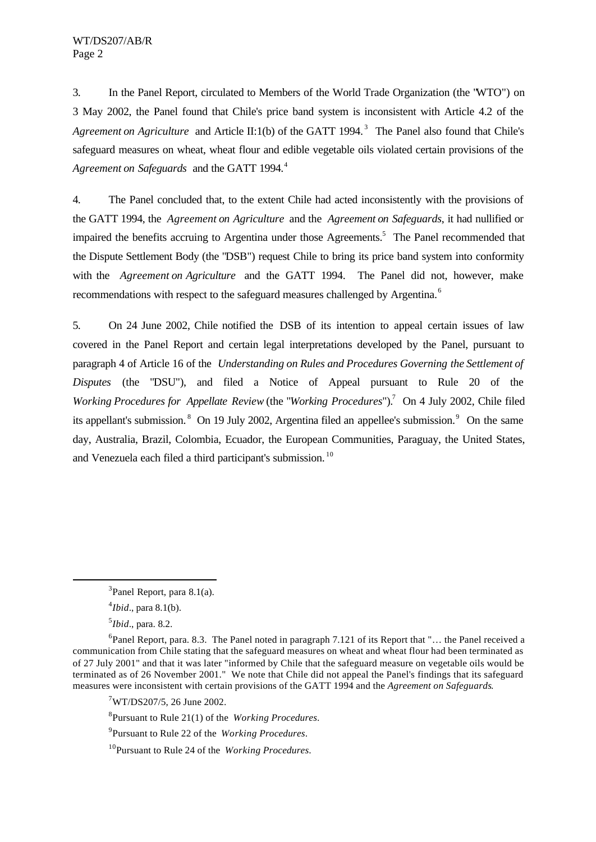3. In the Panel Report, circulated to Members of the World Trade Organization (the "WTO") on 3 May 2002, the Panel found that Chile's price band system is inconsistent with Article 4.2 of the Agreement on Agriculture and Article II:1(b) of the GATT 1994.<sup>3</sup> The Panel also found that Chile's safeguard measures on wheat, wheat flour and edible vegetable oils violated certain provisions of the Agreement on Safeguards and the GATT 1994.<sup>4</sup>

4. The Panel concluded that, to the extent Chile had acted inconsistently with the provisions of the GATT 1994, the *Agreement on Agriculture* and the *Agreement on Safeguards*, it had nullified or impaired the benefits accruing to Argentina under those Agreements.<sup>5</sup> The Panel recommended that the Dispute Settlement Body (the "DSB") request Chile to bring its price band system into conformity with the *Agreement on Agriculture* and the GATT 1994. The Panel did not, however, make recommendations with respect to the safeguard measures challenged by Argentina.<sup>6</sup>

5. On 24 June 2002, Chile notified the DSB of its intention to appeal certain issues of law covered in the Panel Report and certain legal interpretations developed by the Panel, pursuant to paragraph 4 of Article 16 of the *Understanding on Rules and Procedures Governing the Settlement of Disputes* (the "DSU"), and filed a Notice of Appeal pursuant to Rule 20 of the Working Procedures for Appellate Review (the "Working Procedures").<sup>7</sup> On 4 July 2002, Chile filed its appellant's submission.<sup>8</sup> On 19 July 2002, Argentina filed an appellee's submission.<sup>9</sup> On the same day, Australia, Brazil, Colombia, Ecuador, the European Communities, Paraguay, the United States, and Venezuela each filed a third participant's submission. <sup>10</sup>

l

5 *Ibid*., para. 8.2.

 $7$ WT/DS207/5, 26 June 2002.

8 Pursuant to Rule 21(1) of the *Working Procedures*.

9 Pursuant to Rule 22 of the *Working Procedures*.

<sup>10</sup>Pursuant to Rule 24 of the *Working Procedures*.

 $3$ Panel Report, para 8.1(a).

<sup>4</sup> *Ibid*., para 8.1(b).

<sup>&</sup>lt;sup>6</sup>Panel Report, para. 8.3. The Panel noted in paragraph 7.121 of its Report that "... the Panel received a communication from Chile stating that the safeguard measures on wheat and wheat flour had been terminated as of 27 July 2001" and that it was later "informed by Chile that the safeguard measure on vegetable oils would be terminated as of 26 November 2001." We note that Chile did not appeal the Panel's findings that its safeguard measures were inconsistent with certain provisions of the GATT 1994 and the *Agreement on Safeguards*.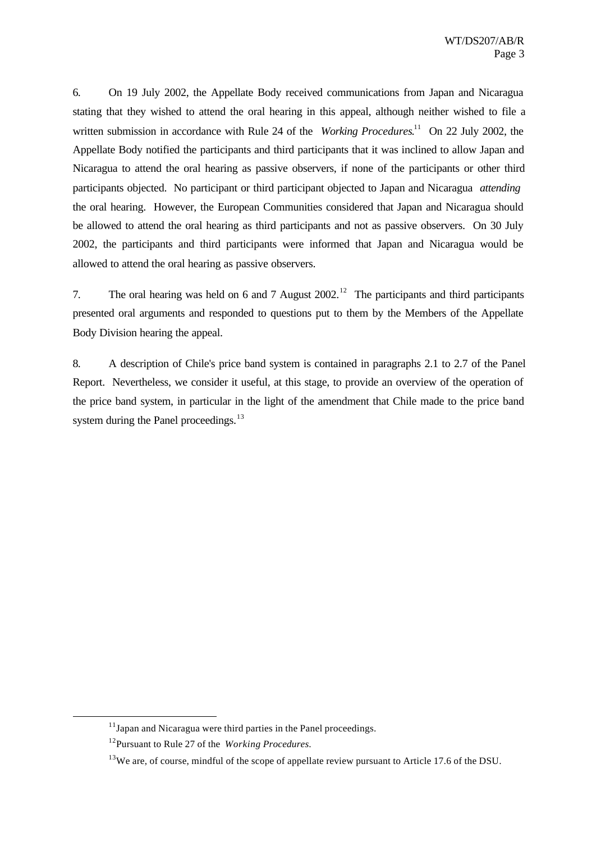6. On 19 July 2002, the Appellate Body received communications from Japan and Nicaragua stating that they wished to attend the oral hearing in this appeal, although neither wished to file a written submission in accordance with Rule 24 of the *Working Procedures*.<sup>11</sup> On 22 July 2002, the Appellate Body notified the participants and third participants that it was inclined to allow Japan and Nicaragua to attend the oral hearing as passive observers, if none of the participants or other third participants objected. No participant or third participant objected to Japan and Nicaragua *attending* the oral hearing. However, the European Communities considered that Japan and Nicaragua should be allowed to attend the oral hearing as third participants and not as passive observers. On 30 July 2002, the participants and third participants were informed that Japan and Nicaragua would be allowed to attend the oral hearing as passive observers.

7. The oral hearing was held on 6 and 7 August 2002.<sup>12</sup> The participants and third participants presented oral arguments and responded to questions put to them by the Members of the Appellate Body Division hearing the appeal.

8. A description of Chile's price band system is contained in paragraphs 2.1 to 2.7 of the Panel Report. Nevertheless, we consider it useful, at this stage, to provide an overview of the operation of the price band system, in particular in the light of the amendment that Chile made to the price band system during the Panel proceedings.<sup>13</sup>

 $11$ Japan and Nicaragua were third parties in the Panel proceedings.

<sup>12</sup>Pursuant to Rule 27 of the *Working Procedures*.

 $13$ We are, of course, mindful of the scope of appellate review pursuant to Article 17.6 of the DSU.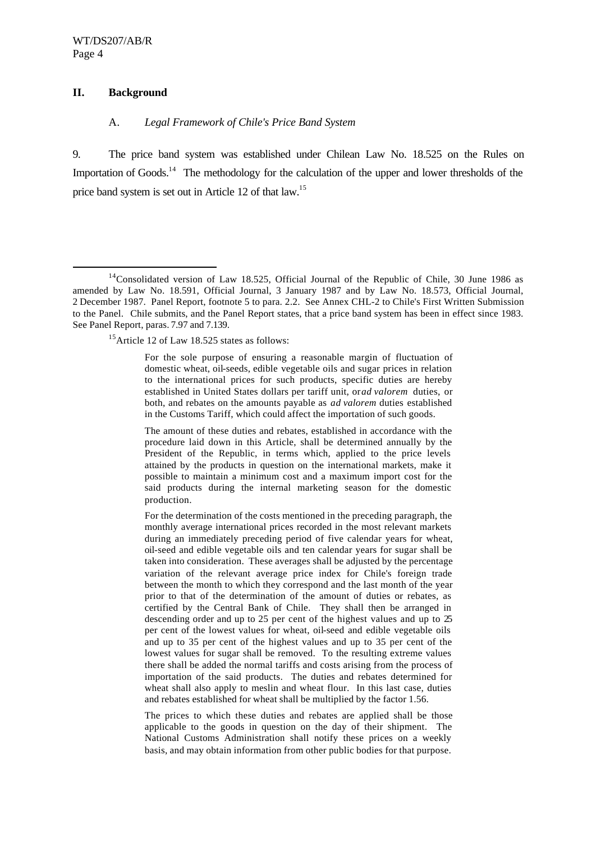## **II. Background**

l

#### A. *Legal Framework of Chile's Price Band System*

9. The price band system was established under Chilean Law No. 18.525 on the Rules on Importation of Goods.<sup>14</sup> The methodology for the calculation of the upper and lower thresholds of the price band system is set out in Article 12 of that law.<sup>15</sup>

<sup>15</sup>Article 12 of Law 18.525 states as follows:

For the sole purpose of ensuring a reasonable margin of fluctuation of domestic wheat, oil-seeds, edible vegetable oils and sugar prices in relation to the international prices for such products, specific duties are hereby established in United States dollars per tariff unit, or*ad valorem* duties, or both, and rebates on the amounts payable as *ad valorem* duties established in the Customs Tariff, which could affect the importation of such goods.

The amount of these duties and rebates, established in accordance with the procedure laid down in this Article, shall be determined annually by the President of the Republic, in terms which, applied to the price levels attained by the products in question on the international markets, make it possible to maintain a minimum cost and a maximum import cost for the said products during the internal marketing season for the domestic production.

For the determination of the costs mentioned in the preceding paragraph, the monthly average international prices recorded in the most relevant markets during an immediately preceding period of five calendar years for wheat, oil-seed and edible vegetable oils and ten calendar years for sugar shall be taken into consideration. These averages shall be adjusted by the percentage variation of the relevant average price index for Chile's foreign trade between the month to which they correspond and the last month of the year prior to that of the determination of the amount of duties or rebates, as certified by the Central Bank of Chile. They shall then be arranged in descending order and up to 25 per cent of the highest values and up to 25 per cent of the lowest values for wheat, oil-seed and edible vegetable oils and up to 35 per cent of the highest values and up to 35 per cent of the lowest values for sugar shall be removed. To the resulting extreme values there shall be added the normal tariffs and costs arising from the process of importation of the said products. The duties and rebates determined for wheat shall also apply to meslin and wheat flour. In this last case, duties and rebates established for wheat shall be multiplied by the factor 1.56.

The prices to which these duties and rebates are applied shall be those applicable to the goods in question on the day of their shipment. The National Customs Administration shall notify these prices on a weekly basis, and may obtain information from other public bodies for that purpose.

 $14$ Consolidated version of Law 18.525, Official Journal of the Republic of Chile, 30 June 1986 as amended by Law No. 18.591, Official Journal, 3 January 1987 and by Law No. 18.573, Official Journal, 2 December 1987. Panel Report, footnote 5 to para. 2.2. See Annex CHL-2 to Chile's First Written Submission to the Panel. Chile submits, and the Panel Report states, that a price band system has been in effect since 1983. See Panel Report, paras. 7.97 and 7.139.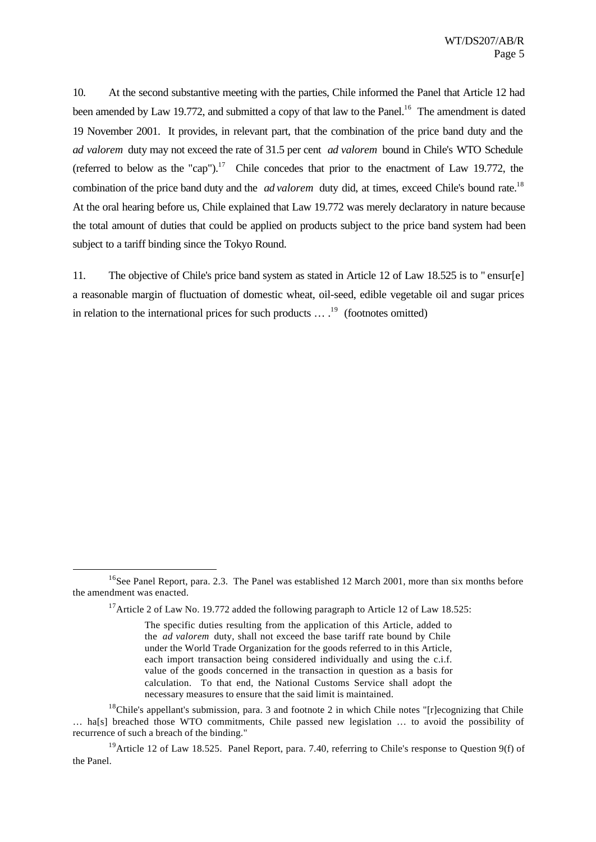10. At the second substantive meeting with the parties, Chile informed the Panel that Article 12 had been amended by Law 19.772, and submitted a copy of that law to the Panel.<sup>16</sup> The amendment is dated 19 November 2001. It provides, in relevant part, that the combination of the price band duty and the *ad valorem* duty may not exceed the rate of 31.5 per cent *ad valorem* bound in Chile's WTO Schedule (referred to below as the "cap").<sup>17</sup> Chile concedes that prior to the enactment of Law 19.772, the combination of the price band duty and the *ad valorem* duty did, at times, exceed Chile's bound rate.<sup>18</sup> At the oral hearing before us, Chile explained that Law 19.772 was merely declaratory in nature because the total amount of duties that could be applied on products subject to the price band system had been subject to a tariff binding since the Tokyo Round.

11. The objective of Chile's price band system as stated in Article 12 of Law 18.525 is to " ensur[e] a reasonable margin of fluctuation of domestic wheat, oil-seed, edible vegetable oil and sugar prices in relation to the international prices for such products  $\dots$ <sup>19</sup> (footnotes omitted)

<sup>&</sup>lt;sup>16</sup>See Panel Report, para. 2.3. The Panel was established 12 March 2001, more than six months before the amendment was enacted.

<sup>&</sup>lt;sup>17</sup>Article 2 of Law No. 19.772 added the following paragraph to Article 12 of Law 18.525:

The specific duties resulting from the application of this Article, added to the *ad valorem* duty, shall not exceed the base tariff rate bound by Chile under the World Trade Organization for the goods referred to in this Article, each import transaction being considered individually and using the c.i.f. value of the goods concerned in the transaction in question as a basis for calculation. To that end, the National Customs Service shall adopt the necessary measures to ensure that the said limit is maintained.

<sup>&</sup>lt;sup>18</sup>Chile's appellant's submission, para. 3 and footnote 2 in which Chile notes "[r]ecognizing that Chile … ha[s] breached those WTO commitments, Chile passed new legislation … to avoid the possibility of recurrence of such a breach of the binding."

<sup>&</sup>lt;sup>19</sup>Article 12 of Law 18.525. Panel Report, para. 7.40, referring to Chile's response to Question 9(f) of the Panel.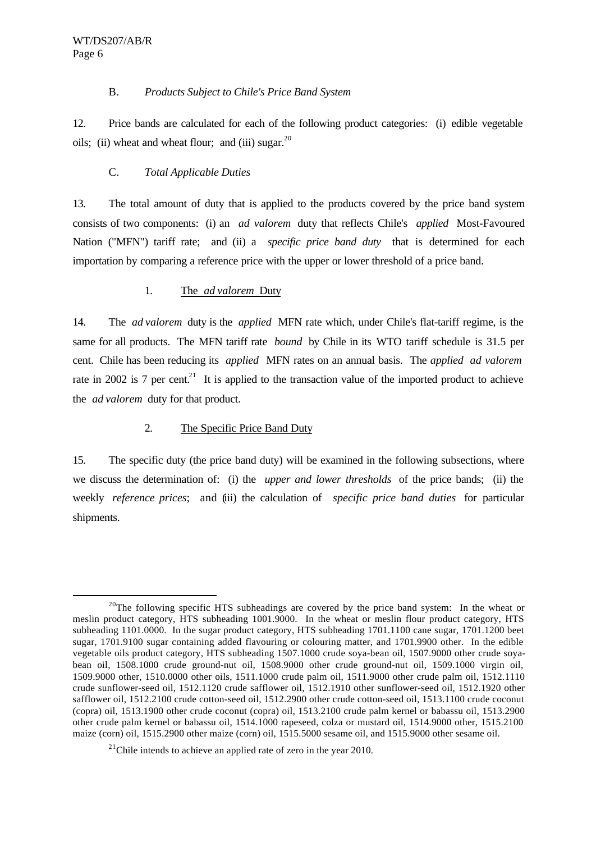l

## B. *Products Subject to Chile's Price Band System*

12. Price bands are calculated for each of the following product categories: (i) edible vegetable oils; (ii) wheat and wheat flour; and (iii) sugar. $^{20}$ 

# C. *Total Applicable Duties*

13. The total amount of duty that is applied to the products covered by the price band system consists of two components: (i) an *ad valorem* duty that reflects Chile's *applied* Most-Favoured Nation ("MFN") tariff rate; and (ii) a *specific price band duty* that is determined for each importation by comparing a reference price with the upper or lower threshold of a price band.

## 1. The *ad valorem* Duty

14. The *ad valorem* duty is the *applied* MFN rate which, under Chile's flat-tariff regime, is the same for all products. The MFN tariff rate *bound* by Chile in its WTO tariff schedule is 31.5 per cent. Chile has been reducing its *applied* MFN rates on an annual basis. The *applied ad valorem* rate in 2002 is 7 per cent.<sup>21</sup> It is applied to the transaction value of the imported product to achieve the *ad valorem* duty for that product.

## 2. The Specific Price Band Duty

15. The specific duty (the price band duty) will be examined in the following subsections, where we discuss the determination of: (i) the *upper and lower thresholds* of the price bands; (ii) the weekly *reference prices*; and (iii) the calculation of *specific price band duties* for particular shipments.

<sup>&</sup>lt;sup>20</sup>The following specific HTS subheadings are covered by the price band system: In the wheat or meslin product category, HTS subheading 1001.9000. In the wheat or meslin flour product category, HTS subheading 1101.0000. In the sugar product category, HTS subheading 1701.1100 cane sugar, 1701.1200 beet sugar, 1701.9100 sugar containing added flavouring or colouring matter, and 1701.9900 other. In the edible vegetable oils product category, HTS subheading 1507.1000 crude soya-bean oil, 1507.9000 other crude soyabean oil, 1508.1000 crude ground-nut oil, 1508.9000 other crude ground-nut oil, 1509.1000 virgin oil, 1509.9000 other, 1510.0000 other oils, 1511.1000 crude palm oil, 1511.9000 other crude palm oil, 1512.1110 crude sunflower-seed oil, 1512.1120 crude safflower oil, 1512.1910 other sunflower-seed oil, 1512.1920 other safflower oil, 1512.2100 crude cotton-seed oil, 1512.2900 other crude cotton-seed oil, 1513.1100 crude coconut (copra) oil, 1513.1900 other crude coconut (copra) oil, 1513.2100 crude palm kernel or babassu oil, 1513.2900 other crude palm kernel or babassu oil, 1514.1000 rapeseed, colza or mustard oil, 1514.9000 other, 1515.2100 maize (corn) oil, 1515.2900 other maize (corn) oil, 1515.5000 sesame oil, and 1515.9000 other sesame oil.

<sup>&</sup>lt;sup>21</sup>Chile intends to achieve an applied rate of zero in the year  $2010$ .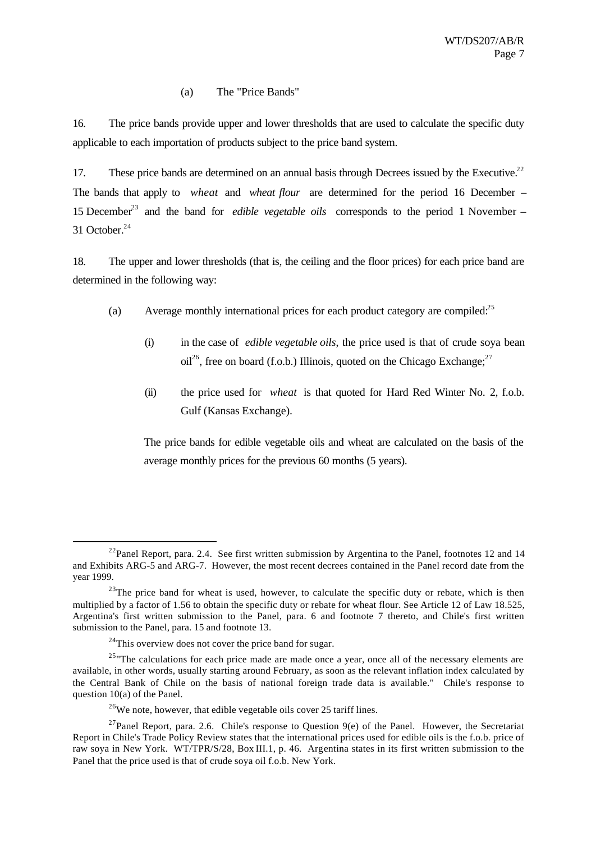(a) The "Price Bands"

16. The price bands provide upper and lower thresholds that are used to calculate the specific duty applicable to each importation of products subject to the price band system.

17. These price bands are determined on an annual basis through Decrees issued by the Executive.<sup>22</sup> The bands that apply to *wheat* and *wheat flour* are determined for the period 16 December – 15 December<sup>23</sup> and the band for *edible vegetable oils* corresponds to the period 1 November – 31 October.<sup>24</sup>

18. The upper and lower thresholds (that is, the ceiling and the floor prices) for each price band are determined in the following way:

- (a) Average monthly international prices for each product category are compiled:<sup>25</sup>
	- (i) in the case of *edible vegetable oils*, the price used is that of crude soya bean oil<sup>26</sup>, free on board (f.o.b.) Illinois, quoted on the Chicago Exchange;<sup>27</sup>
	- (ii) the price used for *wheat* is that quoted for Hard Red Winter No. 2, f.o.b. Gulf (Kansas Exchange).

The price bands for edible vegetable oils and wheat are calculated on the basis of the average monthly prices for the previous 60 months (5 years).

<sup>&</sup>lt;sup>22</sup>Panel Report, para. 2.4. See first written submission by Argentina to the Panel, footnotes 12 and 14 and Exhibits ARG-5 and ARG-7. However, the most recent decrees contained in the Panel record date from the year 1999.

 $^{23}$ The price band for wheat is used, however, to calculate the specific duty or rebate, which is then multiplied by a factor of 1.56 to obtain the specific duty or rebate for wheat flour. See Article 12 of Law 18.525, Argentina's first written submission to the Panel, para. 6 and footnote 7 thereto, and Chile's first written submission to the Panel, para. 15 and footnote 13.

 $24$ This overview does not cover the price band for sugar.

 $25$ "The calculations for each price made are made once a year, once all of the necessary elements are available, in other words, usually starting around February, as soon as the relevant inflation index calculated by the Central Bank of Chile on the basis of national foreign trade data is available." Chile's response to question 10(a) of the Panel.

 $26$ We note, however, that edible vegetable oils cover 25 tariff lines.

<sup>&</sup>lt;sup>27</sup>Panel Report, para. 2.6. Chile's response to Question 9(e) of the Panel. However, the Secretariat Report in Chile's Trade Policy Review states that the international prices used for edible oils is the f.o.b. price of raw soya in New York. WT/TPR/S/28, Box III.1, p. 46. Argentina states in its first written submission to the Panel that the price used is that of crude soya oil f.o.b. New York.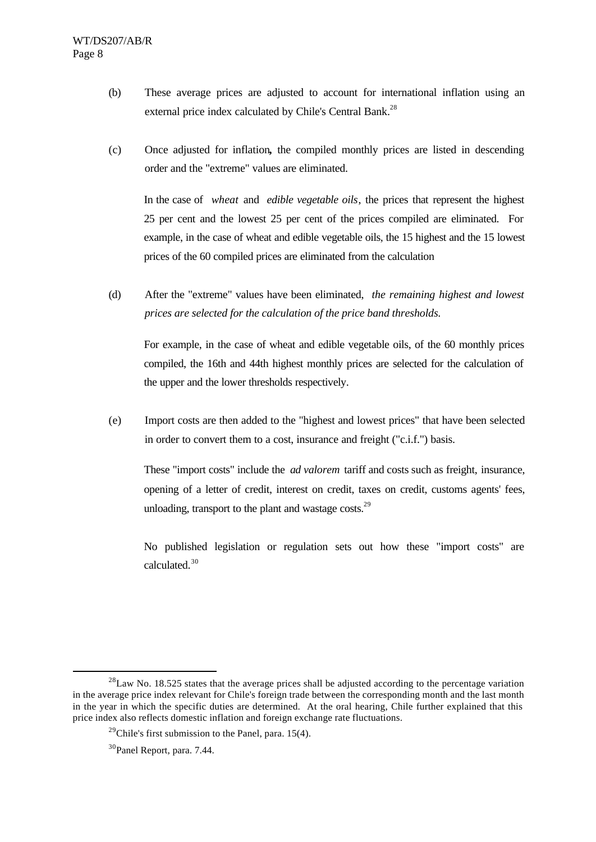- (b) These average prices are adjusted to account for international inflation using an external price index calculated by Chile's Central Bank.<sup>28</sup>
- (c) Once adjusted for inflation**,** the compiled monthly prices are listed in descending order and the "extreme" values are eliminated.

In the case of *wheat* and *edible vegetable oils*, the prices that represent the highest 25 per cent and the lowest 25 per cent of the prices compiled are eliminated. For example, in the case of wheat and edible vegetable oils, the 15 highest and the 15 lowest prices of the 60 compiled prices are eliminated from the calculation

(d) After the "extreme" values have been eliminated, *the remaining highest and lowest prices are selected for the calculation of the price band thresholds.*

For example, in the case of wheat and edible vegetable oils, of the 60 monthly prices compiled, the 16th and 44th highest monthly prices are selected for the calculation of the upper and the lower thresholds respectively.

(e) Import costs are then added to the "highest and lowest prices" that have been selected in order to convert them to a cost, insurance and freight ("c.i.f.") basis.

These "import costs" include the *ad valorem* tariff and costs such as freight, insurance, opening of a letter of credit, interest on credit, taxes on credit, customs agents' fees, unloading, transport to the plant and wastage costs. $^{29}$ 

No published legislation or regulation sets out how these "import costs" are calculated<sup>30</sup>

 $^{28}$ Law No. 18.525 states that the average prices shall be adjusted according to the percentage variation in the average price index relevant for Chile's foreign trade between the corresponding month and the last month in the year in which the specific duties are determined. At the oral hearing, Chile further explained that this price index also reflects domestic inflation and foreign exchange rate fluctuations.

<sup>&</sup>lt;sup>29</sup>Chile's first submission to the Panel, para. 15(4).

<sup>30</sup>Panel Report, para. 7.44.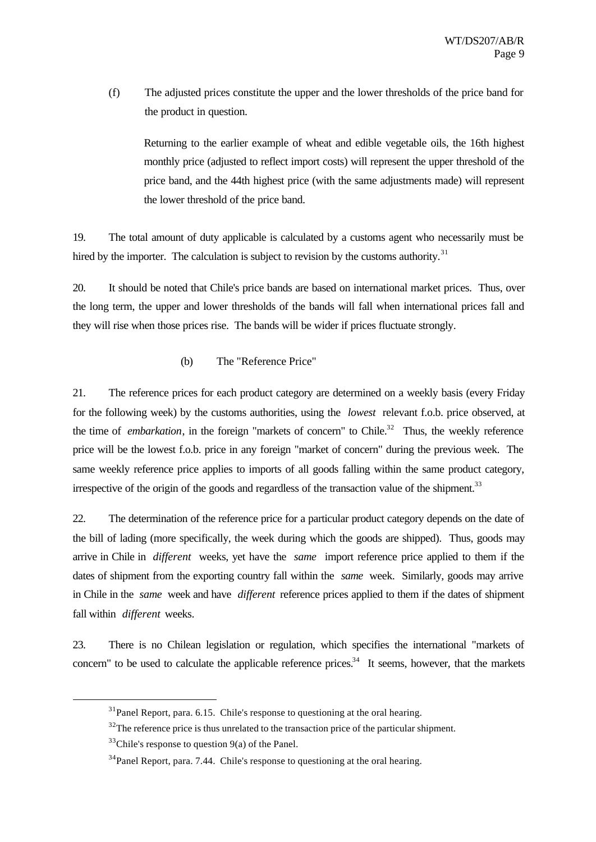(f) The adjusted prices constitute the upper and the lower thresholds of the price band for the product in question.

Returning to the earlier example of wheat and edible vegetable oils, the 16th highest monthly price (adjusted to reflect import costs) will represent the upper threshold of the price band, and the 44th highest price (with the same adjustments made) will represent the lower threshold of the price band.

19. The total amount of duty applicable is calculated by a customs agent who necessarily must be hired by the importer. The calculation is subject to revision by the customs authority. $31$ 

20. It should be noted that Chile's price bands are based on international market prices. Thus, over the long term, the upper and lower thresholds of the bands will fall when international prices fall and they will rise when those prices rise. The bands will be wider if prices fluctuate strongly.

## (b) The "Reference Price"

21. The reference prices for each product category are determined on a weekly basis (every Friday for the following week) by the customs authorities, using the *lowest* relevant f.o.b. price observed, at the time of *embarkation*, in the foreign "markets of concern" to Chile.<sup>32</sup> Thus, the weekly reference price will be the lowest f.o.b. price in any foreign "market of concern" during the previous week. The same weekly reference price applies to imports of all goods falling within the same product category, irrespective of the origin of the goods and regardless of the transaction value of the shipment.<sup>33</sup>

22. The determination of the reference price for a particular product category depends on the date of the bill of lading (more specifically, the week during which the goods are shipped). Thus, goods may arrive in Chile in *different* weeks, yet have the *same* import reference price applied to them if the dates of shipment from the exporting country fall within the *same* week. Similarly, goods may arrive in Chile in the *same* week and have *different* reference prices applied to them if the dates of shipment fall within *different* weeks.

23. There is no Chilean legislation or regulation, which specifies the international "markets of concern" to be used to calculate the applicable reference prices.<sup>34</sup> It seems, however, that the markets

 $31$ Panel Report, para. 6.15. Chile's response to questioning at the oral hearing.

 $32$ The reference price is thus unrelated to the transaction price of the particular shipment.

 $33$ Chile's response to question 9(a) of the Panel.

 $34$ Panel Report, para. 7.44. Chile's response to questioning at the oral hearing.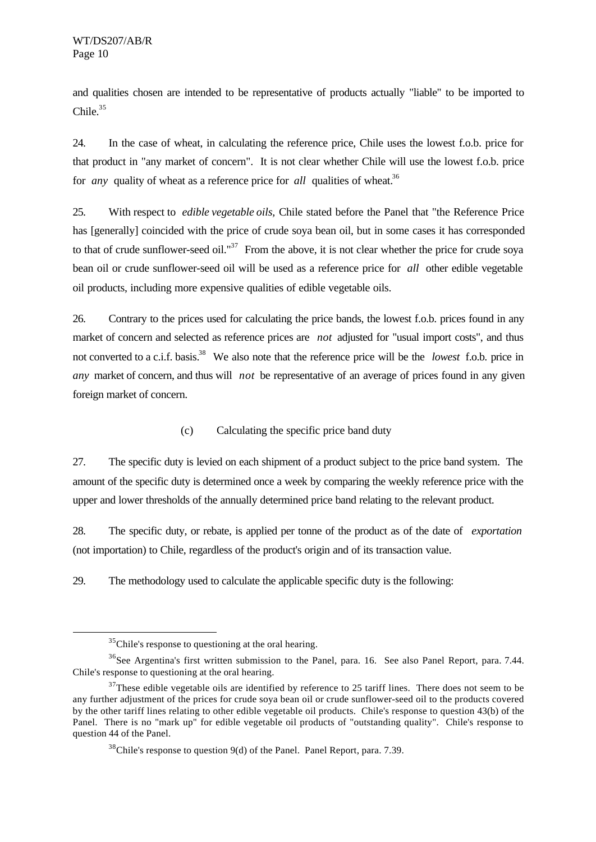and qualities chosen are intended to be representative of products actually "liable" to be imported to Chile. $35$ 

24. In the case of wheat, in calculating the reference price, Chile uses the lowest f.o.b. price for that product in "any market of concern". It is not clear whether Chile will use the lowest f.o.b. price for *any* quality of wheat as a reference price for *all* qualities of wheat.<sup>36</sup>

25. With respect to *edible vegetable oils,* Chile stated before the Panel that "the Reference Price has [generally] coincided with the price of crude soya bean oil, but in some cases it has corresponded to that of crude sunflower-seed oil." $37$  From the above, it is not clear whether the price for crude soya bean oil or crude sunflower-seed oil will be used as a reference price for *all* other edible vegetable oil products, including more expensive qualities of edible vegetable oils.

26. Contrary to the prices used for calculating the price bands, the lowest f.o.b. prices found in any market of concern and selected as reference prices are *not* adjusted for "usual import costs", and thus not converted to a c.i.f. basis.<sup>38</sup> We also note that the reference price will be the *lowest* f.o.b. price in *any* market of concern, and thus will *not* be representative of an average of prices found in any given foreign market of concern.

(c) Calculating the specific price band duty

27. The specific duty is levied on each shipment of a product subject to the price band system. The amount of the specific duty is determined once a week by comparing the weekly reference price with the upper and lower thresholds of the annually determined price band relating to the relevant product.

28. The specific duty, or rebate, is applied per tonne of the product as of the date of *exportation* (not importation) to Chile, regardless of the product's origin and of its transaction value.

29. The methodology used to calculate the applicable specific duty is the following:

<sup>&</sup>lt;sup>35</sup>Chile's response to questioning at the oral hearing.

<sup>&</sup>lt;sup>36</sup>See Argentina's first written submission to the Panel, para. 16. See also Panel Report, para. 7.44. Chile's response to questioning at the oral hearing.

 $37$ These edible vegetable oils are identified by reference to 25 tariff lines. There does not seem to be any further adjustment of the prices for crude soya bean oil or crude sunflower-seed oil to the products covered by the other tariff lines relating to other edible vegetable oil products. Chile's response to question 43(b) of the Panel. There is no "mark up" for edible vegetable oil products of "outstanding quality". Chile's response to question 44 of the Panel.

<sup>38</sup>Chile's response to question 9(d) of the Panel. Panel Report, para. 7.39.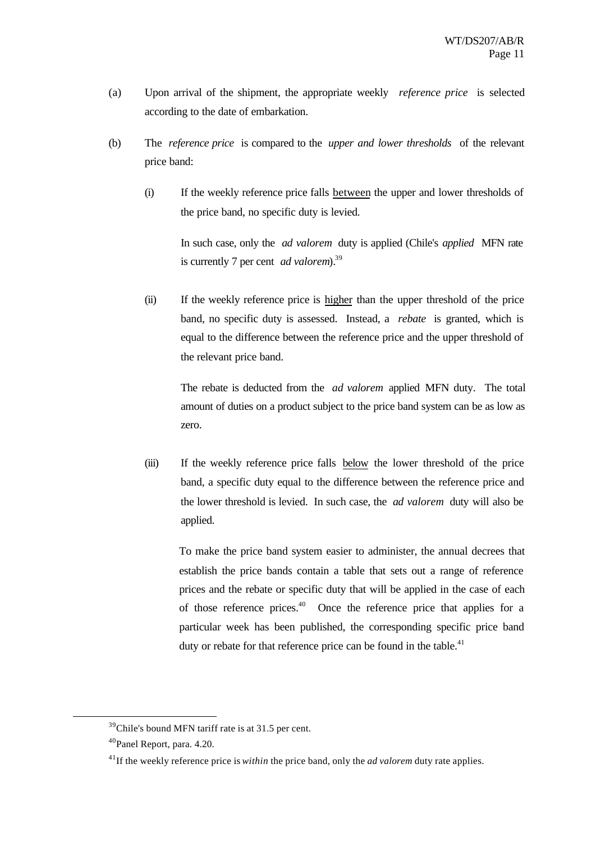- (a) Upon arrival of the shipment, the appropriate weekly *reference price* is selected according to the date of embarkation.
- (b) The *reference price* is compared to the *upper and lower thresholds* of the relevant price band:
	- (i) If the weekly reference price falls between the upper and lower thresholds of the price band, no specific duty is levied.

In such case, only the *ad valorem* duty is applied (Chile's *applied* MFN rate is currently 7 per cent *ad valorem*).<sup>39</sup>

(ii) If the weekly reference price is higher than the upper threshold of the price band, no specific duty is assessed. Instead, a *rebate* is granted, which is equal to the difference between the reference price and the upper threshold of the relevant price band.

The rebate is deducted from the *ad valorem* applied MFN duty. The total amount of duties on a product subject to the price band system can be as low as zero.

(iii) If the weekly reference price falls below the lower threshold of the price band, a specific duty equal to the difference between the reference price and the lower threshold is levied. In such case, the *ad valorem* duty will also be applied.

To make the price band system easier to administer, the annual decrees that establish the price bands contain a table that sets out a range of reference prices and the rebate or specific duty that will be applied in the case of each of those reference prices.<sup>40</sup> Once the reference price that applies for a particular week has been published, the corresponding specific price band duty or rebate for that reference price can be found in the table. $41$ 

<sup>39</sup>Chile's bound MFN tariff rate is at 31.5 per cent.

<sup>40</sup>Panel Report, para. 4.20.

<sup>41</sup>If the weekly reference price is *within* the price band, only the *ad valorem* duty rate applies.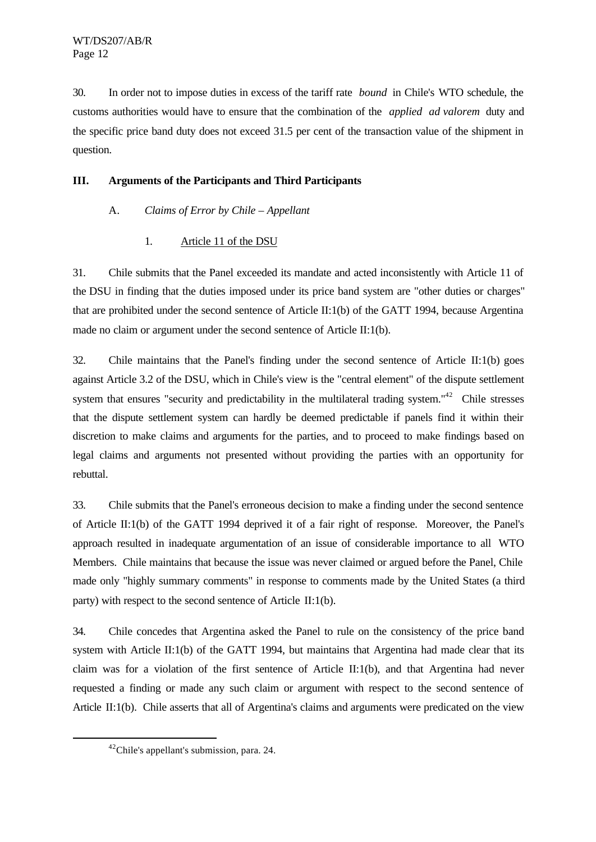30. In order not to impose duties in excess of the tariff rate *bound* in Chile's WTO schedule, the customs authorities would have to ensure that the combination of the *applied ad valorem* duty and the specific price band duty does not exceed 31.5 per cent of the transaction value of the shipment in question.

## **III. Arguments of the Participants and Third Participants**

- A. *Claims of Error by Chile Appellant*
	- 1. Article 11 of the DSU

31. Chile submits that the Panel exceeded its mandate and acted inconsistently with Article 11 of the DSU in finding that the duties imposed under its price band system are "other duties or charges" that are prohibited under the second sentence of Article II:1(b) of the GATT 1994, because Argentina made no claim or argument under the second sentence of Article II:1(b).

32. Chile maintains that the Panel's finding under the second sentence of Article II:1(b) goes against Article 3.2 of the DSU, which in Chile's view is the "central element" of the dispute settlement system that ensures "security and predictability in the multilateral trading system."<sup>42</sup> Chile stresses that the dispute settlement system can hardly be deemed predictable if panels find it within their discretion to make claims and arguments for the parties, and to proceed to make findings based on legal claims and arguments not presented without providing the parties with an opportunity for rebuttal.

33. Chile submits that the Panel's erroneous decision to make a finding under the second sentence of Article II:1(b) of the GATT 1994 deprived it of a fair right of response. Moreover, the Panel's approach resulted in inadequate argumentation of an issue of considerable importance to all WTO Members. Chile maintains that because the issue was never claimed or argued before the Panel, Chile made only "highly summary comments" in response to comments made by the United States (a third party) with respect to the second sentence of Article II:1(b).

34. Chile concedes that Argentina asked the Panel to rule on the consistency of the price band system with Article II:1(b) of the GATT 1994, but maintains that Argentina had made clear that its claim was for a violation of the first sentence of Article II:1(b), and that Argentina had never requested a finding or made any such claim or argument with respect to the second sentence of Article II:1(b). Chile asserts that all of Argentina's claims and arguments were predicated on the view

<sup>42</sup>Chile's appellant's submission, para. 24.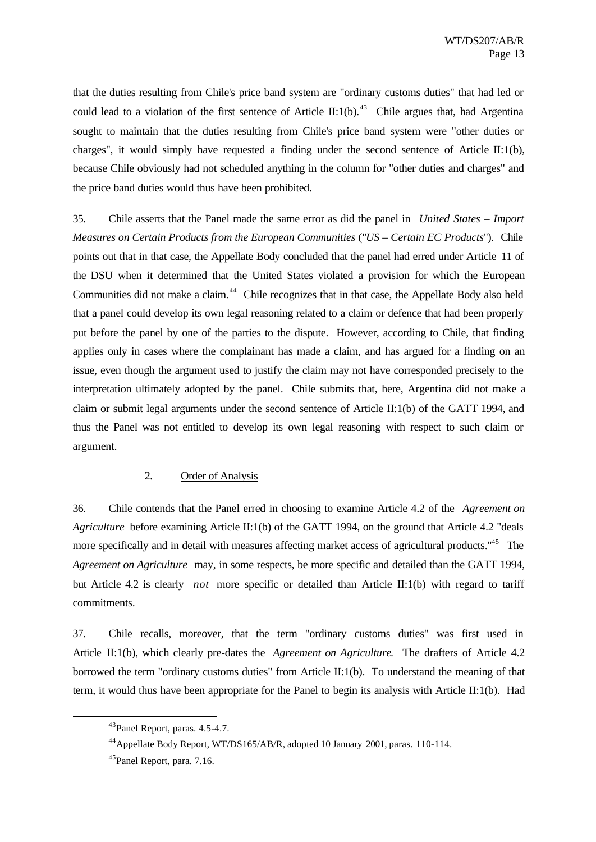that the duties resulting from Chile's price band system are "ordinary customs duties" that had led or could lead to a violation of the first sentence of Article II:1(b).<sup>43</sup> Chile argues that, had Argentina sought to maintain that the duties resulting from Chile's price band system were "other duties or charges", it would simply have requested a finding under the second sentence of Article II:1(b), because Chile obviously had not scheduled anything in the column for "other duties and charges" and the price band duties would thus have been prohibited.

35. Chile asserts that the Panel made the same error as did the panel in *United States – Import Measures on Certain Products from the European Communities* ("*US – Certain EC Products*"). Chile points out that in that case, the Appellate Body concluded that the panel had erred under Article 11 of the DSU when it determined that the United States violated a provision for which the European Communities did not make a claim.<sup>44</sup> Chile recognizes that in that case, the Appellate Body also held that a panel could develop its own legal reasoning related to a claim or defence that had been properly put before the panel by one of the parties to the dispute. However, according to Chile, that finding applies only in cases where the complainant has made a claim, and has argued for a finding on an issue, even though the argument used to justify the claim may not have corresponded precisely to the interpretation ultimately adopted by the panel. Chile submits that, here, Argentina did not make a claim or submit legal arguments under the second sentence of Article II:1(b) of the GATT 1994, and thus the Panel was not entitled to develop its own legal reasoning with respect to such claim or argument.

## 2. Order of Analysis

36. Chile contends that the Panel erred in choosing to examine Article 4.2 of the *Agreement on Agriculture* before examining Article II:1(b) of the GATT 1994, on the ground that Article 4.2 "deals more specifically and in detail with measures affecting market access of agricultural products.<sup>"45</sup> The *Agreement on Agriculture* may, in some respects, be more specific and detailed than the GATT 1994, but Article 4.2 is clearly *not* more specific or detailed than Article II:1(b) with regard to tariff commitments.

37. Chile recalls, moreover, that the term "ordinary customs duties" was first used in Article II:1(b), which clearly pre-dates the *Agreement on Agriculture*. The drafters of Article 4.2 borrowed the term "ordinary customs duties" from Article II:1(b). To understand the meaning of that term, it would thus have been appropriate for the Panel to begin its analysis with Article II:1(b). Had

<sup>43</sup>Panel Report, paras. 4.5-4.7.

<sup>44</sup>Appellate Body Report, WT/DS165/AB/R, adopted 10 January 2001, paras. 110-114.

<sup>45</sup>Panel Report, para. 7.16.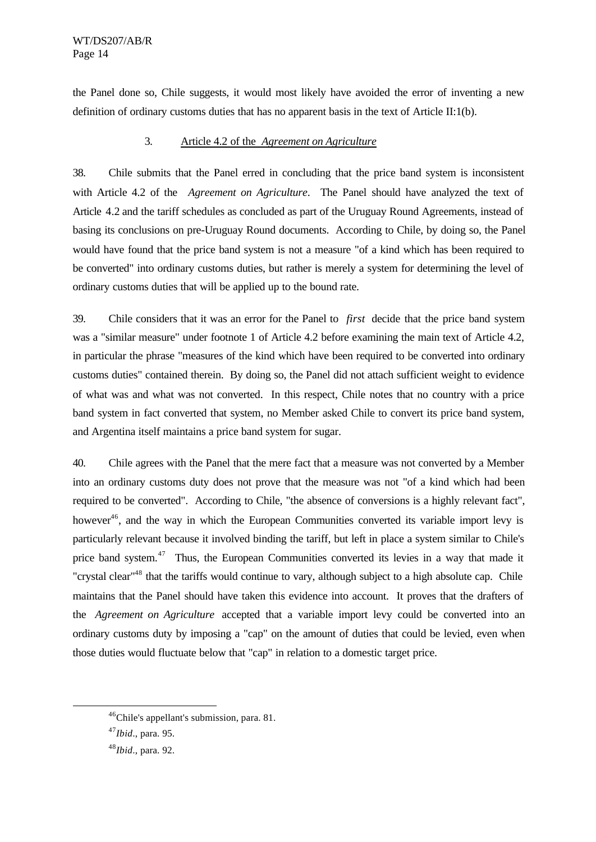the Panel done so, Chile suggests, it would most likely have avoided the error of inventing a new definition of ordinary customs duties that has no apparent basis in the text of Article II:1(b).

## 3. Article 4.2 of the *Agreement on Agriculture*

38. Chile submits that the Panel erred in concluding that the price band system is inconsistent with Article 4.2 of the *Agreement on Agriculture*. The Panel should have analyzed the text of Article 4.2 and the tariff schedules as concluded as part of the Uruguay Round Agreements, instead of basing its conclusions on pre-Uruguay Round documents. According to Chile, by doing so, the Panel would have found that the price band system is not a measure "of a kind which has been required to be converted" into ordinary customs duties, but rather is merely a system for determining the level of ordinary customs duties that will be applied up to the bound rate.

39. Chile considers that it was an error for the Panel to *first* decide that the price band system was a "similar measure" under footnote 1 of Article 4.2 before examining the main text of Article 4.2, in particular the phrase "measures of the kind which have been required to be converted into ordinary customs duties" contained therein. By doing so, the Panel did not attach sufficient weight to evidence of what was and what was not converted. In this respect, Chile notes that no country with a price band system in fact converted that system, no Member asked Chile to convert its price band system, and Argentina itself maintains a price band system for sugar.

40. Chile agrees with the Panel that the mere fact that a measure was not converted by a Member into an ordinary customs duty does not prove that the measure was not "of a kind which had been required to be converted". According to Chile, "the absence of conversions is a highly relevant fact", however<sup>46</sup>, and the way in which the European Communities converted its variable import levy is particularly relevant because it involved binding the tariff, but left in place a system similar to Chile's price band system.<sup>47</sup> Thus, the European Communities converted its levies in a way that made it "crystal clear"<sup>48</sup> that the tariffs would continue to vary, although subject to a high absolute cap. Chile maintains that the Panel should have taken this evidence into account. It proves that the drafters of the *Agreement on Agriculture* accepted that a variable import levy could be converted into an ordinary customs duty by imposing a "cap" on the amount of duties that could be levied, even when those duties would fluctuate below that "cap" in relation to a domestic target price.

<sup>46</sup>Chile's appellant's submission, para. 81.

<sup>47</sup>*Ibid*., para. 95.

<sup>48</sup>*Ibid*., para. 92.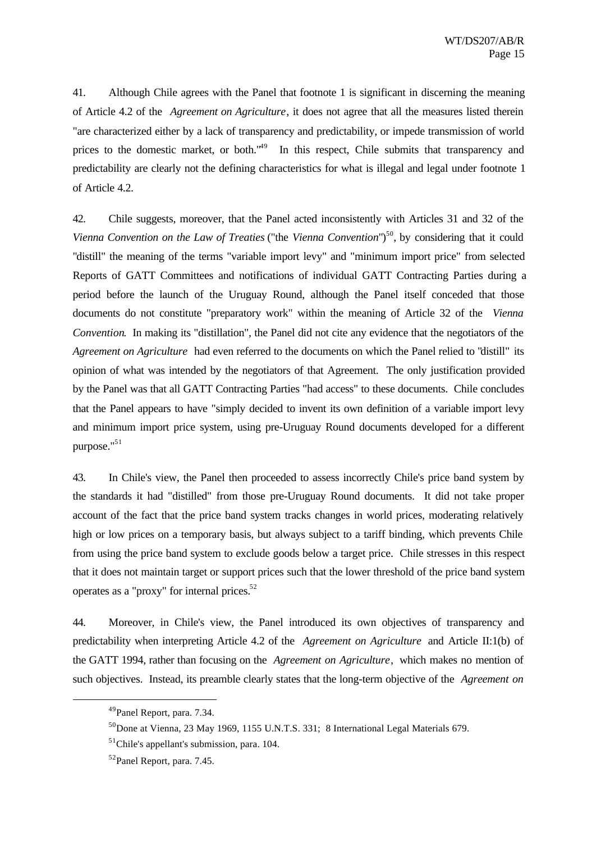41. Although Chile agrees with the Panel that footnote 1 is significant in discerning the meaning of Article 4.2 of the *Agreement on Agriculture*, it does not agree that all the measures listed therein "are characterized either by a lack of transparency and predictability, or impede transmission of world prices to the domestic market, or both."<sup>49</sup> In this respect, Chile submits that transparency and predictability are clearly not the defining characteristics for what is illegal and legal under footnote 1 of Article 4.2.

42. Chile suggests, moreover, that the Panel acted inconsistently with Articles 31 and 32 of the Vienna Convention on the Law of Treaties ("the Vienna Convention")<sup>50</sup>, by considering that it could "distill" the meaning of the terms "variable import levy" and "minimum import price" from selected Reports of GATT Committees and notifications of individual GATT Contracting Parties during a period before the launch of the Uruguay Round, although the Panel itself conceded that those documents do not constitute "preparatory work" within the meaning of Article 32 of the *Vienna Convention*. In making its "distillation", the Panel did not cite any evidence that the negotiators of the *Agreement on Agriculture* had even referred to the documents on which the Panel relied to "distill" its opinion of what was intended by the negotiators of that Agreement. The only justification provided by the Panel was that all GATT Contracting Parties "had access" to these documents. Chile concludes that the Panel appears to have "simply decided to invent its own definition of a variable import levy and minimum import price system, using pre-Uruguay Round documents developed for a different purpose."<sup>51</sup>

43. In Chile's view, the Panel then proceeded to assess incorrectly Chile's price band system by the standards it had "distilled" from those pre-Uruguay Round documents. It did not take proper account of the fact that the price band system tracks changes in world prices, moderating relatively high or low prices on a temporary basis, but always subject to a tariff binding, which prevents Chile from using the price band system to exclude goods below a target price. Chile stresses in this respect that it does not maintain target or support prices such that the lower threshold of the price band system operates as a "proxy" for internal prices.<sup>52</sup>

44. Moreover, in Chile's view, the Panel introduced its own objectives of transparency and predictability when interpreting Article 4.2 of the *Agreement on Agriculture* and Article II:1(b) of the GATT 1994, rather than focusing on the *Agreement on Agriculture*, which makes no mention of such objectives. Instead, its preamble clearly states that the long-term objective of the *Agreement on*

<sup>49</sup>Panel Report, para. 7.34.

 $50$ Done at Vienna, 23 May 1969, 1155 U.N.T.S. 331; 8 International Legal Materials 679.

 $51$ Chile's appellant's submission, para. 104.

<sup>52</sup>Panel Report, para. 7.45.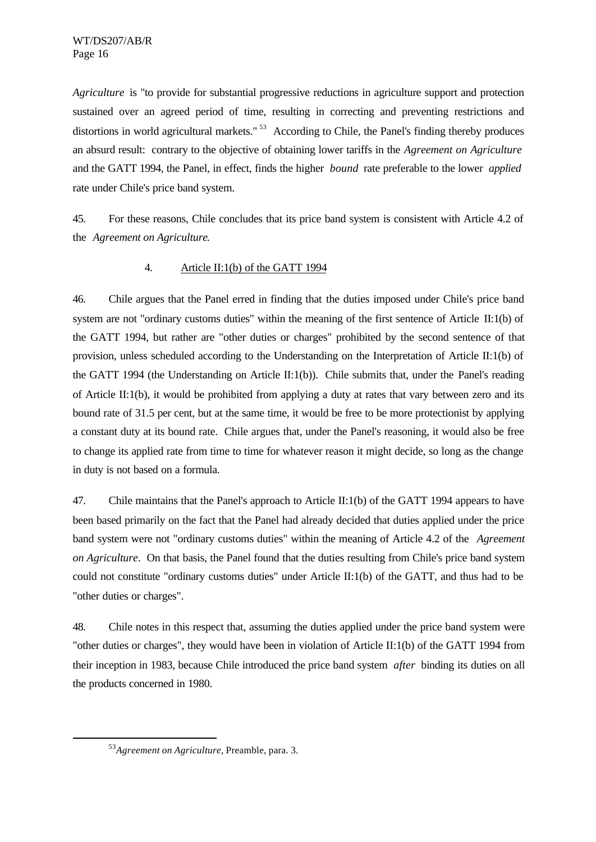*Agriculture* is "to provide for substantial progressive reductions in agriculture support and protection sustained over an agreed period of time, resulting in correcting and preventing restrictions and distortions in world agricultural markets."<sup>53</sup> According to Chile, the Panel's finding thereby produces an absurd result: contrary to the objective of obtaining lower tariffs in the *Agreement on Agriculture* and the GATT 1994, the Panel, in effect, finds the higher *bound* rate preferable to the lower *applied* rate under Chile's price band system.

45. For these reasons, Chile concludes that its price band system is consistent with Article 4.2 of the *Agreement on Agriculture*.

## 4. Article II:1(b) of the GATT 1994

46. Chile argues that the Panel erred in finding that the duties imposed under Chile's price band system are not "ordinary customs duties" within the meaning of the first sentence of Article II:1(b) of the GATT 1994, but rather are "other duties or charges" prohibited by the second sentence of that provision, unless scheduled according to the Understanding on the Interpretation of Article II:1(b) of the GATT 1994 (the Understanding on Article II:1(b)). Chile submits that, under the Panel's reading of Article II:1(b), it would be prohibited from applying a duty at rates that vary between zero and its bound rate of 31.5 per cent, but at the same time, it would be free to be more protectionist by applying a constant duty at its bound rate. Chile argues that, under the Panel's reasoning, it would also be free to change its applied rate from time to time for whatever reason it might decide, so long as the change in duty is not based on a formula.

47. Chile maintains that the Panel's approach to Article II:1(b) of the GATT 1994 appears to have been based primarily on the fact that the Panel had already decided that duties applied under the price band system were not "ordinary customs duties" within the meaning of Article 4.2 of the *Agreement on Agriculture*. On that basis, the Panel found that the duties resulting from Chile's price band system could not constitute "ordinary customs duties" under Article II:1(b) of the GATT, and thus had to be "other duties or charges".

48. Chile notes in this respect that, assuming the duties applied under the price band system were "other duties or charges", they would have been in violation of Article II:1(b) of the GATT 1994 from their inception in 1983, because Chile introduced the price band system *after* binding its duties on all the products concerned in 1980.

<sup>53</sup>*Agreement on Agriculture*, Preamble, para. 3.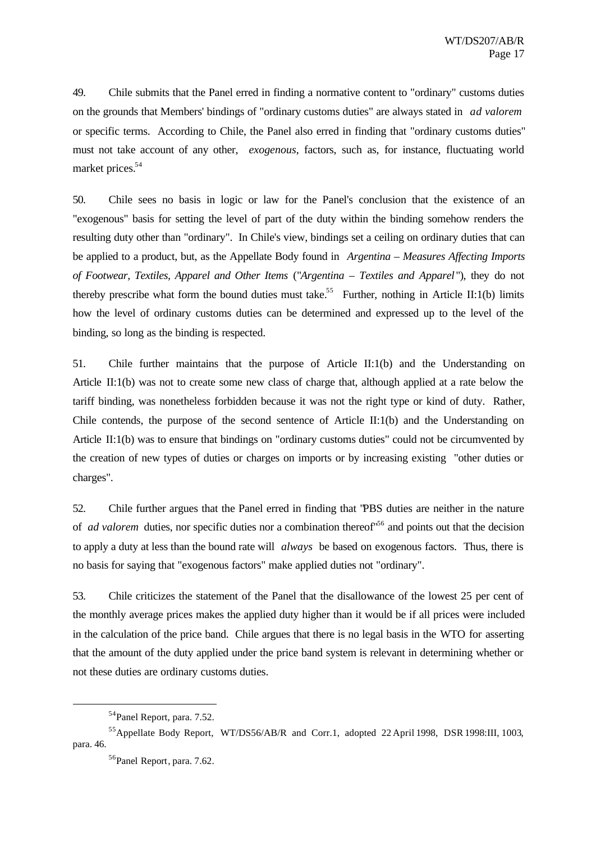49. Chile submits that the Panel erred in finding a normative content to "ordinary" customs duties on the grounds that Members' bindings of "ordinary customs duties" are always stated in *ad valorem* or specific terms. According to Chile, the Panel also erred in finding that "ordinary customs duties" must not take account of any other, *exogenous*, factors, such as, for instance, fluctuating world market prices.<sup>54</sup>

50. Chile sees no basis in logic or law for the Panel's conclusion that the existence of an "exogenous" basis for setting the level of part of the duty within the binding somehow renders the resulting duty other than "ordinary". In Chile's view, bindings set a ceiling on ordinary duties that can be applied to a product, but, as the Appellate Body found in *Argentina – Measures Affecting Imports of Footwear, Textiles, Apparel and Other Items* ("*Argentina – Textiles and Apparel* "), they do not thereby prescribe what form the bound duties must take.<sup>55</sup> Further, nothing in Article II:1(b) limits how the level of ordinary customs duties can be determined and expressed up to the level of the binding, so long as the binding is respected.

51. Chile further maintains that the purpose of Article II:1(b) and the Understanding on Article II:1(b) was not to create some new class of charge that, although applied at a rate below the tariff binding, was nonetheless forbidden because it was not the right type or kind of duty. Rather, Chile contends, the purpose of the second sentence of Article II:1(b) and the Understanding on Article II:1(b) was to ensure that bindings on "ordinary customs duties" could not be circumvented by the creation of new types of duties or charges on imports or by increasing existing "other duties or charges".

52. Chile further argues that the Panel erred in finding that "PBS duties are neither in the nature of *ad valorem* duties, nor specific duties nor a combination thereof<sup>56</sup> and points out that the decision to apply a duty at less than the bound rate will *always* be based on exogenous factors. Thus, there is no basis for saying that "exogenous factors" make applied duties not "ordinary".

53. Chile criticizes the statement of the Panel that the disallowance of the lowest 25 per cent of the monthly average prices makes the applied duty higher than it would be if all prices were included in the calculation of the price band. Chile argues that there is no legal basis in the WTO for asserting that the amount of the duty applied under the price band system is relevant in determining whether or not these duties are ordinary customs duties.

<sup>54</sup>Panel Report, para. 7.52.

<sup>&</sup>lt;sup>55</sup>Appellate Body Report, WT/DS56/AB/R and Corr.1, adopted 22 April 1998, DSR 1998:III, 1003, para. 46.

<sup>56</sup>Panel Report*,* para. 7.62.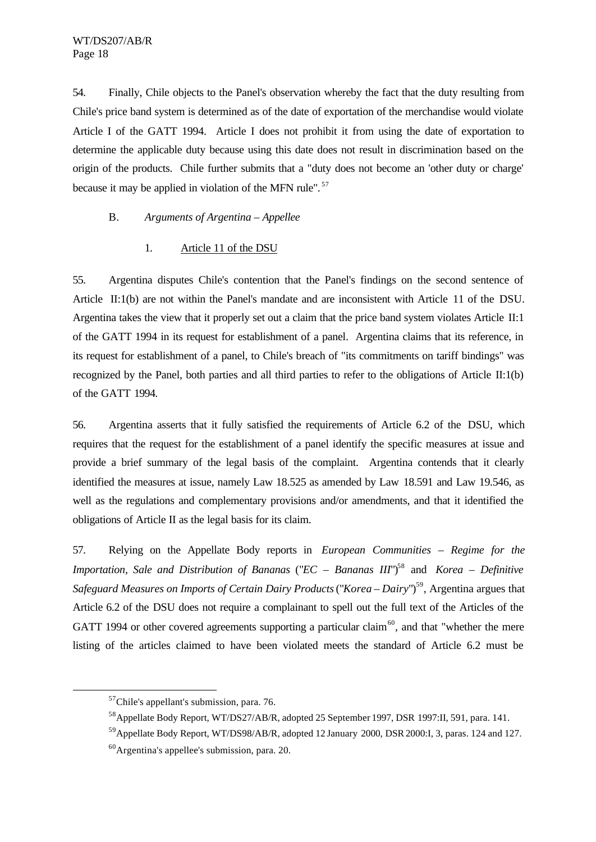54. Finally, Chile objects to the Panel's observation whereby the fact that the duty resulting from Chile's price band system is determined as of the date of exportation of the merchandise would violate Article I of the GATT 1994. Article I does not prohibit it from using the date of exportation to determine the applicable duty because using this date does not result in discrimination based on the origin of the products. Chile further submits that a "duty does not become an 'other duty or charge' because it may be applied in violation of the MFN rule".<sup>57</sup>

## B. *Arguments of Argentina – Appellee*

## 1. Article 11 of the DSU

55. Argentina disputes Chile's contention that the Panel's findings on the second sentence of Article II:1(b) are not within the Panel's mandate and are inconsistent with Article 11 of the DSU. Argentina takes the view that it properly set out a claim that the price band system violates Article II:1 of the GATT 1994 in its request for establishment of a panel. Argentina claims that its reference, in its request for establishment of a panel, to Chile's breach of "its commitments on tariff bindings" was recognized by the Panel, both parties and all third parties to refer to the obligations of Article II:1(b) of the GATT 1994.

56. Argentina asserts that it fully satisfied the requirements of Article 6.2 of the DSU, which requires that the request for the establishment of a panel identify the specific measures at issue and provide a brief summary of the legal basis of the complaint. Argentina contends that it clearly identified the measures at issue, namely Law 18.525 as amended by Law 18.591 and Law 19.546, as well as the regulations and complementary provisions and/or amendments, and that it identified the obligations of Article II as the legal basis for its claim.

57. Relying on the Appellate Body reports in *European Communities – Regime for the Importation, Sale and Distribution of Bananas* ("*EC – Bananas III*")<sup>58</sup> and *Korea – Definitive Safeguard Measures on Imports of Certain Dairy Products* ("*Korea – Dairy*")<sup>59</sup>, Argentina argues that Article 6.2 of the DSU does not require a complainant to spell out the full text of the Articles of the GATT 1994 or other covered agreements supporting a particular claim<sup>60</sup>, and that "whether the mere listing of the articles claimed to have been violated meets the standard of Article 6.2 must be

<sup>57</sup>Chile's appellant's submission, para. 76.

<sup>58</sup>Appellate Body Report, WT/DS27/AB/R, adopted 25 September 1997, DSR 1997:II, 591, para. 141.

<sup>59</sup>Appellate Body Report, WT/DS98/AB/R, adopted 12 January 2000, DSR 2000:I, 3, paras. 124 and 127.

 $60$ Argentina's appellee's submission, para. 20.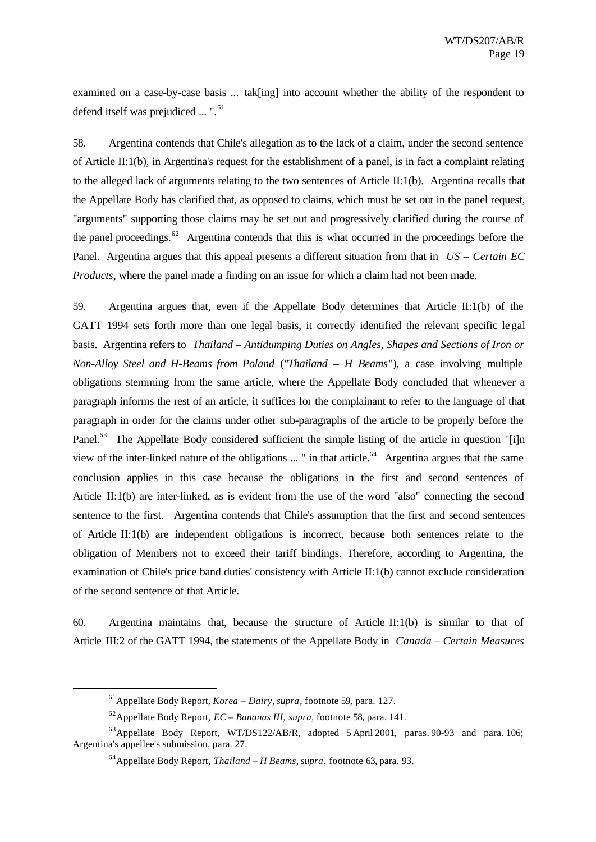examined on a case-by-case basis ... tak[ing] into account whether the ability of the respondent to defend itself was prejudiced ... ".<sup>61</sup>

58. Argentina contends that Chile's allegation as to the lack of a claim, under the second sentence of Article II:1(b), in Argentina's request for the establishment of a panel, is in fact a complaint relating to the alleged lack of arguments relating to the two sentences of Article II:1(b). Argentina recalls that the Appellate Body has clarified that, as opposed to claims, which must be set out in the panel request, "arguments" supporting those claims may be set out and progressively clarified during the course of the panel proceedings.<sup>62</sup> Argentina contends that this is what occurred in the proceedings before the Panel. Argentina argues that this appeal presents a different situation from that in *US – Certain EC Products*, where the panel made a finding on an issue for which a claim had not been made.

59. Argentina argues that, even if the Appellate Body determines that Article II:1(b) of the GATT 1994 sets forth more than one legal basis, it correctly identified the relevant specific legal basis. Argentina refers to *Thailand – Antidumping Duties on Angles, Shapes and Sections of Iron or Non-Alloy Steel and H-Beams from Poland* ("*Thailand – H Beams*"), a case involving multiple obligations stemming from the same article, where the Appellate Body concluded that whenever a paragraph informs the rest of an article, it suffices for the complainant to refer to the language of that paragraph in order for the claims under other sub-paragraphs of the article to be properly before the Panel.<sup>63</sup> The Appellate Body considered sufficient the simple listing of the article in question "[i]n view of the inter-linked nature of the obligations ... " in that article.<sup>64</sup> Argentina argues that the same conclusion applies in this case because the obligations in the first and second sentences of Article II:1(b) are inter-linked, as is evident from the use of the word "also" connecting the second sentence to the first. Argentina contends that Chile's assumption that the first and second sentences of Article II:1(b) are independent obligations is incorrect, because both sentences relate to the obligation of Members not to exceed their tariff bindings. Therefore, according to Argentina, the examination of Chile's price band duties' consistency with Article II:1(b) cannot exclude consideration of the second sentence of that Article.

60. Argentina maintains that, because the structure of Article II:1(b) is similar to that of Article III:2 of the GATT 1994, the statements of the Appellate Body in *Canada – Certain Measures*

<sup>61</sup>Appellate Body Report, *Korea – Dairy*, *supra*, footnote 59, para. 127.

<sup>62</sup>Appellate Body Report, *EC – Bananas III, supra,* footnote 58, para. 141.

<sup>&</sup>lt;sup>63</sup>Appellate Body Report, WT/DS122/AB/R, adopted 5 April 2001, paras. 90-93 and para. 106; Argentina's appellee's submission, para. 27.

<sup>64</sup>Appellate Body Report, *Thailand – H Beams*, *supra*, footnote 63, para. 93.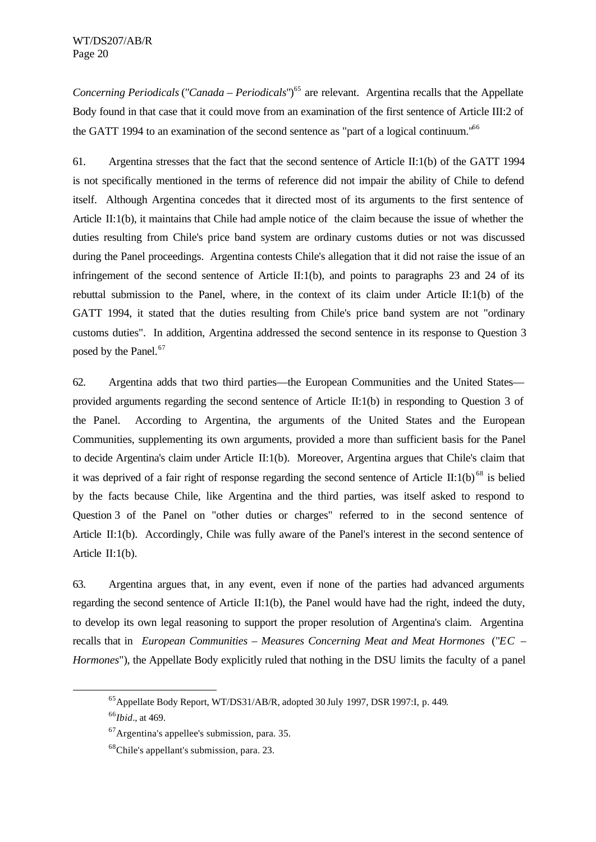*Concerning Periodicals* (*"Canada – Periodicals*")<sup>65</sup> are relevant. Argentina recalls that the Appellate Body found in that case that it could move from an examination of the first sentence of Article III:2 of the GATT 1994 to an examination of the second sentence as "part of a logical continuum."<sup>66</sup>

61. Argentina stresses that the fact that the second sentence of Article II:1(b) of the GATT 1994 is not specifically mentioned in the terms of reference did not impair the ability of Chile to defend itself. Although Argentina concedes that it directed most of its arguments to the first sentence of Article II:1(b), it maintains that Chile had ample notice of the claim because the issue of whether the duties resulting from Chile's price band system are ordinary customs duties or not was discussed during the Panel proceedings. Argentina contests Chile's allegation that it did not raise the issue of an infringement of the second sentence of Article II:1(b), and points to paragraphs 23 and 24 of its rebuttal submission to the Panel, where, in the context of its claim under Article  $II:1(b)$  of the GATT 1994, it stated that the duties resulting from Chile's price band system are not "ordinary customs duties". In addition, Argentina addressed the second sentence in its response to Question 3 posed by the Panel.<sup>67</sup>

62. Argentina adds that two third parties—the European Communities and the United States provided arguments regarding the second sentence of Article II:1(b) in responding to Question 3 of the Panel. According to Argentina, the arguments of the United States and the European Communities, supplementing its own arguments, provided a more than sufficient basis for the Panel to decide Argentina's claim under Article II:1(b). Moreover, Argentina argues that Chile's claim that it was deprived of a fair right of response regarding the second sentence of Article II:1(b)<sup>68</sup> is belied by the facts because Chile, like Argentina and the third parties, was itself asked to respond to Question 3 of the Panel on "other duties or charges" referred to in the second sentence of Article II:1(b). Accordingly, Chile was fully aware of the Panel's interest in the second sentence of Article II:1(b).

63. Argentina argues that, in any event, even if none of the parties had advanced arguments regarding the second sentence of Article II:1(b), the Panel would have had the right, indeed the duty, to develop its own legal reasoning to support the proper resolution of Argentina's claim. Argentina recalls that in *European Communities – Measures Concerning Meat and Meat Hormones* ("*EC – Hormones*"), the Appellate Body explicitly ruled that nothing in the DSU limits the faculty of a panel

<sup>65</sup>Appellate Body Report, WT/DS31/AB/R, adopted 30 July 1997, DSR 1997:I, p. 449.

<sup>66</sup>*Ibid*., at 469.

 $67$ Argentina's appellee's submission, para. 35.

<sup>68</sup>Chile's appellant's submission, para. 23.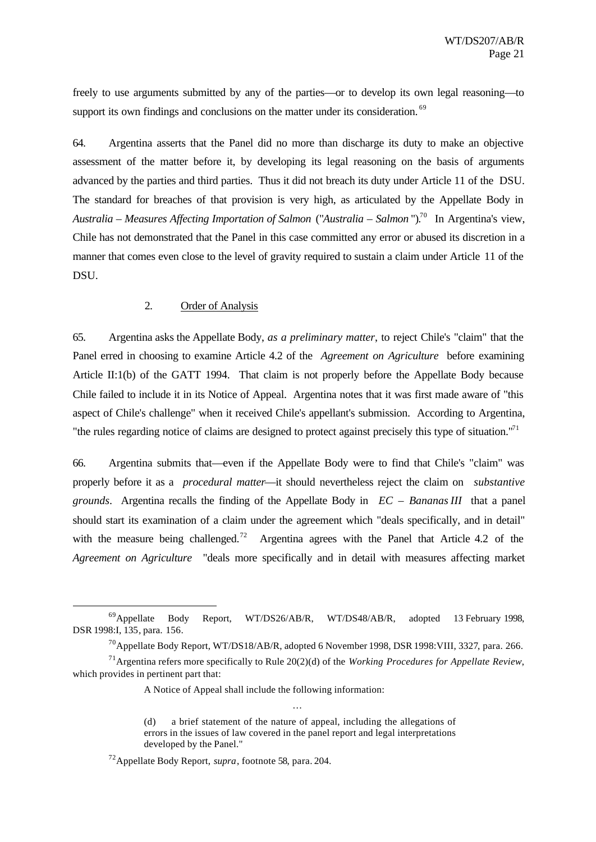freely to use arguments submitted by any of the parties—or to develop its own legal reasoning—to support its own findings and conclusions on the matter under its consideration. <sup>69</sup>

64. Argentina asserts that the Panel did no more than discharge its duty to make an objective assessment of the matter before it, by developing its legal reasoning on the basis of arguments advanced by the parties and third parties. Thus it did not breach its duty under Article 11 of the DSU. The standard for breaches of that provision is very high, as articulated by the Appellate Body in *Australia – Measures Affecting Importation of Salmon* ("*Australia – Salmon* ").<sup>70</sup> In Argentina's view, Chile has not demonstrated that the Panel in this case committed any error or abused its discretion in a manner that comes even close to the level of gravity required to sustain a claim under Article 11 of the DSU.

#### 2. Order of Analysis

65. Argentina asks the Appellate Body, *as a preliminary matter*, to reject Chile's "claim" that the Panel erred in choosing to examine Article 4.2 of the *Agreement on Agriculture* before examining Article II:1(b) of the GATT 1994. That claim is not properly before the Appellate Body because Chile failed to include it in its Notice of Appeal. Argentina notes that it was first made aware of "this aspect of Chile's challenge" when it received Chile's appellant's submission. According to Argentina, "the rules regarding notice of claims are designed to protect against precisely this type of situation."<sup>71</sup>

66. Argentina submits that—even if the Appellate Body were to find that Chile's "claim" was properly before it as a *procedural matter*—it should nevertheless reject the claim on *substantive grounds*. Argentina recalls the finding of the Appellate Body in *EC – Bananas III* that a panel should start its examination of a claim under the agreement which "deals specifically, and in detail" with the measure being challenged.<sup>72</sup> Argentina agrees with the Panel that Article 4.2 of the *Agreement on Agriculture* "deals more specifically and in detail with measures affecting market

…

<sup>69</sup>Appellate Body Report, WT/DS26/AB/R, WT/DS48/AB/R, adopted 13 February 1998, DSR 1998:I, 135*,* para. 156.

<sup>70</sup>Appellate Body Report, WT/DS18/AB/R, adopted 6 November 1998, DSR 1998:VIII, 3327, para. 266.

<sup>71</sup>Argentina refers more specifically to Rule 20(2)(d) of the *Working Procedures for Appellate Review*, which provides in pertinent part that:

A Notice of Appeal shall include the following information:

<sup>(</sup>d) a brief statement of the nature of appeal, including the allegations of errors in the issues of law covered in the panel report and legal interpretations developed by the Panel."

<sup>72</sup>Appellate Body Report, *supra*, footnote 58, para. 204.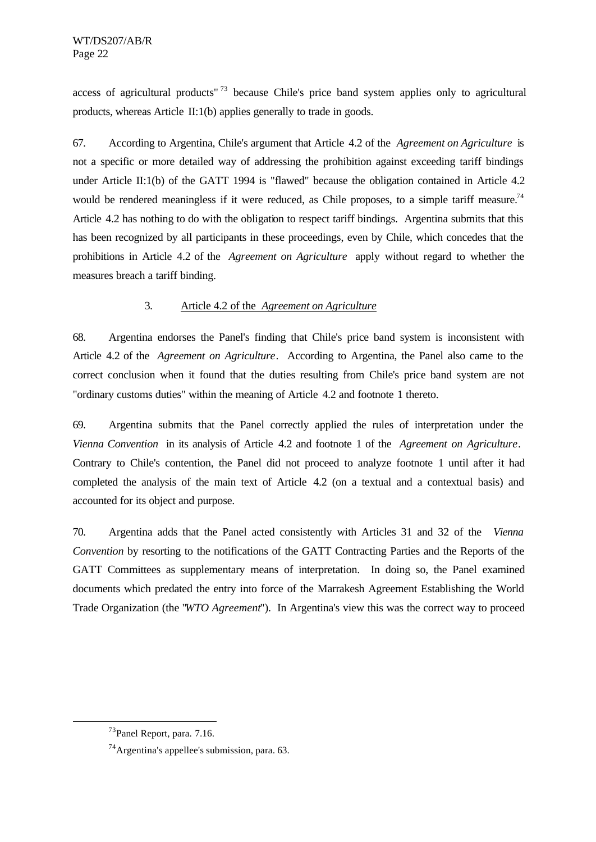access of agricultural products<sup>" 73</sup> because Chile's price band system applies only to agricultural products, whereas Article II:1(b) applies generally to trade in goods.

67. According to Argentina, Chile's argument that Article 4.2 of the *Agreement on Agriculture* is not a specific or more detailed way of addressing the prohibition against exceeding tariff bindings under Article II:1(b) of the GATT 1994 is "flawed" because the obligation contained in Article 4.2 would be rendered meaningless if it were reduced, as Chile proposes, to a simple tariff measure.<sup>74</sup> Article 4.2 has nothing to do with the obligation to respect tariff bindings. Argentina submits that this has been recognized by all participants in these proceedings, even by Chile, which concedes that the prohibitions in Article 4.2 of the *Agreement on Agriculture* apply without regard to whether the measures breach a tariff binding.

## 3. Article 4.2 of the *Agreement on Agriculture*

68. Argentina endorses the Panel's finding that Chile's price band system is inconsistent with Article 4.2 of the *Agreement on Agriculture*. According to Argentina, the Panel also came to the correct conclusion when it found that the duties resulting from Chile's price band system are not "ordinary customs duties" within the meaning of Article 4.2 and footnote 1 thereto.

69. Argentina submits that the Panel correctly applied the rules of interpretation under the *Vienna Convention* in its analysis of Article 4.2 and footnote 1 of the *Agreement on Agriculture*. Contrary to Chile's contention, the Panel did not proceed to analyze footnote 1 until after it had completed the analysis of the main text of Article 4.2 (on a textual and a contextual basis) and accounted for its object and purpose.

70. Argentina adds that the Panel acted consistently with Articles 31 and 32 of the *Vienna Convention* by resorting to the notifications of the GATT Contracting Parties and the Reports of the GATT Committees as supplementary means of interpretation. In doing so, the Panel examined documents which predated the entry into force of the Marrakesh Agreement Establishing the World Trade Organization (the "*WTO Agreement*"). In Argentina's view this was the correct way to proceed

<sup>73</sup>Panel Report, para. 7.16.

 $74$ Argentina's appellee's submission, para. 63.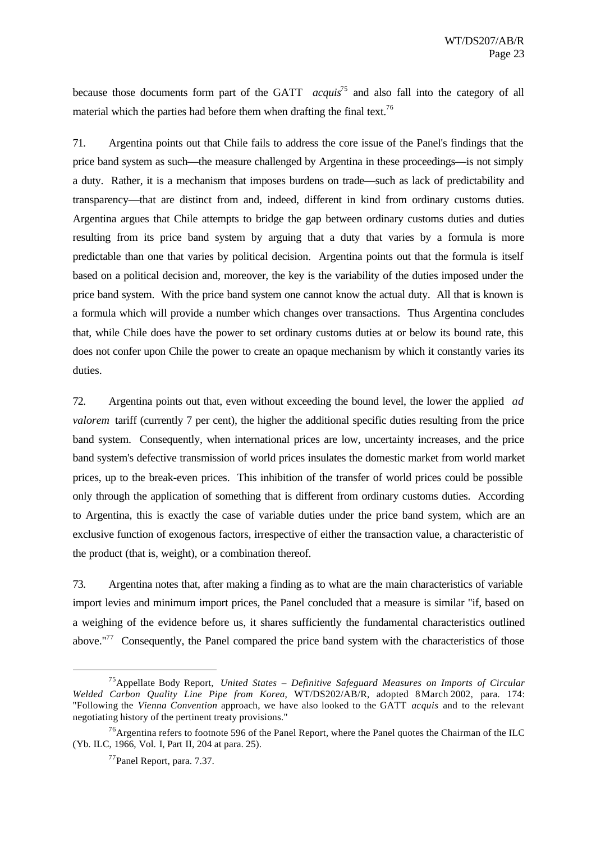because those documents form part of the GATT *acquis*<sup>75</sup> and also fall into the category of all material which the parties had before them when drafting the final text.<sup>76</sup>

71. Argentina points out that Chile fails to address the core issue of the Panel's findings that the price band system as such—the measure challenged by Argentina in these proceedings—is not simply a duty. Rather, it is a mechanism that imposes burdens on trade—such as lack of predictability and transparency—that are distinct from and, indeed, different in kind from ordinary customs duties. Argentina argues that Chile attempts to bridge the gap between ordinary customs duties and duties resulting from its price band system by arguing that a duty that varies by a formula is more predictable than one that varies by political decision. Argentina points out that the formula is itself based on a political decision and, moreover, the key is the variability of the duties imposed under the price band system. With the price band system one cannot know the actual duty. All that is known is a formula which will provide a number which changes over transactions. Thus Argentina concludes that, while Chile does have the power to set ordinary customs duties at or below its bound rate, this does not confer upon Chile the power to create an opaque mechanism by which it constantly varies its duties.

72. Argentina points out that, even without exceeding the bound level, the lower the applied *ad valorem* tariff (currently 7 per cent), the higher the additional specific duties resulting from the price band system. Consequently, when international prices are low, uncertainty increases, and the price band system's defective transmission of world prices insulates the domestic market from world market prices, up to the break-even prices. This inhibition of the transfer of world prices could be possible only through the application of something that is different from ordinary customs duties. According to Argentina, this is exactly the case of variable duties under the price band system, which are an exclusive function of exogenous factors, irrespective of either the transaction value, a characteristic of the product (that is, weight), or a combination thereof.

73. Argentina notes that, after making a finding as to what are the main characteristics of variable import levies and minimum import prices, the Panel concluded that a measure is similar "if, based on a weighing of the evidence before us, it shares sufficiently the fundamental characteristics outlined above."<sup>77</sup> Consequently, the Panel compared the price band system with the characteristics of those

<sup>75</sup>Appellate Body Report, *United States – Definitive Safeguard Measures on Imports of Circular Welded Carbon Quality Line Pipe from Korea*, WT/DS202/AB/R, adopted 8 March 2002, para. 174: "Following the *Vienna Convention* approach, we have also looked to the GATT *acquis* and to the relevant negotiating history of the pertinent treaty provisions."

 $76$ Argentina refers to footnote 596 of the Panel Report, where the Panel quotes the Chairman of the ILC (Yb. ILC, 1966, Vol. I, Part II, 204 at para. 25).

<sup>77</sup>Panel Report, para. 7.37.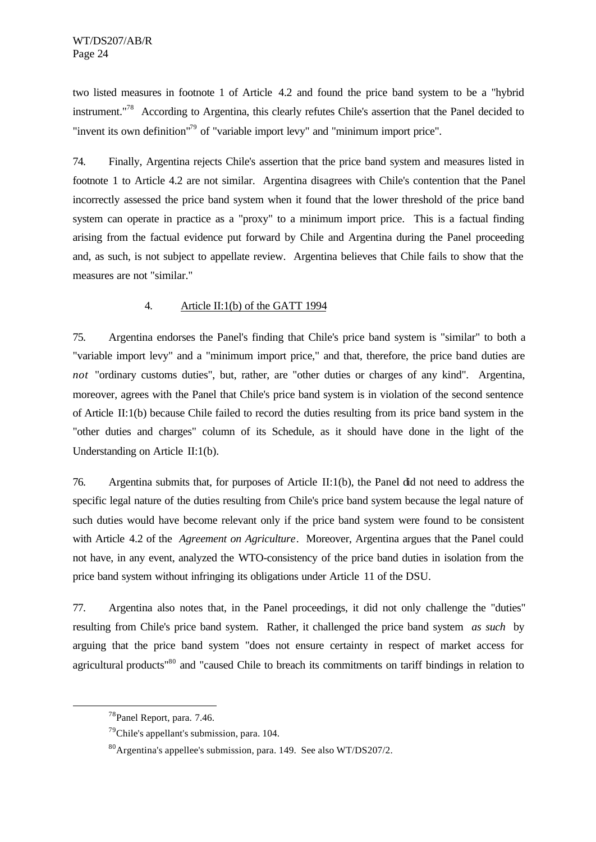two listed measures in footnote 1 of Article 4.2 and found the price band system to be a "hybrid instrument."<sup>78</sup> According to Argentina, this clearly refutes Chile's assertion that the Panel decided to "invent its own definition"<sup>79</sup> of "variable import levy" and "minimum import price".

74. Finally, Argentina rejects Chile's assertion that the price band system and measures listed in footnote 1 to Article 4.2 are not similar. Argentina disagrees with Chile's contention that the Panel incorrectly assessed the price band system when it found that the lower threshold of the price band system can operate in practice as a "proxy" to a minimum import price. This is a factual finding arising from the factual evidence put forward by Chile and Argentina during the Panel proceeding and, as such, is not subject to appellate review. Argentina believes that Chile fails to show that the measures are not "similar."

## 4. Article II:1(b) of the GATT 1994

75. Argentina endorses the Panel's finding that Chile's price band system is "similar" to both a "variable import levy" and a "minimum import price," and that, therefore, the price band duties are *not* "ordinary customs duties", but, rather, are "other duties or charges of any kind". Argentina, moreover, agrees with the Panel that Chile's price band system is in violation of the second sentence of Article II:1(b) because Chile failed to record the duties resulting from its price band system in the "other duties and charges" column of its Schedule, as it should have done in the light of the Understanding on Article II:1(b).

76. Argentina submits that, for purposes of Article II:1(b), the Panel did not need to address the specific legal nature of the duties resulting from Chile's price band system because the legal nature of such duties would have become relevant only if the price band system were found to be consistent with Article 4.2 of the *Agreement on Agriculture*. Moreover, Argentina argues that the Panel could not have, in any event, analyzed the WTO-consistency of the price band duties in isolation from the price band system without infringing its obligations under Article 11 of the DSU.

77. Argentina also notes that, in the Panel proceedings, it did not only challenge the "duties" resulting from Chile's price band system. Rather, it challenged the price band system *as such* by arguing that the price band system "does not ensure certainty in respect of market access for agricultural products<sup>"80</sup> and "caused Chile to breach its commitments on tariff bindings in relation to

<sup>78</sup>Panel Report, para. 7.46.

 $79$ Chile's appellant's submission, para. 104.

<sup>80</sup>Argentina's appellee's submission, para. 149. See also WT/DS207/2.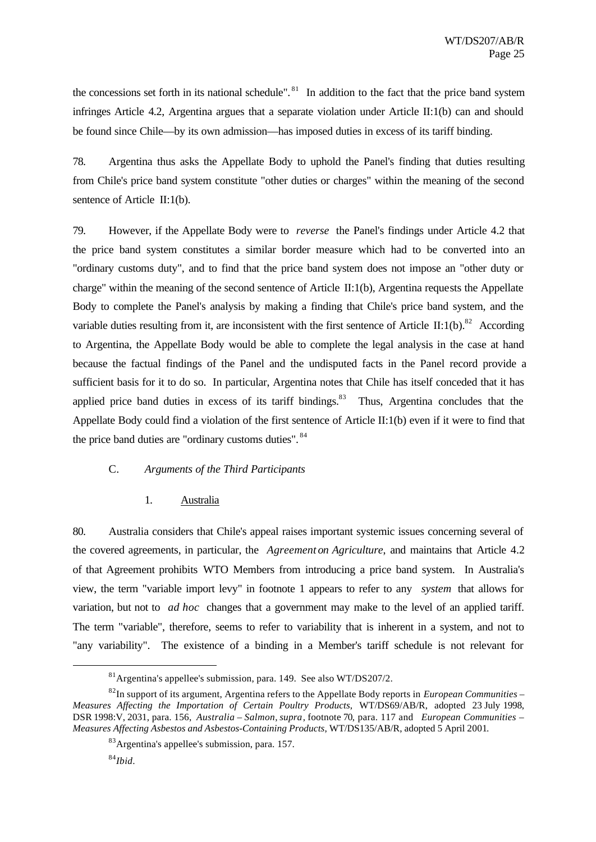the concessions set forth in its national schedule".<sup>81</sup> In addition to the fact that the price band system infringes Article 4.2, Argentina argues that a separate violation under Article II:1(b) can and should be found since Chile—by its own admission—has imposed duties in excess of its tariff binding.

78. Argentina thus asks the Appellate Body to uphold the Panel's finding that duties resulting from Chile's price band system constitute "other duties or charges" within the meaning of the second sentence of Article II:1(b).

79. However, if the Appellate Body were to *reverse* the Panel's findings under Article 4.2 that the price band system constitutes a similar border measure which had to be converted into an "ordinary customs duty", and to find that the price band system does not impose an "other duty or charge" within the meaning of the second sentence of Article II:1(b), Argentina requests the Appellate Body to complete the Panel's analysis by making a finding that Chile's price band system, and the variable duties resulting from it, are inconsistent with the first sentence of Article II:1(b).<sup>82</sup> According to Argentina, the Appellate Body would be able to complete the legal analysis in the case at hand because the factual findings of the Panel and the undisputed facts in the Panel record provide a sufficient basis for it to do so. In particular, Argentina notes that Chile has itself conceded that it has applied price band duties in excess of its tariff bindings. $83$  Thus, Argentina concludes that the Appellate Body could find a violation of the first sentence of Article II:1(b) even if it were to find that the price band duties are "ordinary customs duties". <sup>84</sup>

## C. *Arguments of the Third Participants*

#### 1. Australia

80. Australia considers that Chile's appeal raises important systemic issues concerning several of the covered agreements, in particular, the *Agreement on Agriculture*, and maintains that Article 4.2 of that Agreement prohibits WTO Members from introducing a price band system. In Australia's view, the term "variable import levy" in footnote 1 appears to refer to any *system* that allows for variation, but not to *ad hoc* changes that a government may make to the level of an applied tariff. The term "variable", therefore, seems to refer to variability that is inherent in a system, and not to "any variability". The existence of a binding in a Member's tariff schedule is not relevant for

<sup>81</sup>Argentina's appellee's submission, para. 149. See also WT/DS207/2.

<sup>82</sup>In support of its argument, Argentina refers to the Appellate Body reports in *European Communities – Measures Affecting the Importation of Certain Poultry Products*, WT/DS69/AB/R, adopted 23 July 1998, DSR 1998:V, 2031, para. 156, *Australia – Salmon*, *supra*, footnote 70, para. 117 and *European Communities – Measures Affecting Asbestos and Asbestos-Containing Products*, WT/DS135/AB/R, adopted 5 April 2001.

<sup>83</sup>Argentina's appellee's submission, para. 157.

<sup>84</sup>*Ibid*.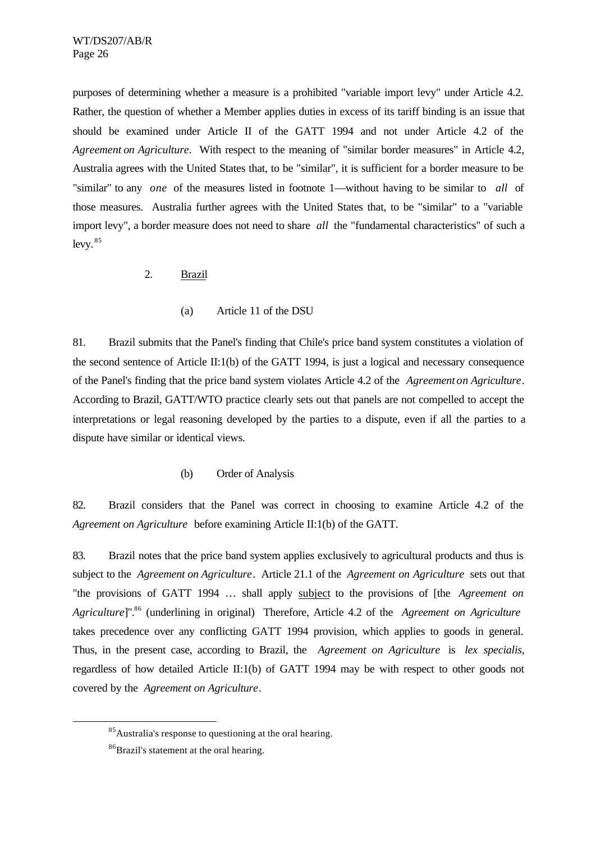purposes of determining whether a measure is a prohibited "variable import levy" under Article 4.2. Rather, the question of whether a Member applies duties in excess of its tariff binding is an issue that should be examined under Article II of the GATT 1994 and not under Article 4.2 of the *Agreement on Agriculture*. With respect to the meaning of "similar border measures" in Article 4.2, Australia agrees with the United States that, to be "similar", it is sufficient for a border measure to be "similar" to any *one* of the measures listed in footnote 1—without having to be similar to *all* of those measures. Australia further agrees with the United States that, to be "similar" to a "variable import levy", a border measure does not need to share *all* the "fundamental characteristics" of such a  $levv.<sup>85</sup>$ 

## 2. Brazil

## (a) Article 11 of the DSU

81. Brazil submits that the Panel's finding that Chile's price band system constitutes a violation of the second sentence of Article II:1(b) of the GATT 1994, is just a logical and necessary consequence of the Panel's finding that the price band system violates Article 4.2 of the *Agreement on Agriculture*. According to Brazil, GATT/WTO practice clearly sets out that panels are not compelled to accept the interpretations or legal reasoning developed by the parties to a dispute, even if all the parties to a dispute have similar or identical views.

## (b) Order of Analysis

82. Brazil considers that the Panel was correct in choosing to examine Article 4.2 of the *Agreement on Agriculture* before examining Article II:1(b) of the GATT.

83. Brazil notes that the price band system applies exclusively to agricultural products and thus is subject to the *Agreement on Agriculture*. Article 21.1 of the *Agreement on Agriculture* sets out that "the provisions of GATT 1994 … shall apply subject to the provisions of [the *Agreement on Agriculture*]".<sup>86</sup> (underlining in original) Therefore, Article 4.2 of the *Agreement on Agriculture* takes precedence over any conflicting GATT 1994 provision, which applies to goods in general. Thus, in the present case, according to Brazil, the *Agreement on Agriculture* is *lex specialis*, regardless of how detailed Article II:1(b) of GATT 1994 may be with respect to other goods not covered by the *Agreement on Agriculture*.

<sup>85</sup>Australia's response to questioning at the oral hearing.

<sup>86</sup>Brazil's statement at the oral hearing.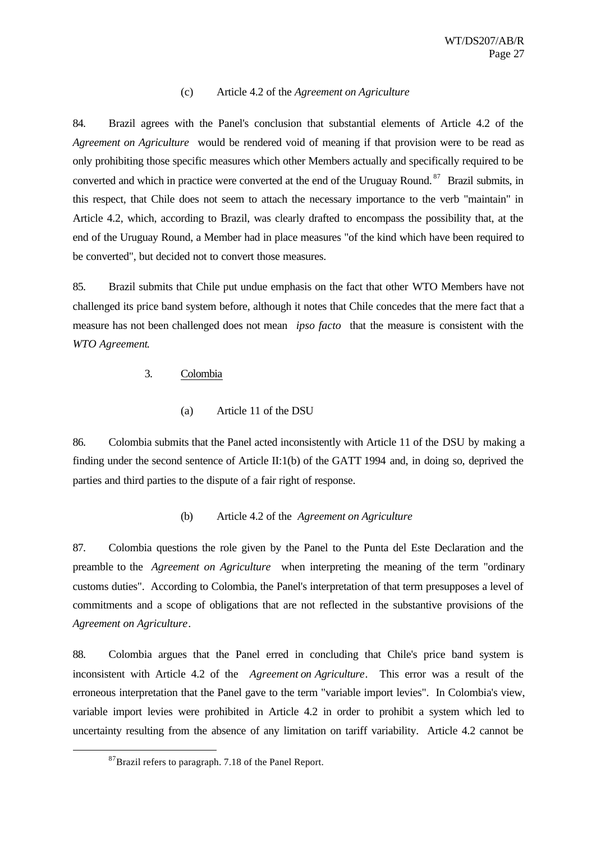## (c) Article 4.2 of the *Agreement on Agriculture*

84. Brazil agrees with the Panel's conclusion that substantial elements of Article 4.2 of the *Agreement on Agriculture* would be rendered void of meaning if that provision were to be read as only prohibiting those specific measures which other Members actually and specifically required to be converted and which in practice were converted at the end of the Uruguay Round.<sup>87</sup> Brazil submits, in this respect, that Chile does not seem to attach the necessary importance to the verb "maintain" in Article 4.2, which, according to Brazil, was clearly drafted to encompass the possibility that, at the end of the Uruguay Round, a Member had in place measures "of the kind which have been required to be converted", but decided not to convert those measures.

85. Brazil submits that Chile put undue emphasis on the fact that other WTO Members have not challenged its price band system before, although it notes that Chile concedes that the mere fact that a measure has not been challenged does not mean *ipso facto* that the measure is consistent with the *WTO Agreement*.

#### 3. Colombia

(a) Article 11 of the DSU

86. Colombia submits that the Panel acted inconsistently with Article 11 of the DSU by making a finding under the second sentence of Article II:1(b) of the GATT 1994 and, in doing so, deprived the parties and third parties to the dispute of a fair right of response.

#### (b) Article 4.2 of the *Agreement on Agriculture*

87. Colombia questions the role given by the Panel to the Punta del Este Declaration and the preamble to the *Agreement on Agriculture* when interpreting the meaning of the term "ordinary customs duties". According to Colombia, the Panel's interpretation of that term presupposes a level of commitments and a scope of obligations that are not reflected in the substantive provisions of the *Agreement on Agriculture*.

88. Colombia argues that the Panel erred in concluding that Chile's price band system is inconsistent with Article 4.2 of the *Agreement on Agriculture*. This error was a result of the erroneous interpretation that the Panel gave to the term "variable import levies". In Colombia's view, variable import levies were prohibited in Article 4.2 in order to prohibit a system which led to uncertainty resulting from the absence of any limitation on tariff variability. Article 4.2 cannot be

<sup>87</sup>Brazil refers to paragraph. 7.18 of the Panel Report.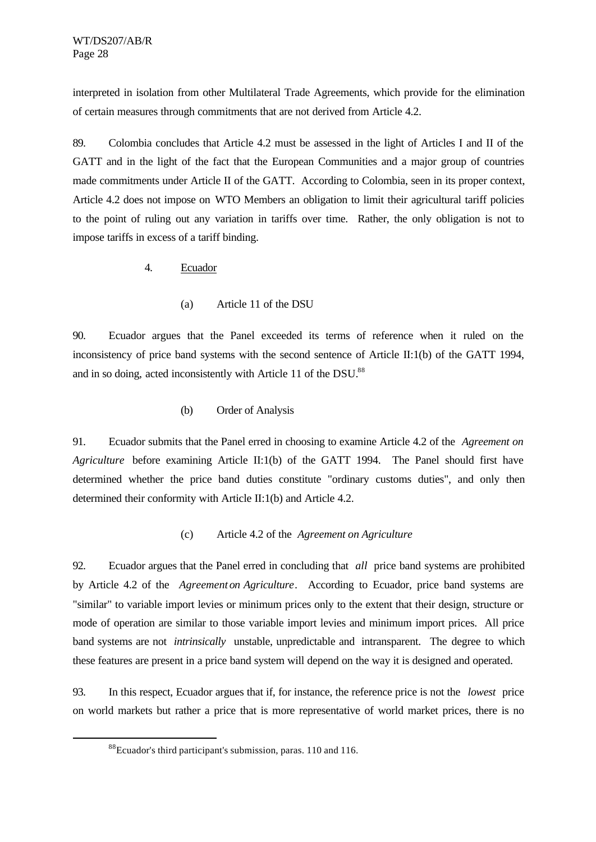interpreted in isolation from other Multilateral Trade Agreements, which provide for the elimination of certain measures through commitments that are not derived from Article 4.2.

89. Colombia concludes that Article 4.2 must be assessed in the light of Articles I and II of the GATT and in the light of the fact that the European Communities and a major group of countries made commitments under Article II of the GATT. According to Colombia, seen in its proper context, Article 4.2 does not impose on WTO Members an obligation to limit their agricultural tariff policies to the point of ruling out any variation in tariffs over time. Rather, the only obligation is not to impose tariffs in excess of a tariff binding.

- 4. Ecuador
	- (a) Article 11 of the DSU

90. Ecuador argues that the Panel exceeded its terms of reference when it ruled on the inconsistency of price band systems with the second sentence of Article II:1(b) of the GATT 1994, and in so doing, acted inconsistently with Article 11 of the DSU.<sup>88</sup>

(b) Order of Analysis

91. Ecuador submits that the Panel erred in choosing to examine Article 4.2 of the *Agreement on Agriculture* before examining Article II:1(b) of the GATT 1994. The Panel should first have determined whether the price band duties constitute "ordinary customs duties", and only then determined their conformity with Article II:1(b) and Article 4.2.

## (c) Article 4.2 of the *Agreement on Agriculture*

92. Ecuador argues that the Panel erred in concluding that *all* price band systems are prohibited by Article 4.2 of the *Agreement on Agriculture*. According to Ecuador, price band systems are "similar" to variable import levies or minimum prices only to the extent that their design, structure or mode of operation are similar to those variable import levies and minimum import prices. All price band systems are not *intrinsically* unstable, unpredictable and intransparent. The degree to which these features are present in a price band system will depend on the way it is designed and operated.

93. In this respect, Ecuador argues that if, for instance, the reference price is not the *lowest* price on world markets but rather a price that is more representative of world market prices, there is no

<sup>88</sup>Ecuador's third participant's submission, paras. 110 and 116.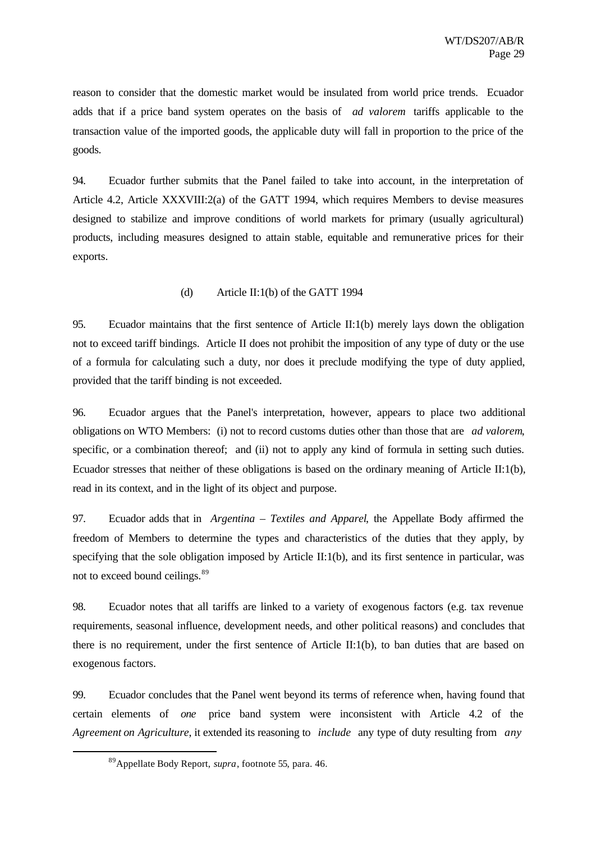reason to consider that the domestic market would be insulated from world price trends. Ecuador adds that if a price band system operates on the basis of *ad valorem* tariffs applicable to the transaction value of the imported goods, the applicable duty will fall in proportion to the price of the goods.

94. Ecuador further submits that the Panel failed to take into account, in the interpretation of Article 4.2, Article XXXVIII:2(a) of the GATT 1994, which requires Members to devise measures designed to stabilize and improve conditions of world markets for primary (usually agricultural) products, including measures designed to attain stable, equitable and remunerative prices for their exports.

#### (d) Article II:1(b) of the GATT 1994

95. Ecuador maintains that the first sentence of Article II:1(b) merely lays down the obligation not to exceed tariff bindings. Article II does not prohibit the imposition of any type of duty or the use of a formula for calculating such a duty, nor does it preclude modifying the type of duty applied, provided that the tariff binding is not exceeded.

96. Ecuador argues that the Panel's interpretation, however, appears to place two additional obligations on WTO Members: (i) not to record customs duties other than those that are *ad valorem*, specific, or a combination thereof; and (ii) not to apply any kind of formula in setting such duties. Ecuador stresses that neither of these obligations is based on the ordinary meaning of Article II:1(b), read in its context, and in the light of its object and purpose.

97. Ecuador adds that in *Argentina – Textiles and Apparel*, the Appellate Body affirmed the freedom of Members to determine the types and characteristics of the duties that they apply, by specifying that the sole obligation imposed by Article II:1(b), and its first sentence in particular, was not to exceed bound ceilings.<sup>89</sup>

98. Ecuador notes that all tariffs are linked to a variety of exogenous factors (e.g. tax revenue requirements, seasonal influence, development needs, and other political reasons) and concludes that there is no requirement, under the first sentence of Article II:1(b), to ban duties that are based on exogenous factors.

99. Ecuador concludes that the Panel went beyond its terms of reference when, having found that certain elements of *one* price band system were inconsistent with Article 4.2 of the *Agreement on Agriculture*, it extended its reasoning to *include* any type of duty resulting from *any*

<sup>89</sup>Appellate Body Report, *supra*, footnote 55, para. 46.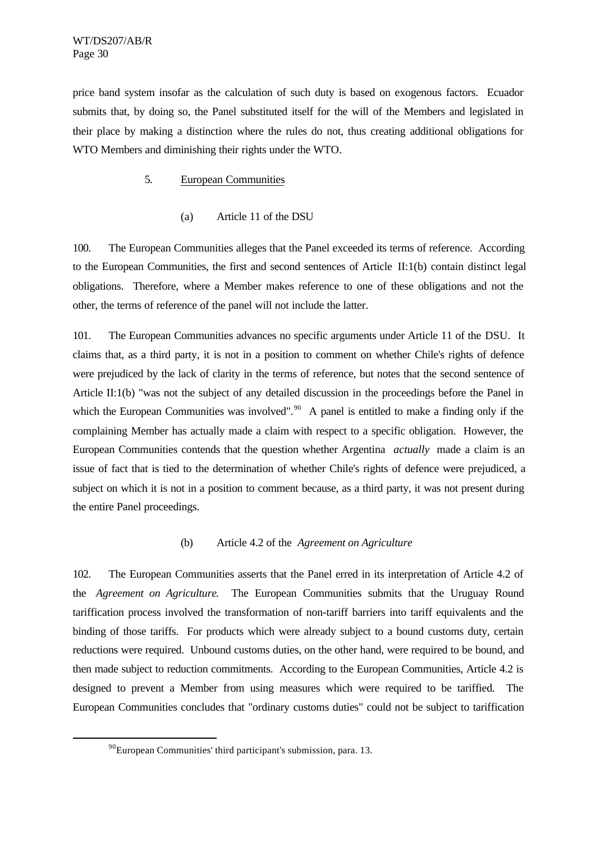price band system insofar as the calculation of such duty is based on exogenous factors. Ecuador submits that, by doing so, the Panel substituted itself for the will of the Members and legislated in their place by making a distinction where the rules do not, thus creating additional obligations for WTO Members and diminishing their rights under the WTO.

#### 5. European Communities

(a) Article 11 of the DSU

100. The European Communities alleges that the Panel exceeded its terms of reference. According to the European Communities, the first and second sentences of Article II:1(b) contain distinct legal obligations. Therefore, where a Member makes reference to one of these obligations and not the other, the terms of reference of the panel will not include the latter.

101. The European Communities advances no specific arguments under Article 11 of the DSU. It claims that, as a third party, it is not in a position to comment on whether Chile's rights of defence were prejudiced by the lack of clarity in the terms of reference, but notes that the second sentence of Article II:1(b) "was not the subject of any detailed discussion in the proceedings before the Panel in which the European Communities was involved". $90$  A panel is entitled to make a finding only if the complaining Member has actually made a claim with respect to a specific obligation. However, the European Communities contends that the question whether Argentina *actually* made a claim is an issue of fact that is tied to the determination of whether Chile's rights of defence were prejudiced, a subject on which it is not in a position to comment because, as a third party, it was not present during the entire Panel proceedings.

## (b) Article 4.2 of the *Agreement on Agriculture*

102. The European Communities asserts that the Panel erred in its interpretation of Article 4.2 of the *Agreement on Agriculture*. The European Communities submits that the Uruguay Round tariffication process involved the transformation of non-tariff barriers into tariff equivalents and the binding of those tariffs. For products which were already subject to a bound customs duty, certain reductions were required. Unbound customs duties, on the other hand, were required to be bound, and then made subject to reduction commitments. According to the European Communities, Article 4.2 is designed to prevent a Member from using measures which were required to be tariffied. The European Communities concludes that "ordinary customs duties" could not be subject to tariffication

 $90$ European Communities' third participant's submission, para. 13.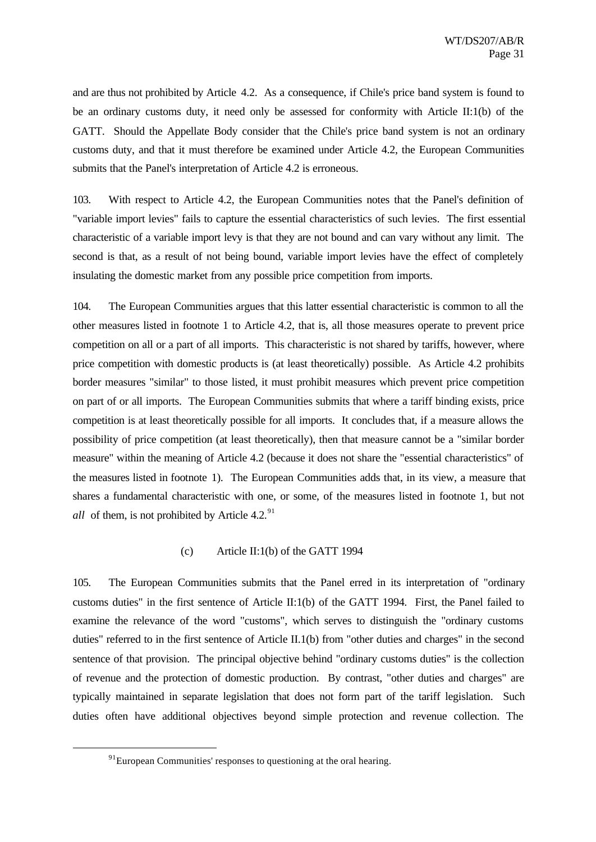and are thus not prohibited by Article 4.2. As a consequence, if Chile's price band system is found to be an ordinary customs duty, it need only be assessed for conformity with Article II:1(b) of the GATT. Should the Appellate Body consider that the Chile's price band system is not an ordinary customs duty, and that it must therefore be examined under Article 4.2, the European Communities submits that the Panel's interpretation of Article 4.2 is erroneous.

103. With respect to Article 4.2, the European Communities notes that the Panel's definition of "variable import levies" fails to capture the essential characteristics of such levies. The first essential characteristic of a variable import levy is that they are not bound and can vary without any limit. The second is that, as a result of not being bound, variable import levies have the effect of completely insulating the domestic market from any possible price competition from imports.

104. The European Communities argues that this latter essential characteristic is common to all the other measures listed in footnote 1 to Article 4.2, that is, all those measures operate to prevent price competition on all or a part of all imports. This characteristic is not shared by tariffs, however, where price competition with domestic products is (at least theoretically) possible. As Article 4.2 prohibits border measures "similar" to those listed, it must prohibit measures which prevent price competition on part of or all imports. The European Communities submits that where a tariff binding exists, price competition is at least theoretically possible for all imports. It concludes that, if a measure allows the possibility of price competition (at least theoretically), then that measure cannot be a "similar border measure" within the meaning of Article 4.2 (because it does not share the "essential characteristics" of the measures listed in footnote 1). The European Communities adds that, in its view, a measure that shares a fundamental characteristic with one, or some, of the measures listed in footnote 1, but not *all* of them, is not prohibited by Article 4.2. $91$ 

#### (c) Article II:1(b) of the GATT 1994

105. The European Communities submits that the Panel erred in its interpretation of "ordinary customs duties" in the first sentence of Article II:1(b) of the GATT 1994. First, the Panel failed to examine the relevance of the word "customs", which serves to distinguish the "ordinary customs duties" referred to in the first sentence of Article II.1(b) from "other duties and charges" in the second sentence of that provision. The principal objective behind "ordinary customs duties" is the collection of revenue and the protection of domestic production. By contrast, "other duties and charges" are typically maintained in separate legislation that does not form part of the tariff legislation. Such duties often have additional objectives beyond simple protection and revenue collection. The

 $91$ European Communities' responses to questioning at the oral hearing.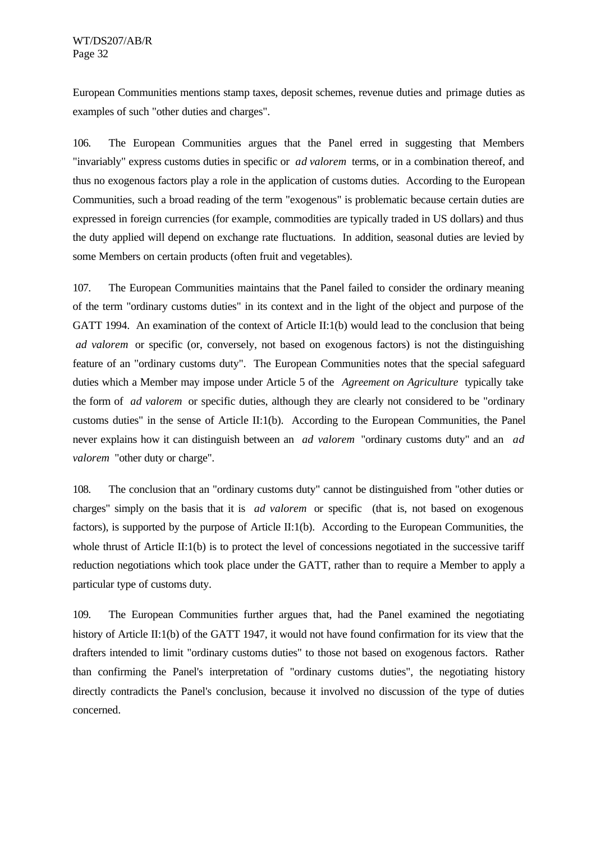European Communities mentions stamp taxes, deposit schemes, revenue duties and primage duties as examples of such "other duties and charges".

106. The European Communities argues that the Panel erred in suggesting that Members "invariably" express customs duties in specific or *ad valorem* terms, or in a combination thereof, and thus no exogenous factors play a role in the application of customs duties. According to the European Communities, such a broad reading of the term "exogenous" is problematic because certain duties are expressed in foreign currencies (for example, commodities are typically traded in US dollars) and thus the duty applied will depend on exchange rate fluctuations. In addition, seasonal duties are levied by some Members on certain products (often fruit and vegetables).

107. The European Communities maintains that the Panel failed to consider the ordinary meaning of the term "ordinary customs duties" in its context and in the light of the object and purpose of the GATT 1994. An examination of the context of Article II:1(b) would lead to the conclusion that being *ad valorem* or specific (or, conversely, not based on exogenous factors) is not the distinguishing feature of an "ordinary customs duty". The European Communities notes that the special safeguard duties which a Member may impose under Article 5 of the *Agreement on Agriculture* typically take the form of *ad valorem* or specific duties, although they are clearly not considered to be "ordinary customs duties" in the sense of Article II:1(b). According to the European Communities, the Panel never explains how it can distinguish between an *ad valorem* "ordinary customs duty" and an *ad valorem* "other duty or charge".

108. The conclusion that an "ordinary customs duty" cannot be distinguished from "other duties or charges" simply on the basis that it is *ad valorem* or specific (that is, not based on exogenous factors), is supported by the purpose of Article II:1(b). According to the European Communities, the whole thrust of Article II:1(b) is to protect the level of concessions negotiated in the successive tariff reduction negotiations which took place under the GATT, rather than to require a Member to apply a particular type of customs duty.

109. The European Communities further argues that, had the Panel examined the negotiating history of Article II:1(b) of the GATT 1947, it would not have found confirmation for its view that the drafters intended to limit "ordinary customs duties" to those not based on exogenous factors. Rather than confirming the Panel's interpretation of "ordinary customs duties", the negotiating history directly contradicts the Panel's conclusion, because it involved no discussion of the type of duties concerned.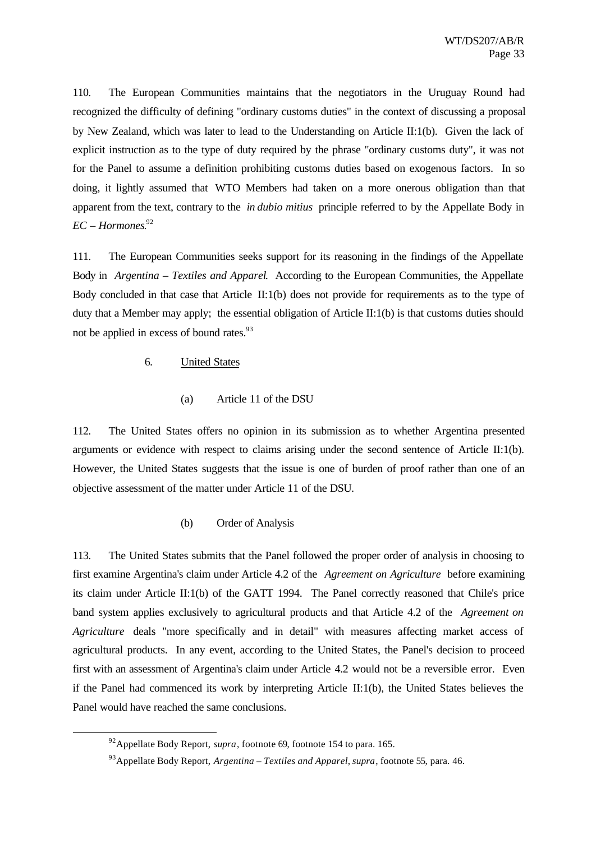110. The European Communities maintains that the negotiators in the Uruguay Round had recognized the difficulty of defining "ordinary customs duties" in the context of discussing a proposal by New Zealand, which was later to lead to the Understanding on Article II:1(b). Given the lack of explicit instruction as to the type of duty required by the phrase "ordinary customs duty", it was not for the Panel to assume a definition prohibiting customs duties based on exogenous factors. In so doing, it lightly assumed that WTO Members had taken on a more onerous obligation than that apparent from the text, contrary to the *in dubio mitius* principle referred to by the Appellate Body in *EC – Hormones*. 92

111. The European Communities seeks support for its reasoning in the findings of the Appellate Body in *Argentina – Textiles and Apparel*. According to the European Communities, the Appellate Body concluded in that case that Article II:1(b) does not provide for requirements as to the type of duty that a Member may apply; the essential obligation of Article II:1(b) is that customs duties should not be applied in excess of bound rates.<sup>93</sup>

### 6. United States

#### (a) Article 11 of the DSU

112. The United States offers no opinion in its submission as to whether Argentina presented arguments or evidence with respect to claims arising under the second sentence of Article II:1(b). However, the United States suggests that the issue is one of burden of proof rather than one of an objective assessment of the matter under Article 11 of the DSU.

### (b) Order of Analysis

113. The United States submits that the Panel followed the proper order of analysis in choosing to first examine Argentina's claim under Article 4.2 of the *Agreement on Agriculture* before examining its claim under Article II:1(b) of the GATT 1994. The Panel correctly reasoned that Chile's price band system applies exclusively to agricultural products and that Article 4.2 of the *Agreement on Agriculture* deals "more specifically and in detail" with measures affecting market access of agricultural products. In any event, according to the United States, the Panel's decision to proceed first with an assessment of Argentina's claim under Article 4.2 would not be a reversible error. Even if the Panel had commenced its work by interpreting Article II:1(b), the United States believes the Panel would have reached the same conclusions.

<sup>92</sup>Appellate Body Report, *supra*, footnote 69, footnote 154 to para. 165.

<sup>93</sup>Appellate Body Report, *Argentina – Textiles and Apparel*, *supra*, footnote 55, para. 46.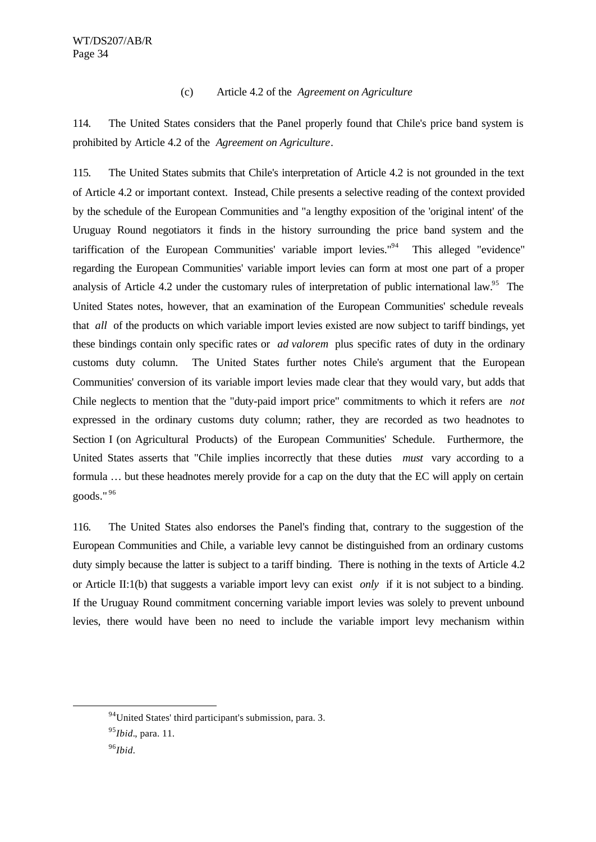(c) Article 4.2 of the *Agreement on Agriculture*

114. The United States considers that the Panel properly found that Chile's price band system is prohibited by Article 4.2 of the *Agreement on Agriculture*.

115. The United States submits that Chile's interpretation of Article 4.2 is not grounded in the text of Article 4.2 or important context. Instead, Chile presents a selective reading of the context provided by the schedule of the European Communities and "a lengthy exposition of the 'original intent' of the Uruguay Round negotiators it finds in the history surrounding the price band system and the tariffication of the European Communities' variable import levies." $94$  This alleged "evidence" regarding the European Communities' variable import levies can form at most one part of a proper analysis of Article 4.2 under the customary rules of interpretation of public international law.<sup>95</sup> The United States notes, however, that an examination of the European Communities' schedule reveals that *all* of the products on which variable import levies existed are now subject to tariff bindings, yet these bindings contain only specific rates or *ad valorem* plus specific rates of duty in the ordinary customs duty column. The United States further notes Chile's argument that the European Communities' conversion of its variable import levies made clear that they would vary, but adds that Chile neglects to mention that the "duty-paid import price" commitments to which it refers are *not* expressed in the ordinary customs duty column; rather, they are recorded as two headnotes to Section I (on Agricultural Products) of the European Communities' Schedule. Furthermore, the United States asserts that "Chile implies incorrectly that these duties *must* vary according to a formula ... but these headnotes merely provide for a cap on the duty that the EC will apply on certain goods." <sup>96</sup>

116. The United States also endorses the Panel's finding that, contrary to the suggestion of the European Communities and Chile, a variable levy cannot be distinguished from an ordinary customs duty simply because the latter is subject to a tariff binding. There is nothing in the texts of Article 4.2 or Article II:1(b) that suggests a variable import levy can exist *only* if it is not subject to a binding. If the Uruguay Round commitment concerning variable import levies was solely to prevent unbound levies, there would have been no need to include the variable import levy mechanism within

<sup>95</sup>*Ibid.*, para. 11.

<sup>94</sup>United States' third participant's submission, para. 3.

<sup>96</sup>*Ibid.*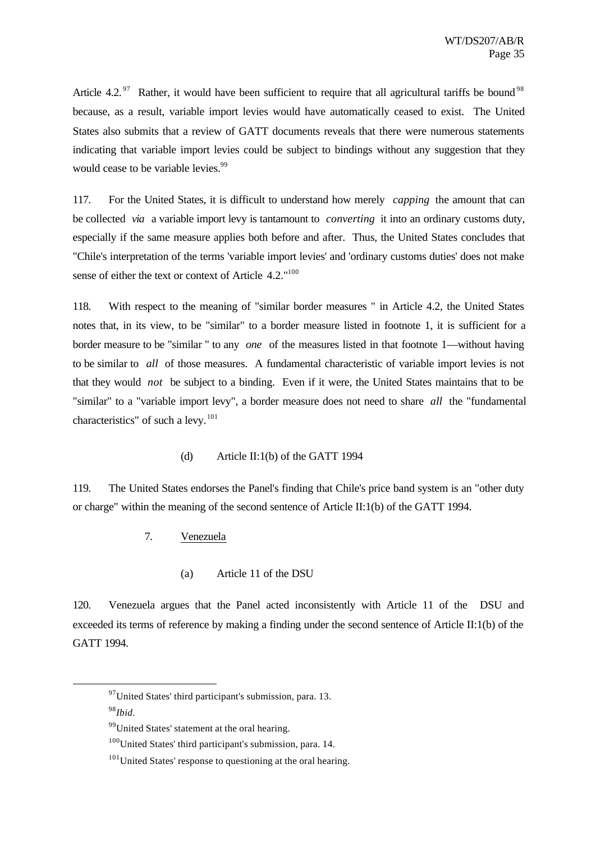Article 4.2. <sup>97</sup> Rather, it would have been sufficient to require that all agricultural tariffs be bound<sup>98</sup> because, as a result, variable import levies would have automatically ceased to exist. The United States also submits that a review of GATT documents reveals that there were numerous statements indicating that variable import levies could be subject to bindings without any suggestion that they would cease to be variable levies.<sup>99</sup>

117. For the United States, it is difficult to understand how merely *capping* the amount that can be collected *via* a variable import levy is tantamount to *converting* it into an ordinary customs duty, especially if the same measure applies both before and after. Thus, the United States concludes that "Chile's interpretation of the terms 'variable import levies' and 'ordinary customs duties' does not make sense of either the text or context of Article 4.2."<sup>100</sup>

118. With respect to the meaning of "similar border measures " in Article 4.2, the United States notes that, in its view, to be "similar" to a border measure listed in footnote 1, it is sufficient for a border measure to be "similar " to any *one* of the measures listed in that footnote 1—without having to be similar to *all* of those measures. A fundamental characteristic of variable import levies is not that they would *not* be subject to a binding. Even if it were, the United States maintains that to be "similar" to a "variable import levy", a border measure does not need to share *all* the "fundamental characteristics" of such a levy.<sup>101</sup>

### (d) Article II:1(b) of the GATT 1994

119. The United States endorses the Panel's finding that Chile's price band system is an "other duty or charge" within the meaning of the second sentence of Article II:1(b) of the GATT 1994.

- 7. Venezuela
	- (a) Article 11 of the DSU

120. Venezuela argues that the Panel acted inconsistently with Article 11 of the DSU and exceeded its terms of reference by making a finding under the second sentence of Article II:1(b) of the GATT 1994.

<sup>97</sup>United States' third participant's submission, para. 13.

<sup>98</sup>*Ibid*.

<sup>&</sup>lt;sup>99</sup>United States' statement at the oral hearing.

 $100$ United States' third participant's submission, para. 14.

 $101$ United States' response to questioning at the oral hearing.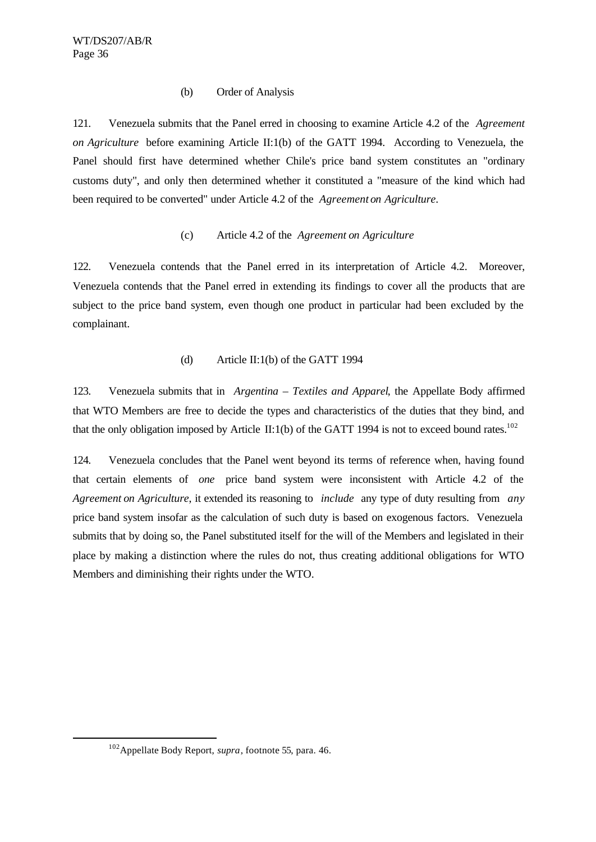## (b) Order of Analysis

121. Venezuela submits that the Panel erred in choosing to examine Article 4.2 of the *Agreement on Agriculture* before examining Article II:1(b) of the GATT 1994. According to Venezuela, the Panel should first have determined whether Chile's price band system constitutes an "ordinary customs duty", and only then determined whether it constituted a "measure of the kind which had been required to be converted" under Article 4.2 of the *Agreement on Agriculture*.

# (c) Article 4.2 of the *Agreement on Agriculture*

122. Venezuela contends that the Panel erred in its interpretation of Article 4.2. Moreover, Venezuela contends that the Panel erred in extending its findings to cover all the products that are subject to the price band system, even though one product in particular had been excluded by the complainant.

## (d) Article II:1(b) of the GATT 1994

123. Venezuela submits that in *Argentina – Textiles and Apparel*, the Appellate Body affirmed that WTO Members are free to decide the types and characteristics of the duties that they bind, and that the only obligation imposed by Article II:1(b) of the GATT 1994 is not to exceed bound rates.<sup>102</sup>

124. Venezuela concludes that the Panel went beyond its terms of reference when, having found that certain elements of *one* price band system were inconsistent with Article 4.2 of the *Agreement on Agriculture*, it extended its reasoning to *include* any type of duty resulting from *any* price band system insofar as the calculation of such duty is based on exogenous factors. Venezuela submits that by doing so, the Panel substituted itself for the will of the Members and legislated in their place by making a distinction where the rules do not, thus creating additional obligations for WTO Members and diminishing their rights under the WTO.

<sup>102</sup>Appellate Body Report, *supra*, footnote 55, para. 46.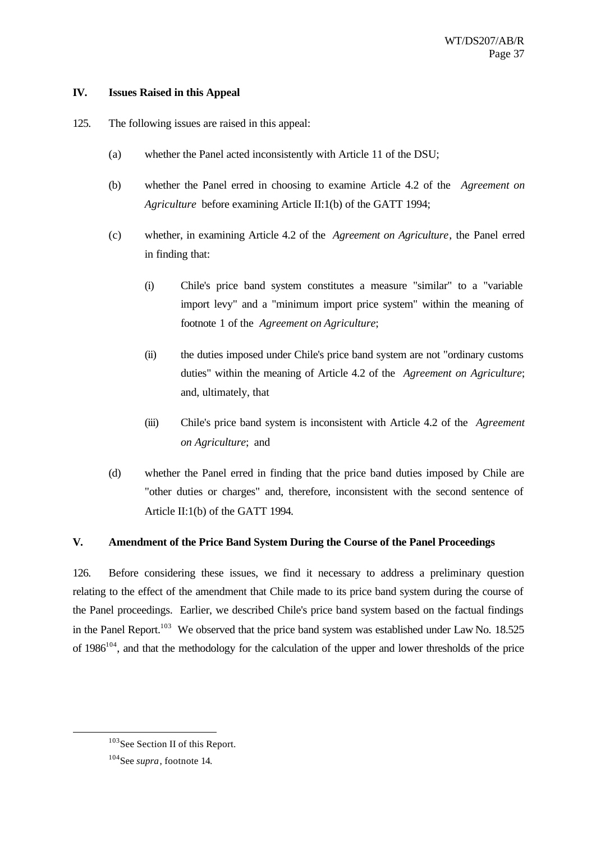#### **IV. Issues Raised in this Appeal**

- 125. The following issues are raised in this appeal:
	- (a) whether the Panel acted inconsistently with Article 11 of the DSU;
	- (b) whether the Panel erred in choosing to examine Article 4.2 of the *Agreement on Agriculture* before examining Article II:1(b) of the GATT 1994;
	- (c) whether, in examining Article 4.2 of the *Agreement on Agriculture*, the Panel erred in finding that:
		- (i) Chile's price band system constitutes a measure "similar" to a "variable import levy" and a "minimum import price system" within the meaning of footnote 1 of the *Agreement on Agriculture*;
		- (ii) the duties imposed under Chile's price band system are not "ordinary customs duties" within the meaning of Article 4.2 of the *Agreement on Agriculture*; and, ultimately, that
		- (iii) Chile's price band system is inconsistent with Article 4.2 of the *Agreement on Agriculture*; and
	- (d) whether the Panel erred in finding that the price band duties imposed by Chile are "other duties or charges" and, therefore, inconsistent with the second sentence of Article II:1(b) of the GATT 1994.

### **V. Amendment of the Price Band System During the Course of the Panel Proceedings**

126. Before considering these issues, we find it necessary to address a preliminary question relating to the effect of the amendment that Chile made to its price band system during the course of the Panel proceedings. Earlier, we described Chile's price band system based on the factual findings in the Panel Report.<sup>103</sup> We observed that the price band system was established under Law No. 18.525 of  $1986^{104}$ , and that the methodology for the calculation of the upper and lower thresholds of the price

<sup>&</sup>lt;sup>103</sup>See Section II of this Report.

<sup>104</sup>See *supra*, footnote 14.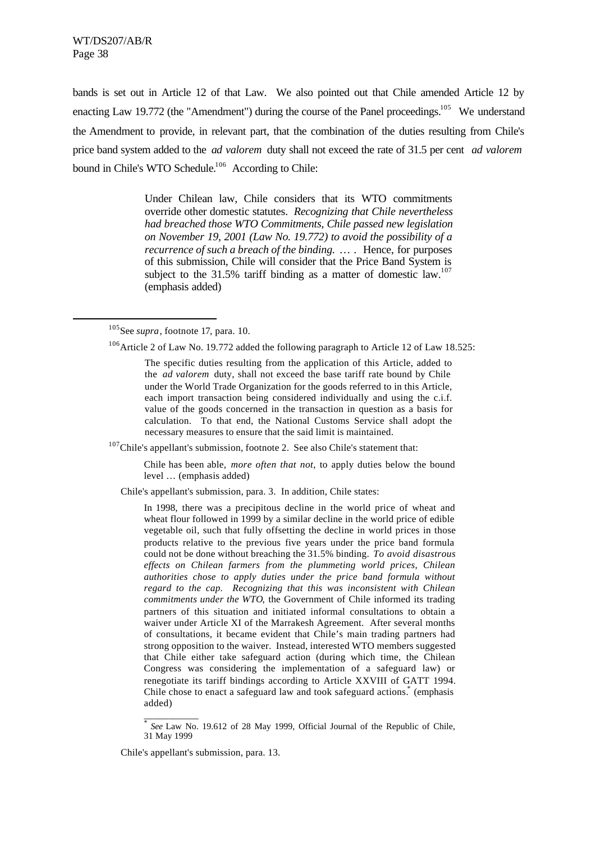l

bands is set out in Article 12 of that Law. We also pointed out that Chile amended Article 12 by enacting Law 19.772 (the "Amendment") during the course of the Panel proceedings.<sup>105</sup> We understand the Amendment to provide, in relevant part, that the combination of the duties resulting from Chile's price band system added to the *ad valorem* duty shall not exceed the rate of 31.5 per cent *ad valorem* bound in Chile's WTO Schedule.<sup>106</sup> According to Chile:

> Under Chilean law, Chile considers that its WTO commitments override other domestic statutes. *Recognizing that Chile nevertheless had breached those WTO Commitments, Chile passed new legislation on November 19, 2001 (Law No. 19.772) to avoid the possibility of a recurrence of such a breach of the binding.* ... . Hence, for purposes of this submission, Chile will consider that the Price Band System is subject to the 31.5% tariff binding as a matter of domestic law.<sup>107</sup> (emphasis added)

<sup>106</sup> Article 2 of Law No. 19.772 added the following paragraph to Article 12 of Law 18.525:

The specific duties resulting from the application of this Article, added to the *ad valorem* duty, shall not exceed the base tariff rate bound by Chile under the World Trade Organization for the goods referred to in this Article, each import transaction being considered individually and using the c.i.f. value of the goods concerned in the transaction in question as a basis for calculation. To that end, the National Customs Service shall adopt the necessary measures to ensure that the said limit is maintained.

 $107$ Chile's appellant's submission, footnote 2. See also Chile's statement that:

Chile has been able, *more often that not*, to apply duties below the bound level … (emphasis added)

Chile's appellant's submission, para. 3. In addition, Chile states:

In 1998, there was a precipitous decline in the world price of wheat and wheat flour followed in 1999 by a similar decline in the world price of edible vegetable oil, such that fully offsetting the decline in world prices in those products relative to the previous five years under the price band formula could not be done without breaching the 31.5% binding. *To avoid disastrous effects on Chilean farmers from the plummeting world prices, Chilean authorities chose to apply duties under the price band formula without regard to the cap. Recognizing that this was inconsistent with Chilean commitments under the WTO*, the Government of Chile informed its trading partners of this situation and initiated informal consultations to obtain a waiver under Article XI of the Marrakesh Agreement. After several months of consultations, it became evident that Chile's main trading partners had strong opposition to the waiver. Instead, interested WTO members suggested that Chile either take safeguard action (during which time, the Chilean Congress was considering the implementation of a safeguard law) or renegotiate its tariff bindings according to Article XXVIII of GATT 1994. Chile chose to enact a safeguard law and took safeguard actions.\* (emphasis added)

Chile's appellant's submission, para. 13.

\_\_\_\_\_\_\_\_\_\_\_

<sup>105</sup>See *supra*, footnote 17, para. 10.

<sup>\*</sup> *See* Law No. 19.612 of 28 May 1999, Official Journal of the Republic of Chile, 31 May 1999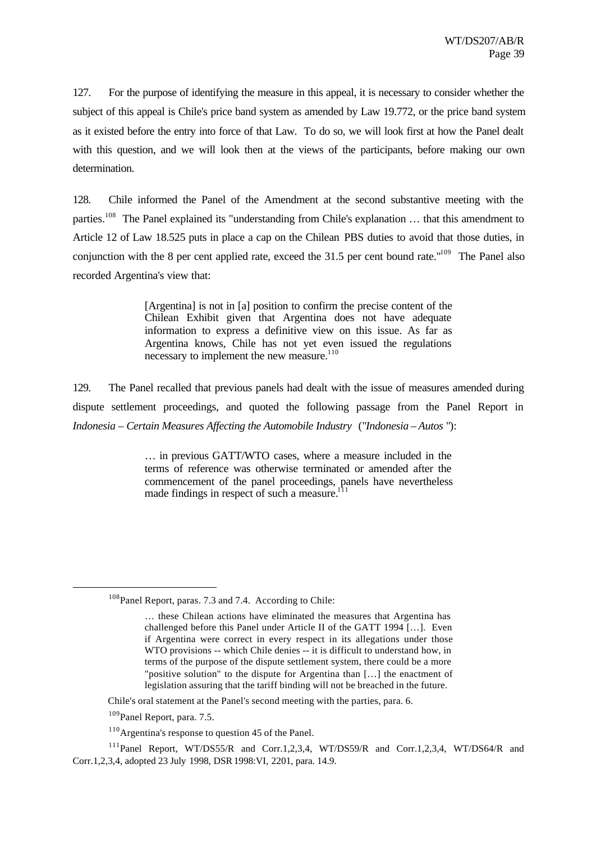127. For the purpose of identifying the measure in this appeal, it is necessary to consider whether the subject of this appeal is Chile's price band system as amended by Law 19.772, or the price band system as it existed before the entry into force of that Law. To do so, we will look first at how the Panel dealt with this question, and we will look then at the views of the participants, before making our own determination.

128. Chile informed the Panel of the Amendment at the second substantive meeting with the parties.<sup>108</sup> The Panel explained its "understanding from Chile's explanation ... that this amendment to Article 12 of Law 18.525 puts in place a cap on the Chilean PBS duties to avoid that those duties, in conjunction with the 8 per cent applied rate, exceed the 31.5 per cent bound rate."<sup>109</sup> The Panel also recorded Argentina's view that:

> [Argentina] is not in [a] position to confirm the precise content of the Chilean Exhibit given that Argentina does not have adequate information to express a definitive view on this issue. As far as Argentina knows, Chile has not yet even issued the regulations necessary to implement the new measure. $110$

129. The Panel recalled that previous panels had dealt with the issue of measures amended during dispute settlement proceedings, and quoted the following passage from the Panel Report in *Indonesia – Certain Measures Affecting the Automobile Industry* ("*Indonesia – Autos* "):

> … in previous GATT/WTO cases, where a measure included in the terms of reference was otherwise terminated or amended after the commencement of the panel proceedings, panels have nevertheless made findings in respect of such a measure.

l

<sup>110</sup>Argentina's response to question 45 of the Panel.

<sup>111</sup>Panel Report, WT/DS55/R and Corr.1,2,3,4, WT/DS59/R and Corr.1,2,3,4, WT/DS64/R and Corr.1,2,3,4, adopted 23 July 1998, DSR 1998:VI, 2201, para. 14.9.

<sup>&</sup>lt;sup>108</sup>Panel Report, paras. 7.3 and 7.4. According to Chile:

<sup>…</sup> these Chilean actions have eliminated the measures that Argentina has challenged before this Panel under Article II of the GATT 1994 […]. Even if Argentina were correct in every respect in its allegations under those WTO provisions -- which Chile denies -- it is difficult to understand how, in terms of the purpose of the dispute settlement system, there could be a more "positive solution" to the dispute for Argentina than […] the enactment of legislation assuring that the tariff binding will not be breached in the future.

Chile's oral statement at the Panel's second meeting with the parties, para. 6.

<sup>&</sup>lt;sup>109</sup>Panel Report, para. 7.5.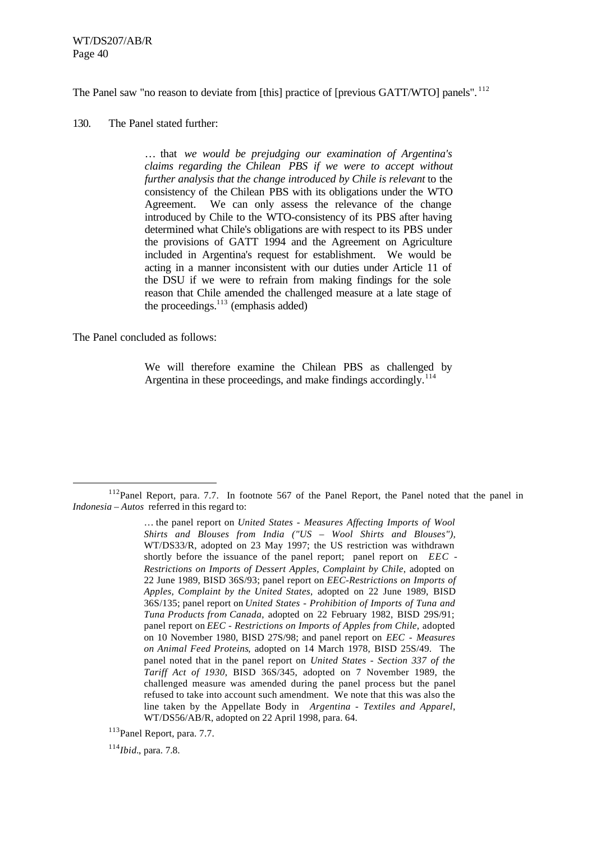WT/DS207/AB/R Page 40

The Panel saw "no reason to deviate from [this] practice of [previous GATT/WTO] panels". <sup>112</sup>

130. The Panel stated further:

… that *we would be prejudging our examination of Argentina's claims regarding the Chilean PBS if we were to accept without further analysis that the change introduced by Chile is relevant* to the consistency of the Chilean PBS with its obligations under the WTO Agreement. We can only assess the relevance of the change introduced by Chile to the WTO-consistency of its PBS after having determined what Chile's obligations are with respect to its PBS under the provisions of GATT 1994 and the Agreement on Agriculture included in Argentina's request for establishment. We would be acting in a manner inconsistent with our duties under Article 11 of the DSU if we were to refrain from making findings for the sole reason that Chile amended the challenged measure at a late stage of the proceedings. $113$  (emphasis added)

The Panel concluded as follows:

l

We will therefore examine the Chilean PBS as challenged by Argentina in these proceedings, and make findings accordingly.<sup>114</sup>

<sup>113</sup>Panel Report, para. 7.7.

<sup>114</sup>*Ibid.*, para. 7.8.

<sup>&</sup>lt;sup>112</sup>Panel Report, para. 7.7. In footnote 567 of the Panel Report, the Panel noted that the panel in *Indonesia – Autos* referred in this regard to:

<sup>…</sup> the panel report on *United States - Measures Affecting Imports of Wool Shirts and Blouses from India ("US – Wool Shirts and Blouses"),* WT/DS33/R, adopted on 23 May 1997; the US restriction was withdrawn shortly before the issuance of the panel report; panel report on *EEC - Restrictions on Imports of Dessert Apples, Complaint by Chile*, adopted on 22 June 1989, BISD 36S/93; panel report on *EEC-Restrictions on Imports of Apples, Complaint by the United States*, adopted on 22 June 1989, BISD 36S/135; panel report on *United States - Prohibition of Imports of Tuna and Tuna Products from Canada*, adopted on 22 February 1982, BISD 29S/91; panel report on *EEC - Restrictions on Imports of Apples from Chile*, adopted on 10 November 1980, BISD 27S/98; and panel report on *EEC - Measures on Animal Feed Proteins*, adopted on 14 March 1978, BISD 25S/49. The panel noted that in the panel report on *United States - Section 337 of the Tariff Act of 1930*, BISD 36S/345, adopted on 7 November 1989, the challenged measure was amended during the panel process but the panel refused to take into account such amendment. We note that this was also the line taken by the Appellate Body in *Argentina - Textiles and Apparel*, WT/DS56/AB/R, adopted on 22 April 1998, para. 64.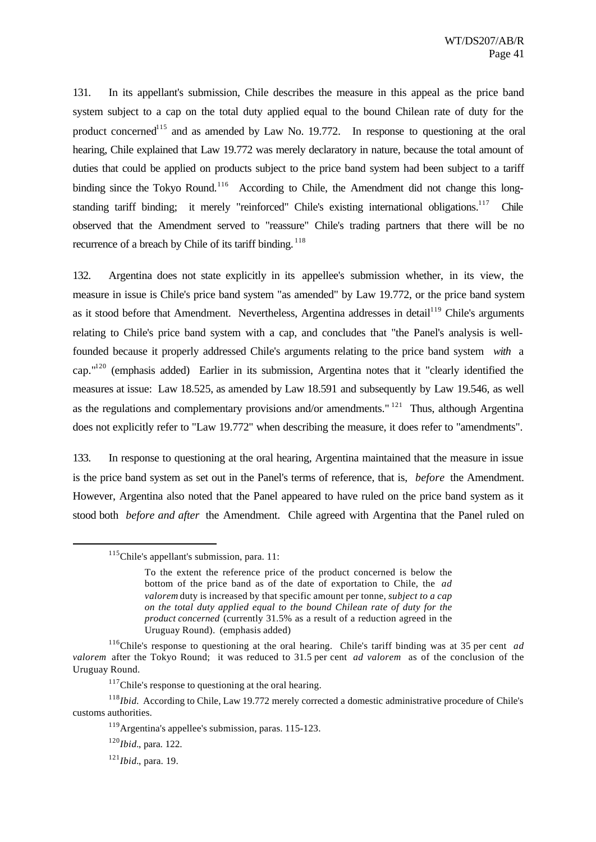131. In its appellant's submission, Chile describes the measure in this appeal as the price band system subject to a cap on the total duty applied equal to the bound Chilean rate of duty for the product concerned<sup>115</sup> and as amended by Law No. 19.772. In response to questioning at the oral hearing, Chile explained that Law 19.772 was merely declaratory in nature, because the total amount of duties that could be applied on products subject to the price band system had been subject to a tariff binding since the Tokyo Round.<sup>116</sup> According to Chile, the Amendment did not change this longstanding tariff binding; it merely "reinforced" Chile's existing international obligations.<sup>117</sup> Chile observed that the Amendment served to "reassure" Chile's trading partners that there will be no recurrence of a breach by Chile of its tariff binding.<sup>118</sup>

132. Argentina does not state explicitly in its appellee's submission whether, in its view, the measure in issue is Chile's price band system "as amended" by Law 19.772, or the price band system as it stood before that Amendment. Nevertheless, Argentina addresses in detail<sup>119</sup> Chile's arguments relating to Chile's price band system with a cap, and concludes that "the Panel's analysis is wellfounded because it properly addressed Chile's arguments relating to the price band system *with* a cap."<sup>120</sup> (emphasis added) Earlier in its submission, Argentina notes that it "clearly identified the measures at issue: Law 18.525, as amended by Law 18.591 and subsequently by Law 19.546, as well as the regulations and complementary provisions and/or amendments."  $121$  Thus, although Argentina does not explicitly refer to "Law 19.772" when describing the measure, it does refer to "amendments".

133. In response to questioning at the oral hearing, Argentina maintained that the measure in issue is the price band system as set out in the Panel's terms of reference, that is, *before* the Amendment. However, Argentina also noted that the Panel appeared to have ruled on the price band system as it stood both *before and after* the Amendment. Chile agreed with Argentina that the Panel ruled on

<sup>&</sup>lt;sup>115</sup>Chile's appellant's submission, para. 11:

To the extent the reference price of the product concerned is below the bottom of the price band as of the date of exportation to Chile, the *ad valorem* duty is increased by that specific amount per tonne, *subject to a cap on the total duty applied equal to the bound Chilean rate of duty for the product concerned* (currently 31.5% as a result of a reduction agreed in the Uruguay Round). (emphasis added)

<sup>116</sup>Chile's response to questioning at the oral hearing. Chile's tariff binding was at 35 per cent *ad valorem* after the Tokyo Round; it was reduced to 31.5 per cent *ad valorem* as of the conclusion of the Uruguay Round.

 $117$ Chile's response to questioning at the oral hearing.

<sup>118</sup>*Ibid.* According to Chile, Law 19.772 merely corrected a domestic administrative procedure of Chile's customs authorities.

<sup>119</sup>Argentina's appellee's submission, paras. 115-123.

<sup>120</sup>*Ibid.*, para. 122.

<sup>121</sup>*Ibid.*, para. 19.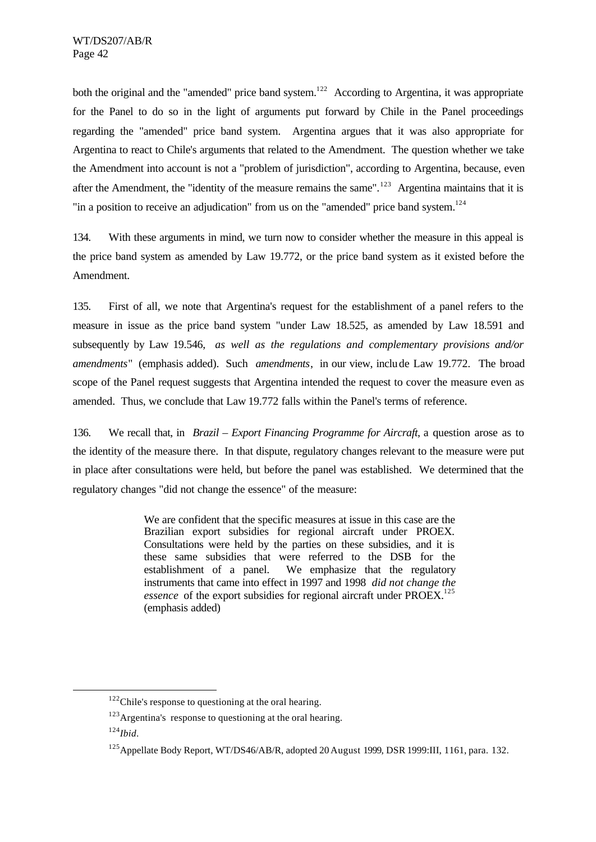both the original and the "amended" price band system.<sup>122</sup> According to Argentina, it was appropriate for the Panel to do so in the light of arguments put forward by Chile in the Panel proceedings regarding the "amended" price band system. Argentina argues that it was also appropriate for Argentina to react to Chile's arguments that related to the Amendment. The question whether we take the Amendment into account is not a "problem of jurisdiction", according to Argentina, because, even after the Amendment, the "identity of the measure remains the same".<sup>123</sup> Argentina maintains that it is "in a position to receive an adjudication" from us on the "amended" price band system.<sup>124</sup>

134. With these arguments in mind, we turn now to consider whether the measure in this appeal is the price band system as amended by Law 19.772, or the price band system as it existed before the Amendment.

135. First of all, we note that Argentina's request for the establishment of a panel refers to the measure in issue as the price band system "under Law 18.525, as amended by Law 18.591 and subsequently by Law 19.546, *as well as the regulations and complementary provisions and/or amendments*" (emphasis added). Such *amendments*, in our view, include Law 19.772. The broad scope of the Panel request suggests that Argentina intended the request to cover the measure even as amended. Thus, we conclude that Law 19.772 falls within the Panel's terms of reference.

136. We recall that, in *Brazil – Export Financing Programme for Aircraft*, a question arose as to the identity of the measure there. In that dispute, regulatory changes relevant to the measure were put in place after consultations were held, but before the panel was established. We determined that the regulatory changes "did not change the essence" of the measure:

> We are confident that the specific measures at issue in this case are the Brazilian export subsidies for regional aircraft under PROEX. Consultations were held by the parties on these subsidies, and it is these same subsidies that were referred to the DSB for the establishment of a panel. We emphasize that the regulatory instruments that came into effect in 1997 and 1998 *did not change the* essence of the export subsidies for regional aircraft under PROEX.<sup>125</sup> (emphasis added)

 $122$ Chile's response to questioning at the oral hearing.

 $123$ Argentina's response to questioning at the oral hearing.

<sup>124</sup>*Ibid*.

<sup>&</sup>lt;sup>125</sup> Appellate Body Report, WT/DS46/AB/R, adopted 20 August 1999, DSR 1999:III, 1161, para. 132.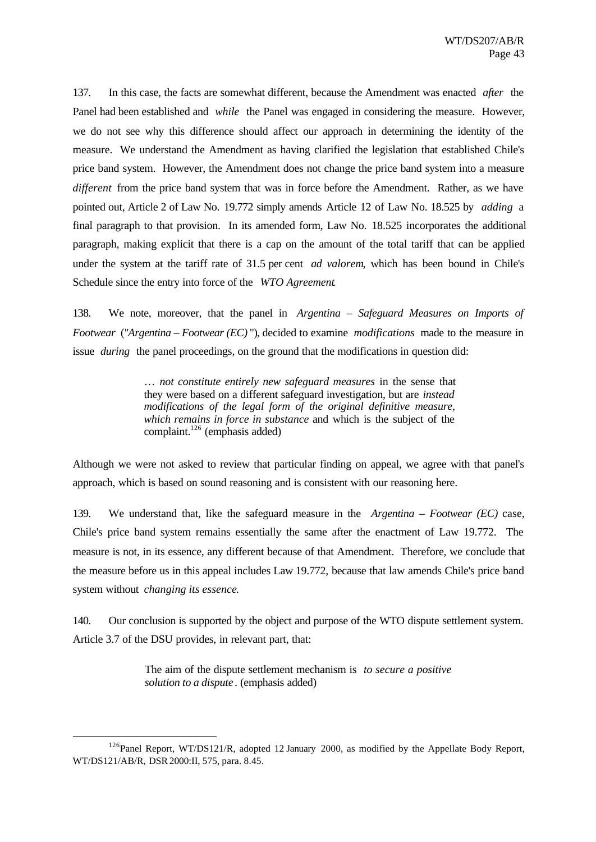137. In this case, the facts are somewhat different, because the Amendment was enacted *after* the Panel had been established and *while* the Panel was engaged in considering the measure. However, we do not see why this difference should affect our approach in determining the identity of the measure. We understand the Amendment as having clarified the legislation that established Chile's price band system. However, the Amendment does not change the price band system into a measure *different* from the price band system that was in force before the Amendment. Rather, as we have pointed out, Article 2 of Law No. 19.772 simply amends Article 12 of Law No. 18.525 by *adding* a final paragraph to that provision. In its amended form, Law No. 18.525 incorporates the additional paragraph, making explicit that there is a cap on the amount of the total tariff that can be applied under the system at the tariff rate of 31.5 per cent *ad valorem*, which has been bound in Chile's Schedule since the entry into force of the *WTO Agreement*.

138. We note, moreover, that the panel in *Argentina – Safeguard Measures on Imports of Footwear* ("*Argentina – Footwear (EC)* "), decided to examine *modifications* made to the measure in issue *during* the panel proceedings, on the ground that the modifications in question did:

> … *not constitute entirely new safeguard measures* in the sense that they were based on a different safeguard investigation, but are *instead modifications of the legal form of the original definitive measure, which remains in force in substance* and which is the subject of the complaint. $^{126}$  (emphasis added)

Although we were not asked to review that particular finding on appeal, we agree with that panel's approach, which is based on sound reasoning and is consistent with our reasoning here.

139. We understand that, like the safeguard measure in the *Argentina – Footwear (EC)* case, Chile's price band system remains essentially the same after the enactment of Law 19.772. The measure is not, in its essence, any different because of that Amendment. Therefore, we conclude that the measure before us in this appeal includes Law 19.772, because that law amends Chile's price band system without *changing its essence*.

140. Our conclusion is supported by the object and purpose of the WTO dispute settlement system. Article 3.7 of the DSU provides, in relevant part, that:

> The aim of the dispute settlement mechanism is *to secure a positive solution to a dispute* . (emphasis added)

 $126$ Panel Report, WT/DS121/R, adopted 12 January 2000, as modified by the Appellate Body Report, WT/DS121/AB/R, DSR 2000:II, 575, para. 8.45.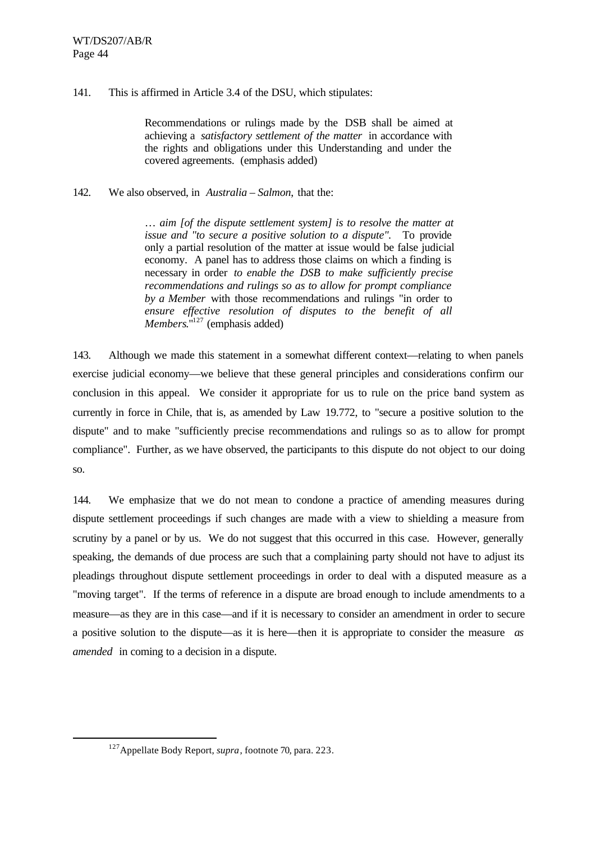### 141. This is affirmed in Article 3.4 of the DSU, which stipulates:

Recommendations or rulings made by the DSB shall be aimed at achieving a *satisfactory settlement of the matter* in accordance with the rights and obligations under this Understanding and under the covered agreements. (emphasis added)

142. We also observed, in *Australia – Salmon*, that the:

… *aim [of the dispute settlement system] is to resolve the matter at issue and "to secure a positive solution to a dispute".* To provide only a partial resolution of the matter at issue would be false judicial economy. A panel has to address those claims on which a finding is necessary in order *to enable the DSB to make sufficiently precise recommendations and rulings so as to allow for prompt compliance by a Member* with those recommendations and rulings "in order to *ensure effective resolution of disputes to the benefit of all Members.*<sup>"127</sup> (emphasis added)

143. Although we made this statement in a somewhat different context—relating to when panels exercise judicial economy—we believe that these general principles and considerations confirm our conclusion in this appeal. We consider it appropriate for us to rule on the price band system as currently in force in Chile, that is, as amended by Law 19.772, to "secure a positive solution to the dispute" and to make "sufficiently precise recommendations and rulings so as to allow for prompt compliance". Further, as we have observed, the participants to this dispute do not object to our doing so.

144. We emphasize that we do not mean to condone a practice of amending measures during dispute settlement proceedings if such changes are made with a view to shielding a measure from scrutiny by a panel or by us. We do not suggest that this occurred in this case. However, generally speaking, the demands of due process are such that a complaining party should not have to adjust its pleadings throughout dispute settlement proceedings in order to deal with a disputed measure as a "moving target". If the terms of reference in a dispute are broad enough to include amendments to a measure—as they are in this case—and if it is necessary to consider an amendment in order to secure a positive solution to the dispute—as it is here—then it is appropriate to consider the measure *as amended* in coming to a decision in a dispute.

<sup>127</sup>Appellate Body Report, *supra*, footnote 70*,* para. 223.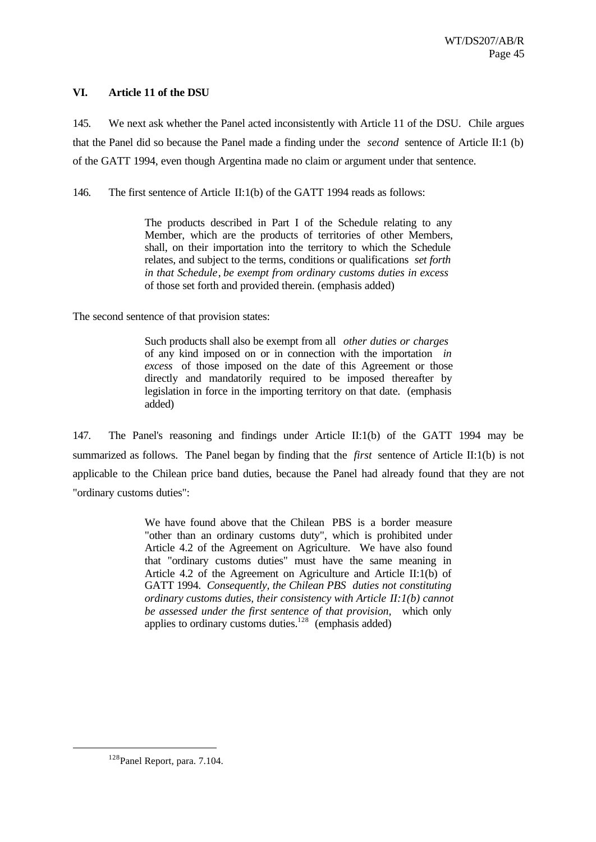## **VI. Article 11 of the DSU**

145. We next ask whether the Panel acted inconsistently with Article 11 of the DSU. Chile argues that the Panel did so because the Panel made a finding under the *second* sentence of Article II:1 (b) of the GATT 1994, even though Argentina made no claim or argument under that sentence.

146. The first sentence of Article II:1(b) of the GATT 1994 reads as follows:

The products described in Part I of the Schedule relating to any Member, which are the products of territories of other Members, shall, on their importation into the territory to which the Schedule relates, and subject to the terms, conditions or qualifications *set forth in that Schedule*, *be exempt from ordinary customs duties in excess* of those set forth and provided therein. (emphasis added)

The second sentence of that provision states:

Such products shall also be exempt from all *other duties or charges* of any kind imposed on or in connection with the importation *in excess* of those imposed on the date of this Agreement or those directly and mandatorily required to be imposed thereafter by legislation in force in the importing territory on that date. (emphasis added)

147. The Panel's reasoning and findings under Article II:1(b) of the GATT 1994 may be summarized as follows. The Panel began by finding that the *first* sentence of Article II:1(b) is not applicable to the Chilean price band duties, because the Panel had already found that they are not "ordinary customs duties":

> We have found above that the Chilean PBS is a border measure "other than an ordinary customs duty", which is prohibited under Article 4.2 of the Agreement on Agriculture. We have also found that "ordinary customs duties" must have the same meaning in Article 4.2 of the Agreement on Agriculture and Article II:1(b) of GATT 1994. *Consequently, the Chilean PBS duties not constituting ordinary customs duties, their consistency with Article II:1(b) cannot be assessed under the first sentence of that provision,* which only applies to ordinary customs duties.<sup>128</sup> (emphasis added)

<sup>128</sup>Panel Report, para. 7.104.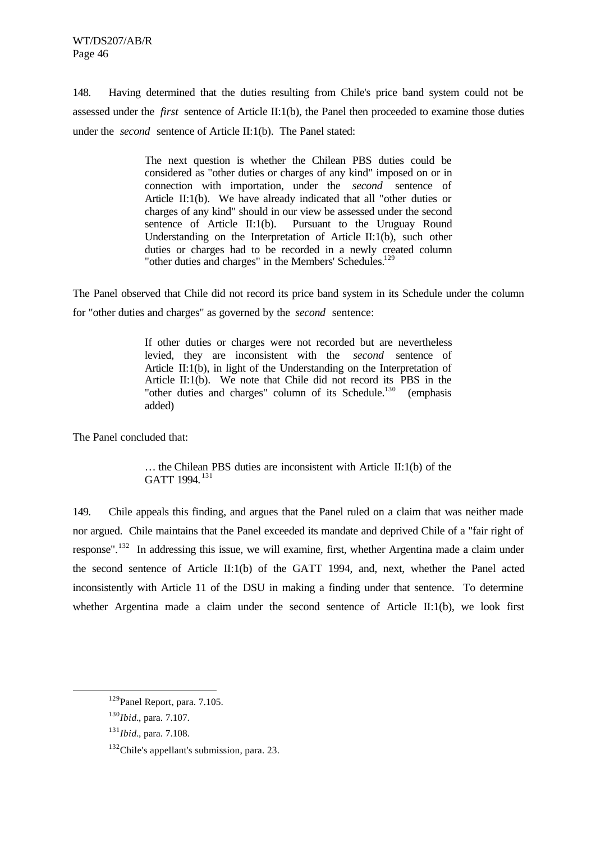148. Having determined that the duties resulting from Chile's price band system could not be assessed under the *first* sentence of Article II:1(b), the Panel then proceeded to examine those duties under the *second* sentence of Article II:1(b). The Panel stated:

> The next question is whether the Chilean PBS duties could be considered as "other duties or charges of any kind" imposed on or in connection with importation, under the *second* sentence of Article II:1(b). We have already indicated that all "other duties or charges of any kind" should in our view be assessed under the second sentence of Article II:1(b). Pursuant to the Uruguay Round Understanding on the Interpretation of Article II:1(b), such other duties or charges had to be recorded in a newly created column "other duties and charges" in the Members' Schedules.<sup>129</sup>

The Panel observed that Chile did not record its price band system in its Schedule under the column for "other duties and charges" as governed by the *second* sentence:

> If other duties or charges were not recorded but are nevertheless levied, they are inconsistent with the *second* sentence of Article II:1(b), in light of the Understanding on the Interpretation of Article II:1(b). We note that Chile did not record its PBS in the "other duties and charges" column of its Schedule.<sup>130</sup> (emphasis added)

The Panel concluded that:

… the Chilean PBS duties are inconsistent with Article II:1(b) of the GATT 1994.<sup>131</sup>

149. Chile appeals this finding, and argues that the Panel ruled on a claim that was neither made nor argued. Chile maintains that the Panel exceeded its mandate and deprived Chile of a "fair right of response".<sup>132</sup> In addressing this issue, we will examine, first, whether Argentina made a claim under the second sentence of Article II:1(b) of the GATT 1994, and, next, whether the Panel acted inconsistently with Article 11 of the DSU in making a finding under that sentence. To determine whether Argentina made a claim under the second sentence of Article II:1(b), we look first

<sup>129</sup>Panel Report, para. 7.105.

<sup>130</sup>*Ibid.*, para. 7.107.

<sup>131</sup>*Ibid.*, para. 7.108.

<sup>&</sup>lt;sup>132</sup>Chile's appellant's submission, para. 23.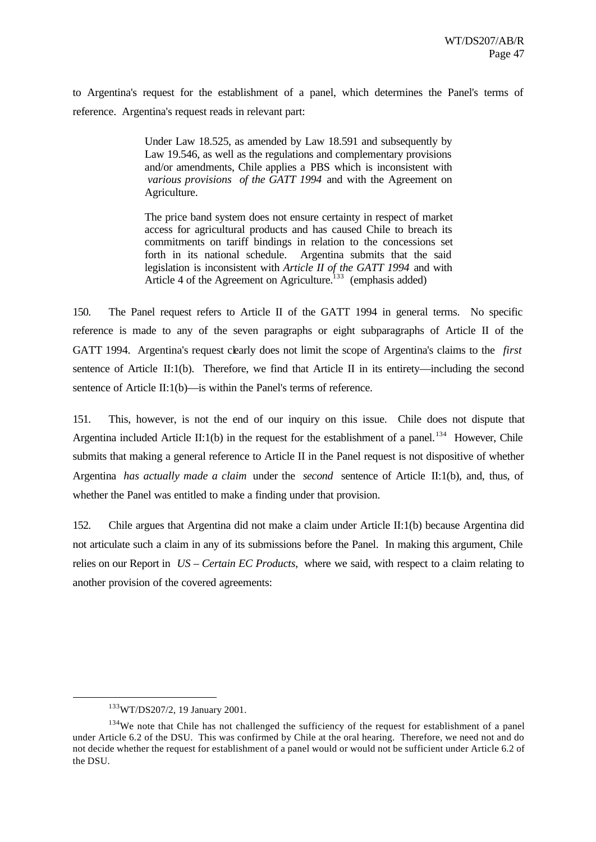to Argentina's request for the establishment of a panel, which determines the Panel's terms of reference. Argentina's request reads in relevant part:

> Under Law 18.525, as amended by Law 18.591 and subsequently by Law 19.546, as well as the regulations and complementary provisions and/or amendments, Chile applies a PBS which is inconsistent with *various provisions of the GATT 1994* and with the Agreement on Agriculture.

> The price band system does not ensure certainty in respect of market access for agricultural products and has caused Chile to breach its commitments on tariff bindings in relation to the concessions set forth in its national schedule. Argentina submits that the said legislation is inconsistent with *Article II of the GATT 1994* and with Article 4 of the Agreement on Agriculture.<sup>133</sup> (emphasis added)

150. The Panel request refers to Article II of the GATT 1994 in general terms. No specific reference is made to any of the seven paragraphs or eight subparagraphs of Article II of the GATT 1994. Argentina's request clearly does not limit the scope of Argentina's claims to the *first* sentence of Article II:1(b). Therefore, we find that Article II in its entirety—including the second sentence of Article II:1(b)—is within the Panel's terms of reference.

151. This, however, is not the end of our inquiry on this issue. Chile does not dispute that Argentina included Article II:1(b) in the request for the establishment of a panel.<sup>134</sup> However, Chile submits that making a general reference to Article II in the Panel request is not dispositive of whether Argentina *has actually made a claim* under the *second* sentence of Article II:1(b), and, thus, of whether the Panel was entitled to make a finding under that provision.

152. Chile argues that Argentina did not make a claim under Article II:1(b) because Argentina did not articulate such a claim in any of its submissions before the Panel. In making this argument, Chile relies on our Report in *US – Certain EC Products*, where we said, with respect to a claim relating to another provision of the covered agreements:

<sup>133</sup>WT/DS207/2, 19 January 2001.

<sup>&</sup>lt;sup>134</sup>We note that Chile has not challenged the sufficiency of the request for establishment of a panel under Article 6.2 of the DSU. This was confirmed by Chile at the oral hearing. Therefore, we need not and do not decide whether the request for establishment of a panel would or would not be sufficient under Article 6.2 of the DSU.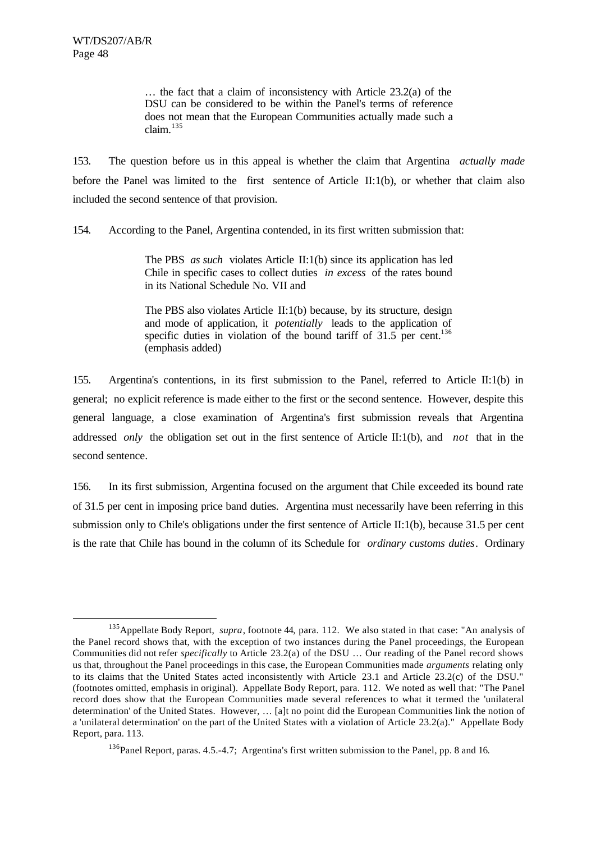l

… the fact that a claim of inconsistency with Article 23.2(a) of the DSU can be considered to be within the Panel's terms of reference does not mean that the European Communities actually made such a claim.<sup>135</sup>

153. The question before us in this appeal is whether the claim that Argentina *actually made* before the Panel was limited to the first sentence of Article II:1(b), or whether that claim also included the second sentence of that provision.

154. According to the Panel, Argentina contended, in its first written submission that:

The PBS *as such* violates Article II:1(b) since its application has led Chile in specific cases to collect duties *in excess* of the rates bound in its National Schedule No. VII and

The PBS also violates Article II:1(b) because, by its structure, design and mode of application, it *potentially* leads to the application of specific duties in violation of the bound tariff of  $31.5$  per cent.<sup>136</sup> (emphasis added)

155. Argentina's contentions, in its first submission to the Panel, referred to Article II:1(b) in general; no explicit reference is made either to the first or the second sentence. However, despite this general language, a close examination of Argentina's first submission reveals that Argentina addressed *only* the obligation set out in the first sentence of Article II:1(b), and *not* that in the second sentence.

156. In its first submission, Argentina focused on the argument that Chile exceeded its bound rate of 31.5 per cent in imposing price band duties. Argentina must necessarily have been referring in this submission only to Chile's obligations under the first sentence of Article II:1(b), because 31.5 per cent is the rate that Chile has bound in the column of its Schedule for *ordinary customs duties*. Ordinary

<sup>135</sup>Appellate Body Report, *supra*, footnote 44, para. 112. We also stated in that case: "An analysis of the Panel record shows that, with the exception of two instances during the Panel proceedings, the European Communities did not refer *specifically* to Article 23.2(a) of the DSU … Our reading of the Panel record shows us that, throughout the Panel proceedings in this case, the European Communities made *arguments* relating only to its claims that the United States acted inconsistently with Article 23.1 and Article 23.2(c) of the DSU." (footnotes omitted, emphasis in original). Appellate Body Report, para. 112. We noted as well that: "The Panel record does show that the European Communities made several references to what it termed the 'unilateral determination' of the United States. However, … [a]t no point did the European Communities link the notion of a 'unilateral determination' on the part of the United States with a violation of Article 23.2(a)." Appellate Body Report, para. 113.

<sup>&</sup>lt;sup>136</sup>Panel Report, paras. 4.5.-4.7; Argentina's first written submission to the Panel, pp. 8 and 16.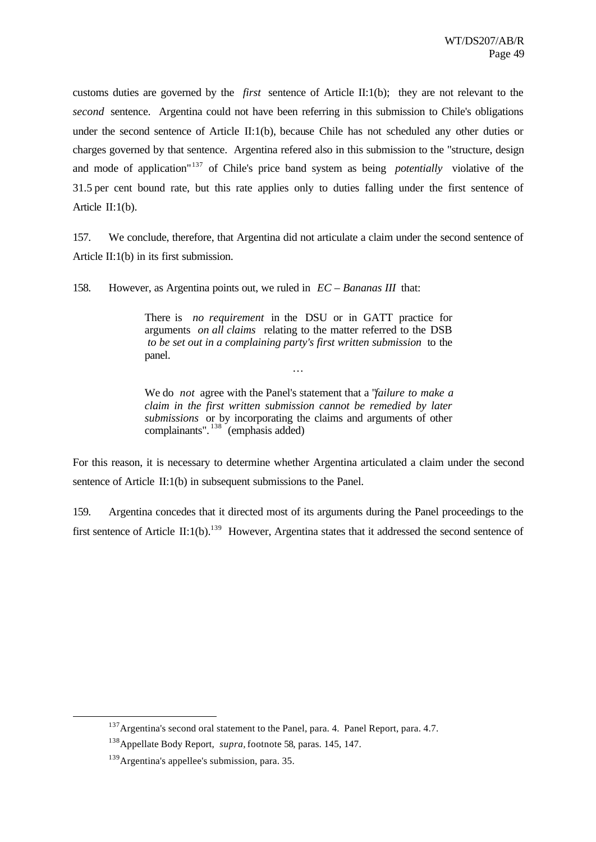customs duties are governed by the *first* sentence of Article II:1(b); they are not relevant to the *second* sentence. Argentina could not have been referring in this submission to Chile's obligations under the second sentence of Article II:1(b), because Chile has not scheduled any other duties or charges governed by that sentence. Argentina refered also in this submission to the "structure, design and mode of application"<sup>137</sup> of Chile's price band system as being *potentially* violative of the 31.5 per cent bound rate, but this rate applies only to duties falling under the first sentence of Article II:1(b).

157. We conclude, therefore, that Argentina did not articulate a claim under the second sentence of Article II:1(b) in its first submission.

158. However, as Argentina points out, we ruled in *EC – Bananas III* that:

There is *no requirement* in the DSU or in GATT practice for arguments *on all claims* relating to the matter referred to the DSB *to be set out in a complaining party's first written submission* to the panel. …

We do *not* agree with the Panel's statement that a "*failure to make a claim in the first written submission cannot be remedied by later submissions* or by incorporating the claims and arguments of other complainants".  $138$  (emphasis added)

For this reason, it is necessary to determine whether Argentina articulated a claim under the second sentence of Article II:1(b) in subsequent submissions to the Panel.

159. Argentina concedes that it directed most of its arguments during the Panel proceedings to the first sentence of Article II:1(b).<sup>139</sup> However, Argentina states that it addressed the second sentence of

<sup>&</sup>lt;sup>137</sup>Argentina's second oral statement to the Panel, para. 4. Panel Report, para. 4.7.

<sup>138</sup>Appellate Body Report, *supra,* footnote 58, paras. 145, 147.

<sup>139</sup>Argentina's appellee's submission, para. 35.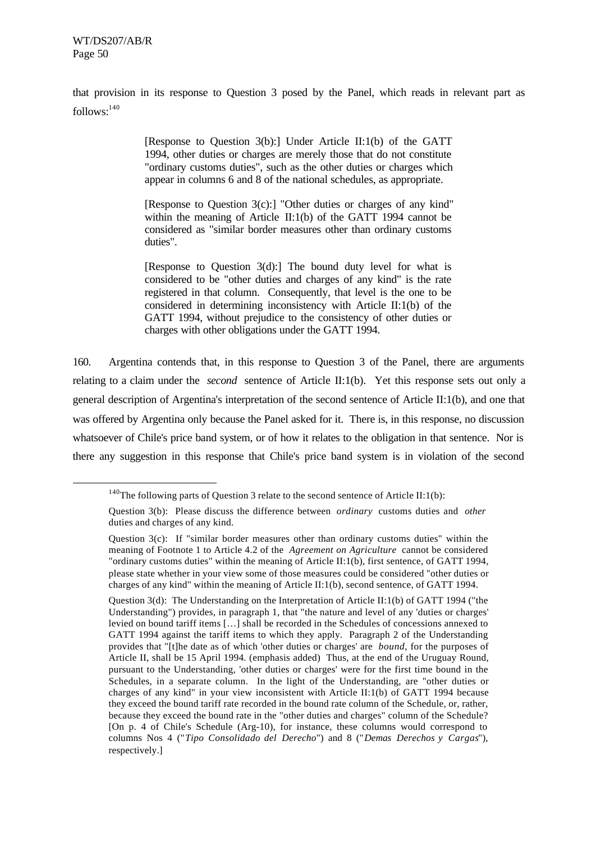WT/DS207/AB/R Page 50

l

that provision in its response to Question 3 posed by the Panel, which reads in relevant part as  $follows:$ <sup>140</sup>

> [Response to Question 3(b):] Under Article II:1(b) of the GATT 1994, other duties or charges are merely those that do not constitute "ordinary customs duties", such as the other duties or charges which appear in columns 6 and 8 of the national schedules, as appropriate.

> [Response to Question 3(c):] "Other duties or charges of any kind" within the meaning of Article II:1(b) of the GATT 1994 cannot be considered as "similar border measures other than ordinary customs duties".

> [Response to Question 3(d):] The bound duty level for what is considered to be "other duties and charges of any kind" is the rate registered in that column. Consequently, that level is the one to be considered in determining inconsistency with Article II:1(b) of the GATT 1994, without prejudice to the consistency of other duties or charges with other obligations under the GATT 1994.

160. Argentina contends that, in this response to Question 3 of the Panel, there are arguments relating to a claim under the *second* sentence of Article II:1(b). Yet this response sets out only a general description of Argentina's interpretation of the second sentence of Article II:1(b), and one that was offered by Argentina only because the Panel asked for it. There is, in this response, no discussion whatsoever of Chile's price band system, or of how it relates to the obligation in that sentence. Nor is there any suggestion in this response that Chile's price band system is in violation of the second

<sup>&</sup>lt;sup>140</sup>The following parts of Question 3 relate to the second sentence of Article II:1(b):

Question 3(b): Please discuss the difference between *ordinary* customs duties and *other* duties and charges of any kind.

Question 3(c): If "similar border measures other than ordinary customs duties" within the meaning of Footnote 1 to Article 4.2 of the *Agreement on Agriculture* cannot be considered "ordinary customs duties" within the meaning of Article II:1(b), first sentence, of GATT 1994, please state whether in your view some of those measures could be considered "other duties or charges of any kind" within the meaning of Article II:1(b), second sentence, of GATT 1994.

Question 3(d): The Understanding on the Interpretation of Article II:1(b) of GATT 1994 ("the Understanding") provides, in paragraph 1, that "the nature and level of any 'duties or charges' levied on bound tariff items […] shall be recorded in the Schedules of concessions annexed to GATT 1994 against the tariff items to which they apply. Paragraph 2 of the Understanding provides that "[t]he date as of which 'other duties or charges' are *bound*, for the purposes of Article II, shall be 15 April 1994. (emphasis added) Thus, at the end of the Uruguay Round, pursuant to the Understanding, 'other duties or charges' were for the first time bound in the Schedules, in a separate column. In the light of the Understanding, are "other duties or charges of any kind" in your view inconsistent with Article II:1(b) of GATT 1994 because they exceed the bound tariff rate recorded in the bound rate column of the Schedule, or, rather, because they exceed the bound rate in the "other duties and charges" column of the Schedule? [On p. 4 of Chile's Schedule (Arg-10), for instance, these columns would correspond to columns Nos 4 ("*Tipo Consolidado del Derecho*") and 8 ("*Demas Derechos y Cargas*"), respectively.]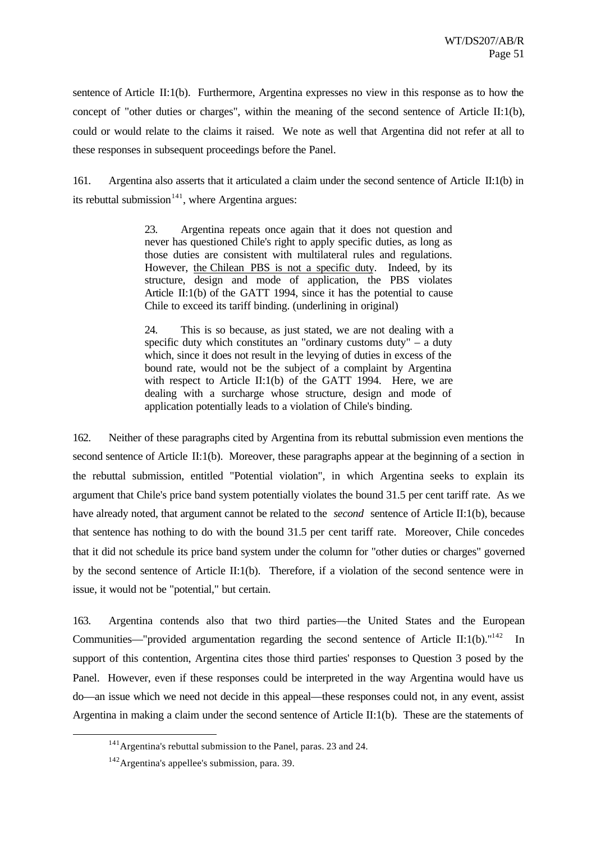sentence of Article II:1(b). Furthermore, Argentina expresses no view in this response as to how the concept of "other duties or charges", within the meaning of the second sentence of Article II:1(b), could or would relate to the claims it raised. We note as well that Argentina did not refer at all to these responses in subsequent proceedings before the Panel.

161. Argentina also asserts that it articulated a claim under the second sentence of Article II:1(b) in its rebuttal submission<sup> $141$ </sup>, where Argentina argues:

> 23. Argentina repeats once again that it does not question and never has questioned Chile's right to apply specific duties, as long as those duties are consistent with multilateral rules and regulations. However, the Chilean PBS is not a specific duty. Indeed, by its structure, design and mode of application, the PBS violates Article II:1(b) of the GATT 1994, since it has the potential to cause Chile to exceed its tariff binding. (underlining in original)

> 24. This is so because, as just stated, we are not dealing with a specific duty which constitutes an "ordinary customs duty"  $-$  a duty which, since it does not result in the levying of duties in excess of the bound rate, would not be the subject of a complaint by Argentina with respect to Article II:1(b) of the GATT 1994. Here, we are dealing with a surcharge whose structure, design and mode of application potentially leads to a violation of Chile's binding.

162. Neither of these paragraphs cited by Argentina from its rebuttal submission even mentions the second sentence of Article II:1(b). Moreover, these paragraphs appear at the beginning of a section in the rebuttal submission, entitled "Potential violation", in which Argentina seeks to explain its argument that Chile's price band system potentially violates the bound 31.5 per cent tariff rate. As we have already noted, that argument cannot be related to the *second* sentence of Article II:1(b), because that sentence has nothing to do with the bound 31.5 per cent tariff rate. Moreover, Chile concedes that it did not schedule its price band system under the column for "other duties or charges" governed by the second sentence of Article II:1(b). Therefore, if a violation of the second sentence were in issue, it would not be "potential," but certain.

163. Argentina contends also that two third parties—the United States and the European Communities—"provided argumentation regarding the second sentence of Article II:1(b)."<sup>142</sup> In support of this contention, Argentina cites those third parties' responses to Question 3 posed by the Panel. However, even if these responses could be interpreted in the way Argentina would have us do—an issue which we need not decide in this appeal—these responses could not, in any event, assist Argentina in making a claim under the second sentence of Article II:1(b). These are the statements of

<sup>&</sup>lt;sup>141</sup> Argentina's rebuttal submission to the Panel, paras. 23 and 24.

<sup>&</sup>lt;sup>142</sup> Argentina's appellee's submission, para. 39.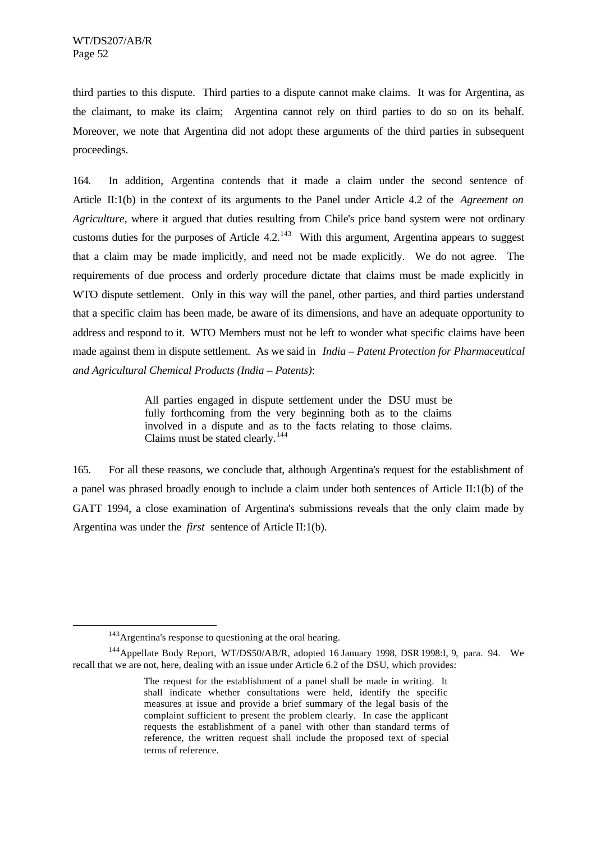third parties to this dispute. Third parties to a dispute cannot make claims. It was for Argentina, as the claimant, to make its claim; Argentina cannot rely on third parties to do so on its behalf. Moreover, we note that Argentina did not adopt these arguments of the third parties in subsequent proceedings.

164. In addition, Argentina contends that it made a claim under the second sentence of Article II:1(b) in the context of its arguments to the Panel under Article 4.2 of the *Agreement on Agriculture*, where it argued that duties resulting from Chile's price band system were not ordinary customs duties for the purposes of Article 4.2.<sup>143</sup> With this argument, Argentina appears to suggest that a claim may be made implicitly, and need not be made explicitly. We do not agree. The requirements of due process and orderly procedure dictate that claims must be made explicitly in WTO dispute settlement. Only in this way will the panel, other parties, and third parties understand that a specific claim has been made, be aware of its dimensions, and have an adequate opportunity to address and respond to it. WTO Members must not be left to wonder what specific claims have been made against them in dispute settlement. As we said in *India – Patent Protection for Pharmaceutical and Agricultural Chemical Products (India – Patents)*:

> All parties engaged in dispute settlement under the DSU must be fully forthcoming from the very beginning both as to the claims involved in a dispute and as to the facts relating to those claims. Claims must be stated clearly.<sup>144</sup>

165. For all these reasons, we conclude that, although Argentina's request for the establishment of a panel was phrased broadly enough to include a claim under both sentences of Article II:1(b) of the GATT 1994, a close examination of Argentina's submissions reveals that the only claim made by Argentina was under the *first* sentence of Article II:1(b).

<sup>&</sup>lt;sup>143</sup> Argentina's response to questioning at the oral hearing.

<sup>&</sup>lt;sup>144</sup>Appellate Body Report, WT/DS50/AB/R, adopted 16 January 1998, DSR 1998:I, 9, para. 94. We recall that we are not, here, dealing with an issue under Article 6.2 of the DSU, which provides:

The request for the establishment of a panel shall be made in writing. It shall indicate whether consultations were held, identify the specific measures at issue and provide a brief summary of the legal basis of the complaint sufficient to present the problem clearly. In case the applicant requests the establishment of a panel with other than standard terms of reference, the written request shall include the proposed text of special terms of reference.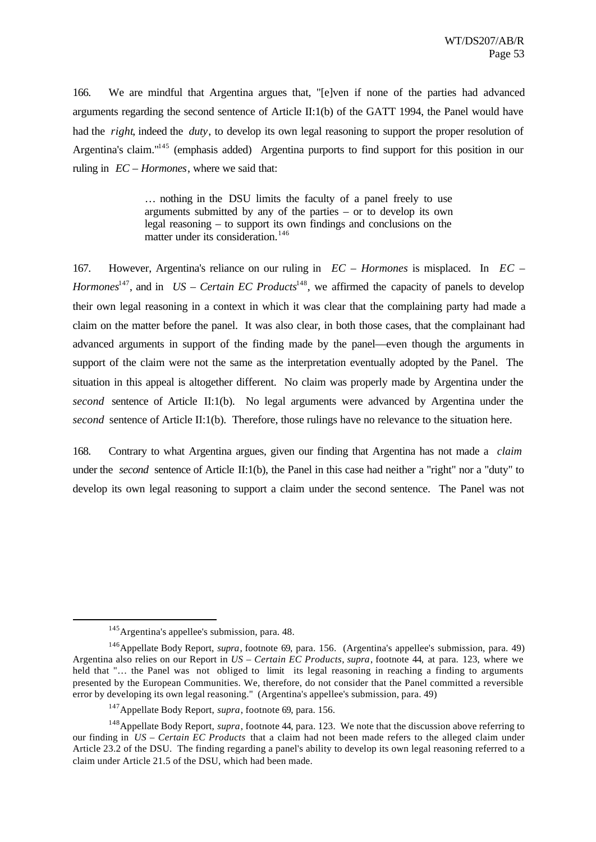166. We are mindful that Argentina argues that, "[e]ven if none of the parties had advanced arguments regarding the second sentence of Article II:1(b) of the GATT 1994, the Panel would have had the *right*, indeed the *duty*, to develop its own legal reasoning to support the proper resolution of Argentina's claim."<sup>145</sup> (emphasis added) Argentina purports to find support for this position in our ruling in *EC – Hormones*, where we said that:

> … nothing in the DSU limits the faculty of a panel freely to use arguments submitted by any of the parties – or to develop its own legal reasoning – to support its own findings and conclusions on the matter under its consideration.<sup>146</sup>

167. However, Argentina's reliance on our ruling in *EC – Hormones* is misplaced. In *EC – Hormones*<sup>147</sup>, and in *US – Certain EC Products*<sup>148</sup>, we affirmed the capacity of panels to develop their own legal reasoning in a context in which it was clear that the complaining party had made a claim on the matter before the panel. It was also clear, in both those cases, that the complainant had advanced arguments in support of the finding made by the panel—even though the arguments in support of the claim were not the same as the interpretation eventually adopted by the Panel. The situation in this appeal is altogether different. No claim was properly made by Argentina under the *second* sentence of Article II:1(b). No legal arguments were advanced by Argentina under the *second* sentence of Article II:1(b). Therefore, those rulings have no relevance to the situation here.

168. Contrary to what Argentina argues, given our finding that Argentina has not made a *claim* under the *second* sentence of Article II:1(b), the Panel in this case had neither a "right" nor a "duty" to develop its own legal reasoning to support a claim under the second sentence. The Panel was not

<sup>145</sup>Argentina's appellee's submission, para. 48.

<sup>146</sup>Appellate Body Report, *supra*, footnote 69, para. 156. (Argentina's appellee's submission, para. 49) Argentina also relies on our Report in *US – Certain EC Products*, *supra*, footnote 44, at para. 123, where we held that "... the Panel was not obliged to limit its legal reasoning in reaching a finding to arguments presented by the European Communities. We, therefore, do not consider that the Panel committed a reversible error by developing its own legal reasoning." (Argentina's appellee's submission, para. 49)

<sup>147</sup>Appellate Body Report, *supra*, footnote 69, para. 156.

<sup>148</sup>Appellate Body Report, *supra*, footnote 44, para. 123. We note that the discussion above referring to our finding in *US – Certain EC Products* that a claim had not been made refers to the alleged claim under Article 23.2 of the DSU. The finding regarding a panel's ability to develop its own legal reasoning referred to a claim under Article 21.5 of the DSU, which had been made.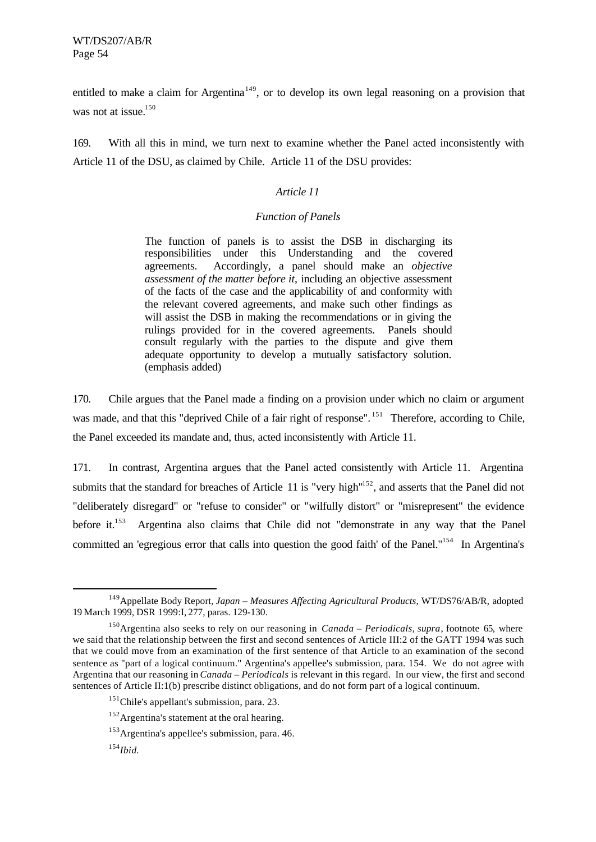entitled to make a claim for Argentina<sup>149</sup>, or to develop its own legal reasoning on a provision that was not at issue. $150$ 

169. With all this in mind, we turn next to examine whether the Panel acted inconsistently with Article 11 of the DSU, as claimed by Chile. Article 11 of the DSU provides:

## *Article 11*

## *Function of Panels*

The function of panels is to assist the DSB in discharging its responsibilities under this Understanding and the covered agreements. Accordingly, a panel should make an *objective assessment of the matter before it*, including an objective assessment of the facts of the case and the applicability of and conformity with the relevant covered agreements, and make such other findings as will assist the DSB in making the recommendations or in giving the rulings provided for in the covered agreements. Panels should consult regularly with the parties to the dispute and give them adequate opportunity to develop a mutually satisfactory solution. (emphasis added)

170. Chile argues that the Panel made a finding on a provision under which no claim or argument was made, and that this "deprived Chile of a fair right of response". <sup>151</sup> Therefore, according to Chile, the Panel exceeded its mandate and, thus, acted inconsistently with Article 11.

171. In contrast, Argentina argues that the Panel acted consistently with Article 11. Argentina submits that the standard for breaches of Article 11 is "very high"<sup>152</sup>, and asserts that the Panel did not "deliberately disregard" or "refuse to consider" or "wilfully distort" or "misrepresent" the evidence before it.<sup>153</sup> Argentina also claims that Chile did not "demonstrate in any way that the Panel committed an 'egregious error that calls into question the good faith' of the Panel."<sup>154</sup> In Argentina's

<sup>149</sup>Appellate Body Report, *Japan – Measures Affecting Agricultural Products*, WT/DS76/AB/R, adopted 19 March 1999, DSR 1999:I, 277, paras. 129-130.

<sup>150</sup>Argentina also seeks to rely on our reasoning in *Canada – Periodicals*, *supra*, footnote 65, where we said that the relationship between the first and second sentences of Article III:2 of the GATT 1994 was such that we could move from an examination of the first sentence of that Article to an examination of the second sentence as "part of a logical continuum." Argentina's appellee's submission, para. 154. We do not agree with Argentina that our reasoning in *Canada – Periodicals* is relevant in this regard. In our view, the first and second sentences of Article II:1(b) prescribe distinct obligations, and do not form part of a logical continuum.

<sup>&</sup>lt;sup>151</sup>Chile's appellant's submission, para. 23.

<sup>&</sup>lt;sup>152</sup>Argentina's statement at the oral hearing.

<sup>153</sup>Argentina's appellee's submission, para. 46.

<sup>154</sup>*Ibid.*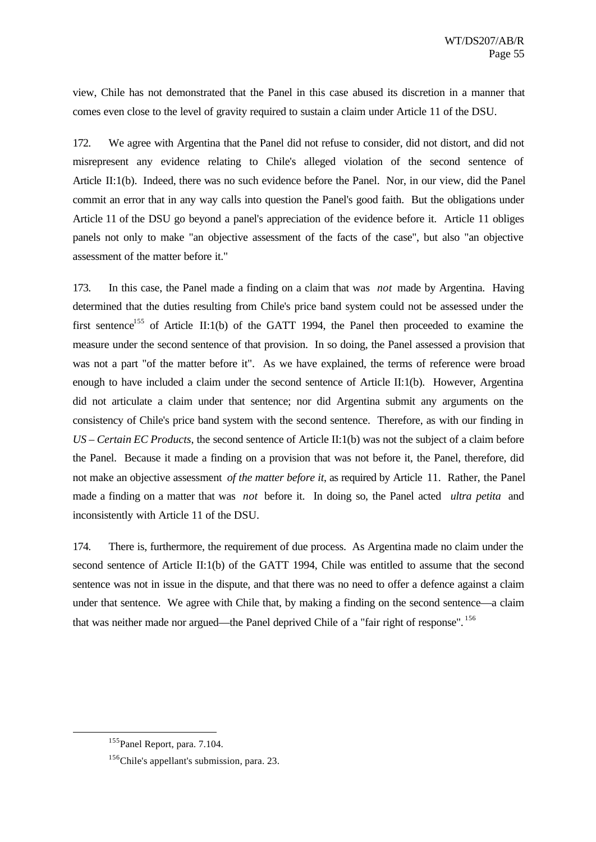view, Chile has not demonstrated that the Panel in this case abused its discretion in a manner that comes even close to the level of gravity required to sustain a claim under Article 11 of the DSU.

172. We agree with Argentina that the Panel did not refuse to consider, did not distort, and did not misrepresent any evidence relating to Chile's alleged violation of the second sentence of Article II:1(b). Indeed, there was no such evidence before the Panel. Nor, in our view, did the Panel commit an error that in any way calls into question the Panel's good faith. But the obligations under Article 11 of the DSU go beyond a panel's appreciation of the evidence before it. Article 11 obliges panels not only to make "an objective assessment of the facts of the case", but also "an objective assessment of the matter before it."

173. In this case, the Panel made a finding on a claim that was *not* made by Argentina. Having determined that the duties resulting from Chile's price band system could not be assessed under the first sentence<sup>155</sup> of Article II:1(b) of the GATT 1994, the Panel then proceeded to examine the measure under the second sentence of that provision. In so doing, the Panel assessed a provision that was not a part "of the matter before it". As we have explained, the terms of reference were broad enough to have included a claim under the second sentence of Article II:1(b). However, Argentina did not articulate a claim under that sentence; nor did Argentina submit any arguments on the consistency of Chile's price band system with the second sentence. Therefore, as with our finding in *US – Certain EC Products*, the second sentence of Article II:1(b) was not the subject of a claim before the Panel. Because it made a finding on a provision that was not before it, the Panel, therefore, did not make an objective assessment *of the matter before it*, as required by Article 11. Rather, the Panel made a finding on a matter that was *not* before it. In doing so, the Panel acted *ultra petita* and inconsistently with Article 11 of the DSU.

174. There is, furthermore, the requirement of due process. As Argentina made no claim under the second sentence of Article II:1(b) of the GATT 1994, Chile was entitled to assume that the second sentence was not in issue in the dispute, and that there was no need to offer a defence against a claim under that sentence. We agree with Chile that, by making a finding on the second sentence—a claim that was neither made nor argued—the Panel deprived Chile of a "fair right of response". <sup>156</sup>

<sup>155</sup>Panel Report, para. 7.104.

<sup>&</sup>lt;sup>156</sup>Chile's appellant's submission, para. 23.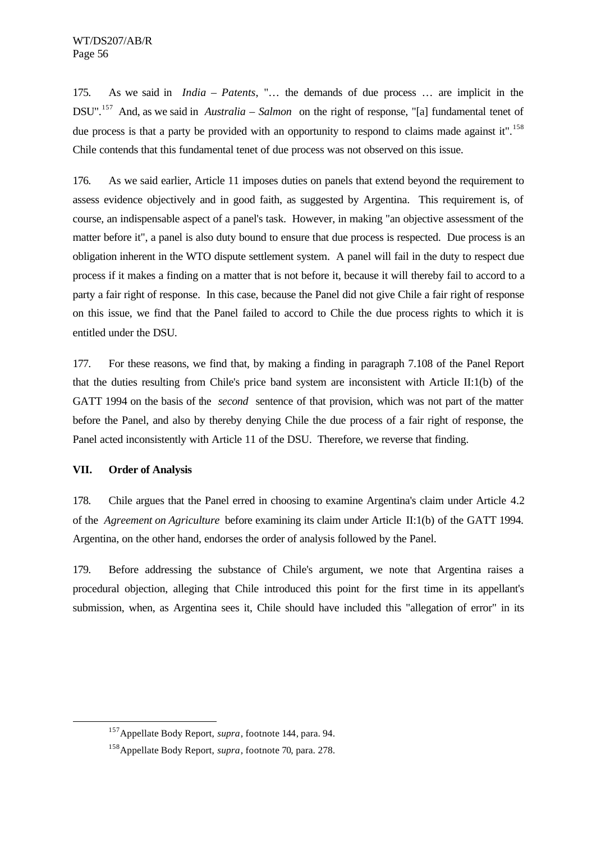175. As we said in *India – Patents*, "… the demands of due process … are implicit in the DSU".<sup>157</sup> And, as we said in *Australia – Salmon* on the right of response, "[a] fundamental tenet of due process is that a party be provided with an opportunity to respond to claims made against it".<sup>158</sup> Chile contends that this fundamental tenet of due process was not observed on this issue.

176. As we said earlier, Article 11 imposes duties on panels that extend beyond the requirement to assess evidence objectively and in good faith, as suggested by Argentina. This requirement is, of course, an indispensable aspect of a panel's task. However, in making "an objective assessment of the matter before it", a panel is also duty bound to ensure that due process is respected. Due process is an obligation inherent in the WTO dispute settlement system. A panel will fail in the duty to respect due process if it makes a finding on a matter that is not before it, because it will thereby fail to accord to a party a fair right of response. In this case, because the Panel did not give Chile a fair right of response on this issue, we find that the Panel failed to accord to Chile the due process rights to which it is entitled under the DSU.

177. For these reasons, we find that, by making a finding in paragraph 7.108 of the Panel Report that the duties resulting from Chile's price band system are inconsistent with Article II:1(b) of the GATT 1994 on the basis of the *second* sentence of that provision, which was not part of the matter before the Panel, and also by thereby denying Chile the due process of a fair right of response, the Panel acted inconsistently with Article 11 of the DSU. Therefore, we reverse that finding.

# **VII. Order of Analysis**

l

178. Chile argues that the Panel erred in choosing to examine Argentina's claim under Article 4.2 of the *Agreement on Agriculture* before examining its claim under Article II:1(b) of the GATT 1994. Argentina, on the other hand, endorses the order of analysis followed by the Panel.

179. Before addressing the substance of Chile's argument, we note that Argentina raises a procedural objection, alleging that Chile introduced this point for the first time in its appellant's submission, when, as Argentina sees it, Chile should have included this "allegation of error" in its

<sup>157</sup>Appellate Body Report, *supra*, footnote 144, para. 94.

<sup>158</sup>Appellate Body Report, *supra*, footnote 70, para. 278.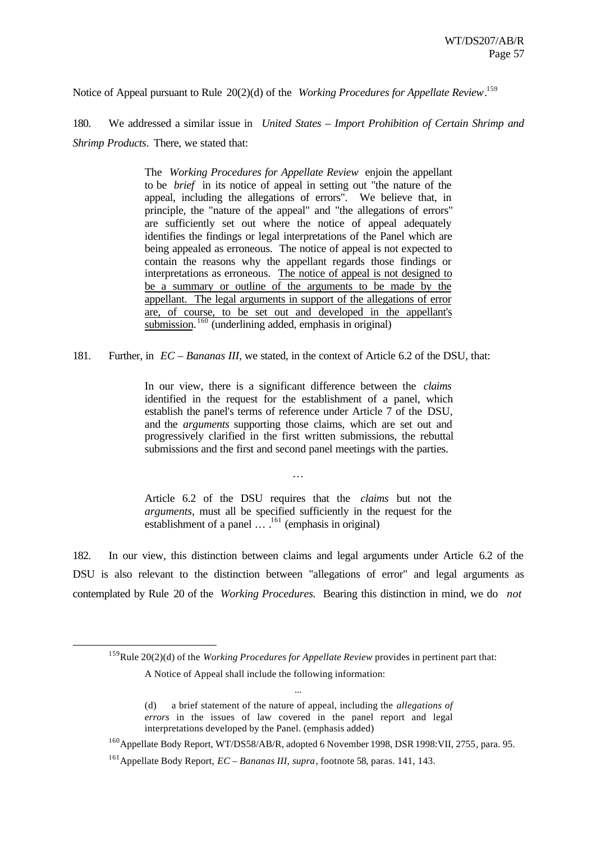Notice of Appeal pursuant to Rule 20(2)(d) of the *Working Procedures for Appellate Review*. 159

180. We addressed a similar issue in *United States – Import Prohibition of Certain Shrimp and Shrimp Products*. There, we stated that:

> The *Working Procedures for Appellate Review* enjoin the appellant to be *brief* in its notice of appeal in setting out "the nature of the appeal, including the allegations of errors". We believe that, in principle, the "nature of the appeal" and "the allegations of errors" are sufficiently set out where the notice of appeal adequately identifies the findings or legal interpretations of the Panel which are being appealed as erroneous. The notice of appeal is not expected to contain the reasons why the appellant regards those findings or interpretations as erroneous. The notice of appeal is not designed to be a summary or outline of the arguments to be made by the appellant. The legal arguments in support of the allegations of error are, of course, to be set out and developed in the appellant's submission.<sup>160</sup> (underlining added, emphasis in original)

181. Further, in *EC – Bananas III*, we stated, in the context of Article 6.2 of the DSU, that:

In our view, there is a significant difference between the *claims* identified in the request for the establishment of a panel, which establish the panel's terms of reference under Article 7 of the DSU, and the *arguments* supporting those claims, which are set out and progressively clarified in the first written submissions, the rebuttal submissions and the first and second panel meetings with the parties.

Article 6.2 of the DSU requires that the *claims* but not the *arguments*, must all be specified sufficiently in the request for the establishment of a panel  $\dots$  .<sup>161</sup> (emphasis in original)

…

182. In our view, this distinction between claims and legal arguments under Article 6.2 of the DSU is also relevant to the distinction between "allegations of error" and legal arguments as contemplated by Rule 20 of the *Working Procedures.* Bearing this distinction in mind, we do *not*

<sup>159</sup>Rule 20(2)(d) of the *Working Procedures for Appellate Review* provides in pertinent part that: A Notice of Appeal shall include the following information:

...

<sup>(</sup>d) a brief statement of the nature of appeal, including the *allegations of errors* in the issues of law covered in the panel report and legal interpretations developed by the Panel. (emphasis added)

<sup>&</sup>lt;sup>160</sup>Appellate Body Report, WT/DS58/AB/R, adopted 6 November 1998, DSR 1998:VII, 2755, para. 95.

<sup>161</sup>Appellate Body Report, *EC – Bananas III*, *supra*, footnote 58, paras. 141, 143.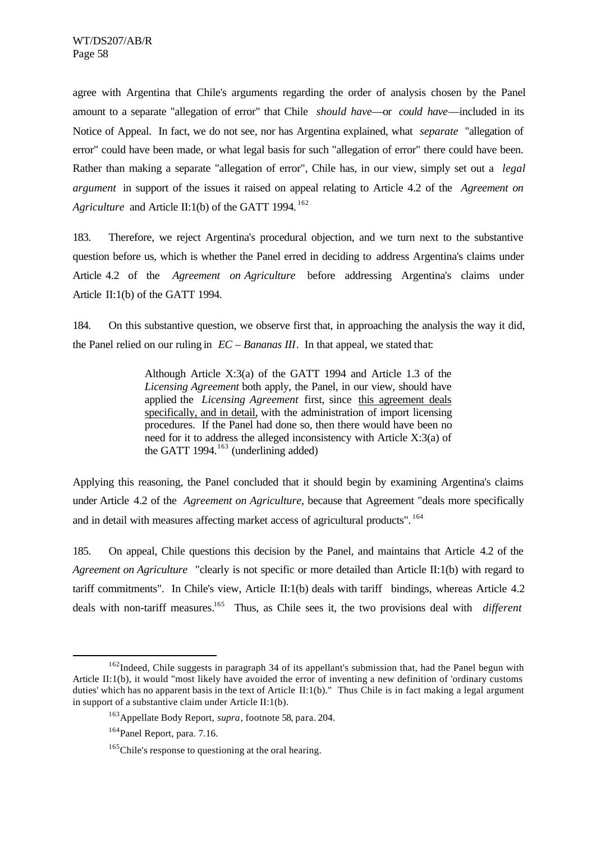agree with Argentina that Chile's arguments regarding the order of analysis chosen by the Panel amount to a separate "allegation of error" that Chile *should have*—or *could have*—included in its Notice of Appeal. In fact, we do not see, nor has Argentina explained, what *separate* "allegation of error" could have been made, or what legal basis for such "allegation of error" there could have been. Rather than making a separate "allegation of error", Chile has, in our view, simply set out a *legal argument* in support of the issues it raised on appeal relating to Article 4.2 of the *Agreement on Agriculture* and Article II:1(b) of the GATT 1994.<sup>162</sup>

183. Therefore, we reject Argentina's procedural objection, and we turn next to the substantive question before us, which is whether the Panel erred in deciding to address Argentina's claims under Article 4.2 of the *Agreement on Agriculture* before addressing Argentina's claims under Article II:1(b) of the GATT 1994.

184. On this substantive question, we observe first that, in approaching the analysis the way it did, the Panel relied on our ruling in *EC – Bananas III*. In that appeal, we stated that:

> Although Article X:3(a) of the GATT 1994 and Article 1.3 of the *Licensing Agreement* both apply, the Panel, in our view, should have applied the *Licensing Agreement* first, since this agreement deals specifically, and in detail, with the administration of import licensing procedures. If the Panel had done so, then there would have been no need for it to address the alleged inconsistency with Article X:3(a) of the GATT 1994. $163$  (underlining added)

Applying this reasoning, the Panel concluded that it should begin by examining Argentina's claims under Article 4.2 of the *Agreement on Agriculture*, because that Agreement "deals more specifically and in detail with measures affecting market access of agricultural products". <sup>164</sup>

185. On appeal, Chile questions this decision by the Panel, and maintains that Article 4.2 of the *Agreement on Agriculture* "clearly is not specific or more detailed than Article II:1(b) with regard to tariff commitments". In Chile's view, Article II:1(b) deals with tariff bindings, whereas Article 4.2 deals with non-tariff measures.<sup>165</sup> Thus, as Chile sees it, the two provisions deal with *different* 

<sup>&</sup>lt;sup>162</sup>Indeed, Chile suggests in paragraph 34 of its appellant's submission that, had the Panel begun with Article II:1(b), it would "most likely have avoided the error of inventing a new definition of 'ordinary customs duties' which has no apparent basis in the text of Article II:1(b)." Thus Chile is in fact making a legal argument in support of a substantive claim under Article II:1(b).

<sup>163</sup>Appellate Body Report, *supra*, footnote 58, para. 204.

<sup>&</sup>lt;sup>164</sup>Panel Report, para. 7.16.

<sup>&</sup>lt;sup>165</sup>Chile's response to questioning at the oral hearing.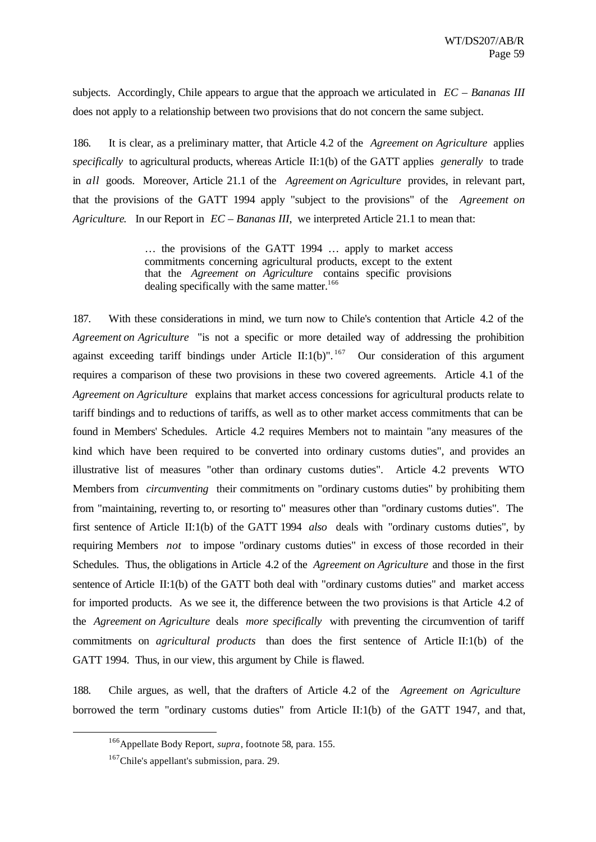subjects. Accordingly, Chile appears to argue that the approach we articulated in *EC – Bananas III* does not apply to a relationship between two provisions that do not concern the same subject.

186. It is clear, as a preliminary matter, that Article 4.2 of the *Agreement on Agriculture* applies *specifically* to agricultural products, whereas Article II:1(b) of the GATT applies *generally* to trade in *all* goods. Moreover, Article 21.1 of the *Agreement on Agriculture* provides, in relevant part, that the provisions of the GATT 1994 apply "subject to the provisions" of the *Agreement on Agriculture*. In our Report in *EC – Bananas III*, we interpreted Article 21.1 to mean that:

> … the provisions of the GATT 1994 … apply to market access commitments concerning agricultural products, except to the extent that the *Agreement on Agriculture* contains specific provisions dealing specifically with the same matter.<sup>166</sup>

187. With these considerations in mind, we turn now to Chile's contention that Article 4.2 of the *Agreement on Agriculture* "is not a specific or more detailed way of addressing the prohibition against exceeding tariff bindings under Article II:1(b)".<sup>167</sup> Our consideration of this argument requires a comparison of these two provisions in these two covered agreements. Article 4.1 of the *Agreement on Agriculture* explains that market access concessions for agricultural products relate to tariff bindings and to reductions of tariffs, as well as to other market access commitments that can be found in Members' Schedules. Article 4.2 requires Members not to maintain "any measures of the kind which have been required to be converted into ordinary customs duties", and provides an illustrative list of measures "other than ordinary customs duties". Article 4.2 prevents WTO Members from *circumventing* their commitments on "ordinary customs duties" by prohibiting them from "maintaining, reverting to, or resorting to" measures other than "ordinary customs duties". The first sentence of Article II:1(b) of the GATT 1994 *also* deals with "ordinary customs duties", by requiring Members *not* to impose "ordinary customs duties" in excess of those recorded in their Schedules. Thus, the obligations in Article 4.2 of the *Agreement on Agriculture* and those in the first sentence of Article II:1(b) of the GATT both deal with "ordinary customs duties" and market access for imported products. As we see it, the difference between the two provisions is that Article 4.2 of the *Agreement on Agriculture* deals *more specifically* with preventing the circumvention of tariff commitments on *agricultural products* than does the first sentence of Article II:1(b) of the GATT 1994. Thus, in our view, this argument by Chile is flawed.

188. Chile argues, as well, that the drafters of Article 4.2 of the *Agreement on Agriculture* borrowed the term "ordinary customs duties" from Article II:1(b) of the GATT 1947, and that,

<sup>166</sup>Appellate Body Report, *supra*, footnote 58, para. 155.

<sup>&</sup>lt;sup>167</sup>Chile's appellant's submission, para. 29.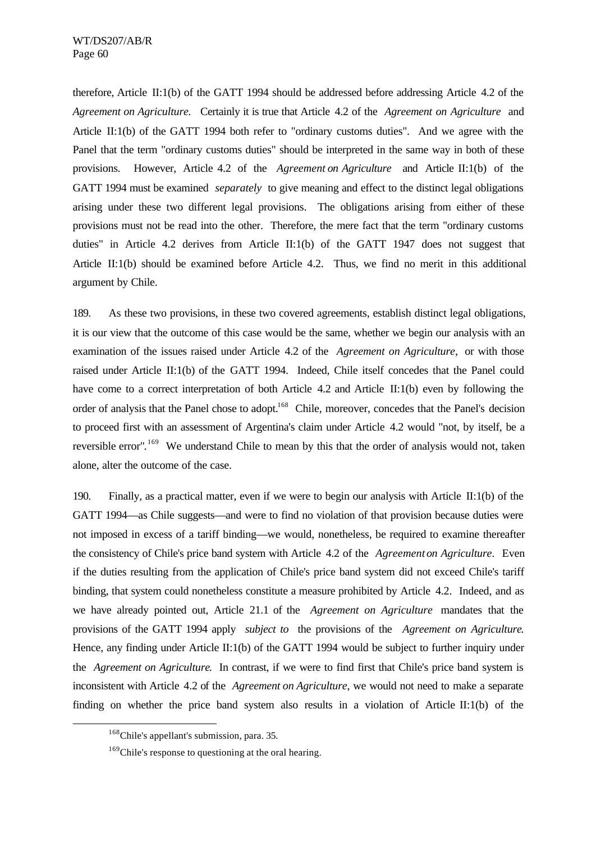therefore, Article II:1(b) of the GATT 1994 should be addressed before addressing Article 4.2 of the *Agreement on Agriculture.* Certainly it is true that Article 4.2 of the *Agreement on Agriculture* and Article II:1(b) of the GATT 1994 both refer to "ordinary customs duties". And we agree with the Panel that the term "ordinary customs duties" should be interpreted in the same way in both of these provisions. However, Article 4.2 of the *Agreement on Agriculture* and Article II:1(b) of the GATT 1994 must be examined *separately* to give meaning and effect to the distinct legal obligations arising under these two different legal provisions. The obligations arising from either of these provisions must not be read into the other. Therefore, the mere fact that the term "ordinary customs duties" in Article 4.2 derives from Article II:1(b) of the GATT 1947 does not suggest that Article II:1(b) should be examined before Article 4.2. Thus, we find no merit in this additional argument by Chile.

189. As these two provisions, in these two covered agreements, establish distinct legal obligations, it is our view that the outcome of this case would be the same, whether we begin our analysis with an examination of the issues raised under Article 4.2 of the *Agreement on Agriculture*,or with those raised under Article II:1(b) of the GATT 1994. Indeed, Chile itself concedes that the Panel could have come to a correct interpretation of both Article 4.2 and Article II:1(b) even by following the order of analysis that the Panel chose to adopt.<sup>168</sup> Chile, moreover, concedes that the Panel's decision to proceed first with an assessment of Argentina's claim under Article 4.2 would "not, by itself, be a reversible error".<sup>169</sup> We understand Chile to mean by this that the order of analysis would not, taken alone, alter the outcome of the case.

190. Finally, as a practical matter, even if we were to begin our analysis with Article II:1(b) of the GATT 1994—as Chile suggests—and were to find no violation of that provision because duties were not imposed in excess of a tariff binding—we would, nonetheless, be required to examine thereafter the consistency of Chile's price band system with Article 4.2 of the *Agreement on Agriculture*. Even if the duties resulting from the application of Chile's price band system did not exceed Chile's tariff binding, that system could nonetheless constitute a measure prohibited by Article 4.2. Indeed, and as we have already pointed out, Article 21.1 of the *Agreement on Agriculture* mandates that the provisions of the GATT 1994 apply *subject to* the provisions of the *Agreement on Agriculture*. Hence, any finding under Article II:1(b) of the GATT 1994 would be subject to further inquiry under the *Agreement on Agriculture*. In contrast, if we were to find first that Chile's price band system is inconsistent with Article 4.2 of the *Agreement on Agriculture*, we would not need to make a separate finding on whether the price band system also results in a violation of Article II:1(b) of the

<sup>&</sup>lt;sup>168</sup>Chile's appellant's submission, para. 35.

 $169$ Chile's response to questioning at the oral hearing.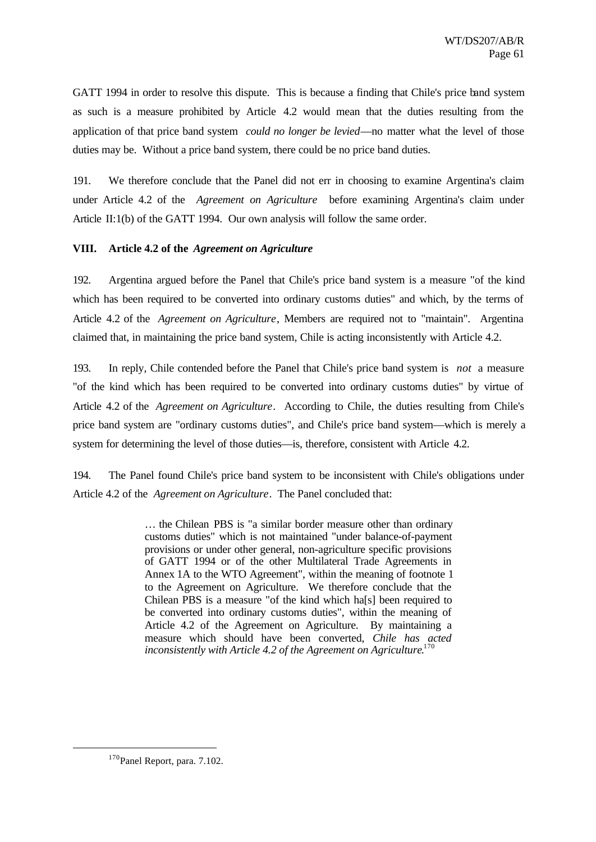GATT 1994 in order to resolve this dispute. This is because a finding that Chile's price band system as such is a measure prohibited by Article 4.2 would mean that the duties resulting from the application of that price band system *could no longer be levied*—no matter what the level of those duties may be. Without a price band system, there could be no price band duties.

191. We therefore conclude that the Panel did not err in choosing to examine Argentina's claim under Article 4.2 of the *Agreement on Agriculture* before examining Argentina's claim under Article II:1(b) of the GATT 1994. Our own analysis will follow the same order.

# **VIII. Article 4.2 of the** *Agreement on Agriculture*

192. Argentina argued before the Panel that Chile's price band system is a measure "of the kind which has been required to be converted into ordinary customs duties" and which, by the terms of Article 4.2 of the *Agreement on Agriculture*, Members are required not to "maintain". Argentina claimed that, in maintaining the price band system, Chile is acting inconsistently with Article 4.2.

193. In reply, Chile contended before the Panel that Chile's price band system is *not* a measure "of the kind which has been required to be converted into ordinary customs duties" by virtue of Article 4.2 of the *Agreement on Agriculture*. According to Chile, the duties resulting from Chile's price band system are "ordinary customs duties", and Chile's price band system—which is merely a system for determining the level of those duties—is, therefore, consistent with Article 4.2.

194. The Panel found Chile's price band system to be inconsistent with Chile's obligations under Article 4.2 of the *Agreement on Agriculture*. The Panel concluded that:

> … the Chilean PBS is "a similar border measure other than ordinary customs duties" which is not maintained "under balance-of-payment provisions or under other general, non-agriculture specific provisions of GATT 1994 or of the other Multilateral Trade Agreements in Annex 1A to the WTO Agreement", within the meaning of footnote 1 to the Agreement on Agriculture. We therefore conclude that the Chilean PBS is a measure "of the kind which ha[s] been required to be converted into ordinary customs duties", within the meaning of Article 4.2 of the Agreement on Agriculture. By maintaining a measure which should have been converted, *Chile has acted inconsistently with Article 4.2 of the Agreement on Agriculture*. 170

<sup>&</sup>lt;sup>170</sup>Panel Report, para. 7.102.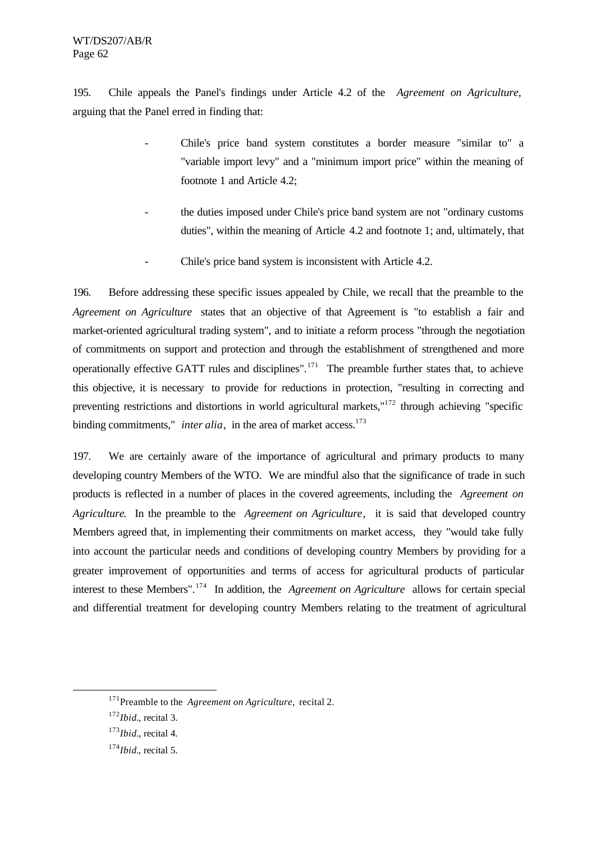195. Chile appeals the Panel's findings under Article 4.2 of the *Agreement on Agriculture,* arguing that the Panel erred in finding that:

- Chile's price band system constitutes a border measure "similar to" a "variable import levy" and a "minimum import price" within the meaning of footnote 1 and Article 4.2;
- the duties imposed under Chile's price band system are not "ordinary customs" duties", within the meaning of Article 4.2 and footnote 1; and, ultimately, that
- Chile's price band system is inconsistent with Article 4.2.

196. Before addressing these specific issues appealed by Chile, we recall that the preamble to the *Agreement on Agriculture* states that an objective of that Agreement is "to establish a fair and market-oriented agricultural trading system", and to initiate a reform process "through the negotiation of commitments on support and protection and through the establishment of strengthened and more operationally effective GATT rules and disciplines".<sup>171</sup> The preamble further states that, to achieve this objective, it is necessary to provide for reductions in protection, "resulting in correcting and preventing restrictions and distortions in world agricultural markets,"<sup>172</sup> through achieving "specific binding commitments," *inter alia*, in the area of market access.<sup>173</sup>

197. We are certainly aware of the importance of agricultural and primary products to many developing country Members of the WTO. We are mindful also that the significance of trade in such products is reflected in a number of places in the covered agreements, including the *Agreement on Agriculture*. In the preamble to the *Agreement on Agriculture*, it is said that developed country Members agreed that, in implementing their commitments on market access, they "would take fully into account the particular needs and conditions of developing country Members by providing for a greater improvement of opportunities and terms of access for agricultural products of particular interest to these Members".<sup>174</sup> In addition, the *Agreement on Agriculture* allows for certain special and differential treatment for developing country Members relating to the treatment of agricultural

<sup>&</sup>lt;sup>171</sup>Preamble to the *Agreement on Agriculture*, recital 2.

<sup>172</sup>*Ibid.*, recital 3.

<sup>173</sup>*Ibid.*, recital 4.

<sup>174</sup>*Ibid.*, recital 5.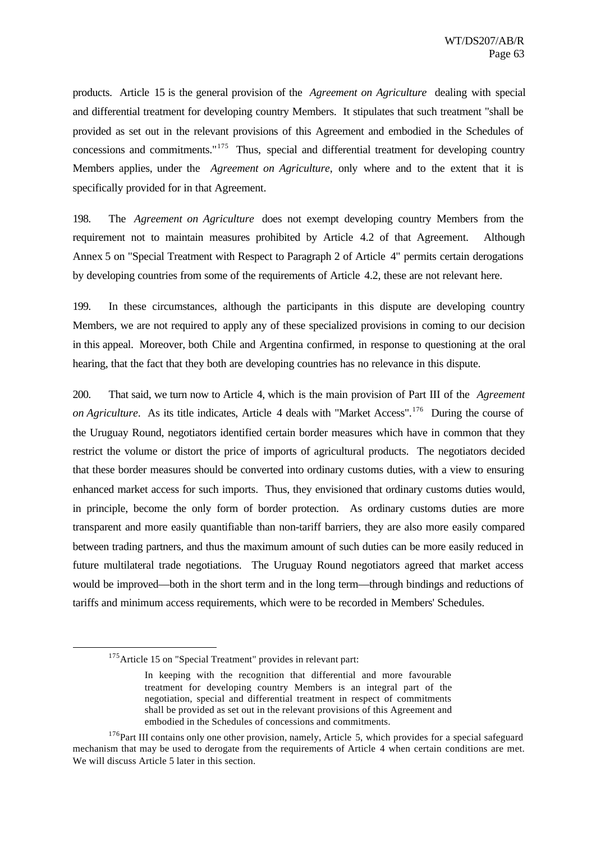products. Article 15 is the general provision of the *Agreement on Agriculture* dealing with special and differential treatment for developing country Members. It stipulates that such treatment "shall be provided as set out in the relevant provisions of this Agreement and embodied in the Schedules of concessions and commitments."<sup>175</sup> Thus, special and differential treatment for developing country Members applies, under the *Agreement on Agriculture*, only where and to the extent that it is specifically provided for in that Agreement.

198. The *Agreement on Agriculture* does not exempt developing country Members from the requirement not to maintain measures prohibited by Article 4.2 of that Agreement. Although Annex 5 on "Special Treatment with Respect to Paragraph 2 of Article 4" permits certain derogations by developing countries from some of the requirements of Article 4.2, these are not relevant here.

199. In these circumstances, although the participants in this dispute are developing country Members, we are not required to apply any of these specialized provisions in coming to our decision in this appeal. Moreover, both Chile and Argentina confirmed, in response to questioning at the oral hearing, that the fact that they both are developing countries has no relevance in this dispute.

200. That said, we turn now to Article 4, which is the main provision of Part III of the *Agreement on Agriculture.* As its title indicates, Article 4 deals with "Market Access".<sup>176</sup> During the course of the Uruguay Round, negotiators identified certain border measures which have in common that they restrict the volume or distort the price of imports of agricultural products. The negotiators decided that these border measures should be converted into ordinary customs duties, with a view to ensuring enhanced market access for such imports. Thus, they envisioned that ordinary customs duties would, in principle, become the only form of border protection. As ordinary customs duties are more transparent and more easily quantifiable than non-tariff barriers, they are also more easily compared between trading partners, and thus the maximum amount of such duties can be more easily reduced in future multilateral trade negotiations. The Uruguay Round negotiators agreed that market access would be improved—both in the short term and in the long term—through bindings and reductions of tariffs and minimum access requirements, which were to be recorded in Members' Schedules.

<sup>&</sup>lt;sup>175</sup>Article 15 on "Special Treatment" provides in relevant part:

In keeping with the recognition that differential and more favourable treatment for developing country Members is an integral part of the negotiation, special and differential treatment in respect of commitments shall be provided as set out in the relevant provisions of this Agreement and embodied in the Schedules of concessions and commitments.

<sup>&</sup>lt;sup>176</sup>Part III contains only one other provision, namely, Article 5, which provides for a special safeguard mechanism that may be used to derogate from the requirements of Article 4 when certain conditions are met. We will discuss Article 5 later in this section.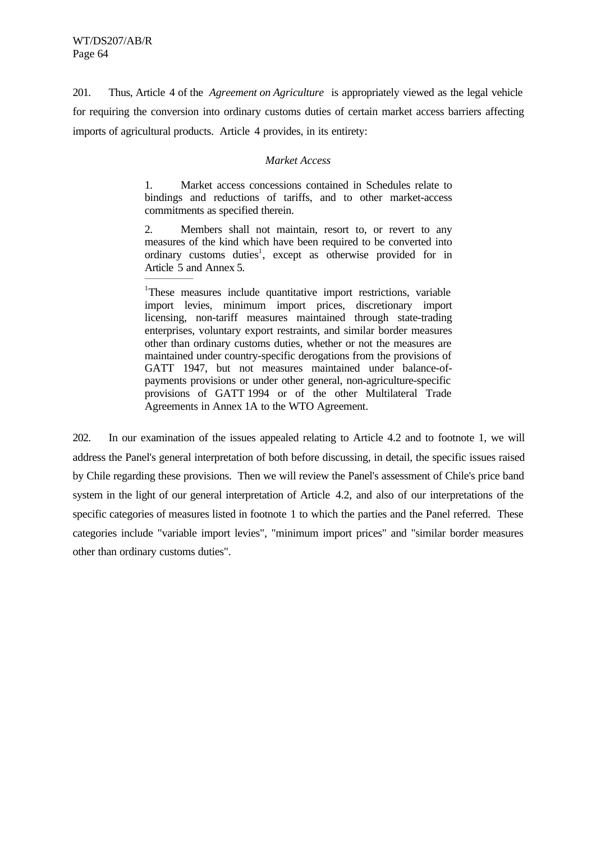201. Thus, Article 4 of the *Agreement on Agriculture* is appropriately viewed as the legal vehicle for requiring the conversion into ordinary customs duties of certain market access barriers affecting imports of agricultural products. Article 4 provides, in its entirety:

### *Market Access*

1. Market access concessions contained in Schedules relate to bindings and reductions of tariffs, and to other market-access commitments as specified therein.

2. Members shall not maintain, resort to, or revert to any measures of the kind which have been required to be converted into ordinary customs duties<sup>1</sup>, except as otherwise provided for in Article 5 and Annex 5.  $\overline{\phantom{a}}$  . The contract of the contract of the contract of the contract of the contract of the contract of the contract of the contract of the contract of the contract of the contract of the contract of the contract of

<sup>1</sup>These measures include quantitative import restrictions, variable import levies, minimum import prices, discretionary import licensing, non-tariff measures maintained through state-trading enterprises, voluntary export restraints, and similar border measures other than ordinary customs duties, whether or not the measures are maintained under country-specific derogations from the provisions of GATT 1947, but not measures maintained under balance-ofpayments provisions or under other general, non-agriculture-specific provisions of GATT 1994 or of the other Multilateral Trade Agreements in Annex 1A to the WTO Agreement.

202. In our examination of the issues appealed relating to Article 4.2 and to footnote 1, we will address the Panel's general interpretation of both before discussing, in detail, the specific issues raised by Chile regarding these provisions. Then we will review the Panel's assessment of Chile's price band system in the light of our general interpretation of Article 4.2, and also of our interpretations of the specific categories of measures listed in footnote 1 to which the parties and the Panel referred. These categories include "variable import levies", "minimum import prices" and "similar border measures other than ordinary customs duties".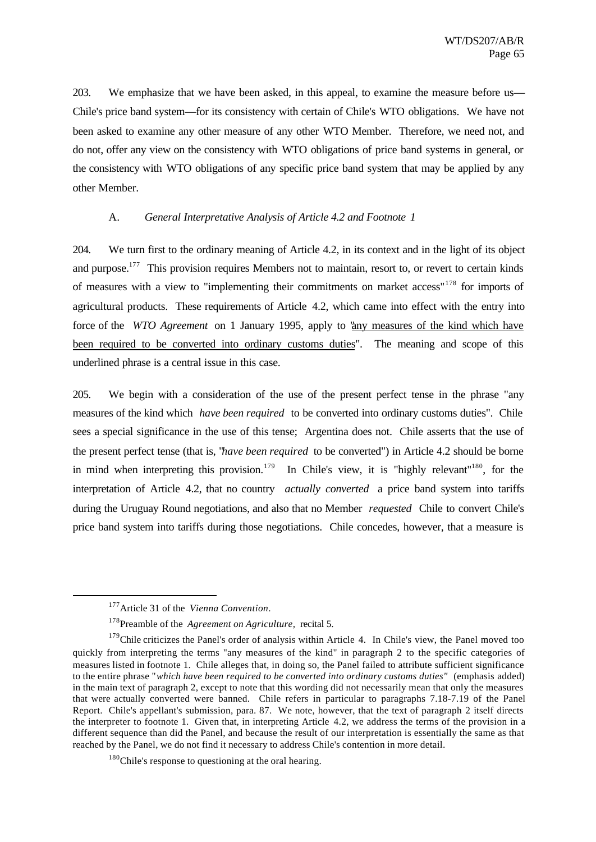203. We emphasize that we have been asked, in this appeal, to examine the measure before us— Chile's price band system—for its consistency with certain of Chile's WTO obligations. We have not been asked to examine any other measure of any other WTO Member. Therefore, we need not, and do not, offer any view on the consistency with WTO obligations of price band systems in general, or the consistency with WTO obligations of any specific price band system that may be applied by any other Member.

## A. *General Interpretative Analysis of Article 4.2 and Footnote 1*

204. We turn first to the ordinary meaning of Article 4.2, in its context and in the light of its object and purpose.<sup>177</sup> This provision requires Members not to maintain, resort to, or revert to certain kinds of measures with a view to "implementing their commitments on market access"<sup>178</sup> for imports of agricultural products. These requirements of Article 4.2, which came into effect with the entry into force of the *WTO Agreement* on 1 January 1995, apply to "any measures of the kind which have been required to be converted into ordinary customs duties". The meaning and scope of this underlined phrase is a central issue in this case.

205. We begin with a consideration of the use of the present perfect tense in the phrase "any measures of the kind which *have been required* to be converted into ordinary customs duties". Chile sees a special significance in the use of this tense; Argentina does not. Chile asserts that the use of the present perfect tense (that is, "*have been required* to be converted") in Article 4.2 should be borne in mind when interpreting this provision.<sup>179</sup> In Chile's view, it is "highly relevant"<sup>180</sup>, for the interpretation of Article 4.2, that no country *actually converted* a price band system into tariffs during the Uruguay Round negotiations, and also that no Member *requested* Chile to convert Chile's price band system into tariffs during those negotiations. Chile concedes, however, that a measure is

<sup>177</sup>Article 31 of the *Vienna Convention*.

<sup>178</sup>Preamble of the *Agreement on Agriculture,* recital 5.

 $179$ Chile criticizes the Panel's order of analysis within Article 4. In Chile's view, the Panel moved too quickly from interpreting the terms "any measures of the kind" in paragraph 2 to the specific categories of measures listed in footnote 1. Chile alleges that, in doing so, the Panel failed to attribute sufficient significance to the entire phrase "*which have been required to be converted into ordinary customs duties"* (emphasis added) in the main text of paragraph 2, except to note that this wording did not necessarily mean that only the measures that were actually converted were banned. Chile refers in particular to paragraphs 7.18-7.19 of the Panel Report. Chile's appellant's submission, para. 87. We note, however, that the text of paragraph 2 itself directs the interpreter to footnote 1. Given that, in interpreting Article 4.2, we address the terms of the provision in a different sequence than did the Panel, and because the result of our interpretation is essentially the same as that reached by the Panel, we do not find it necessary to address Chile's contention in more detail.

<sup>&</sup>lt;sup>180</sup>Chile's response to questioning at the oral hearing.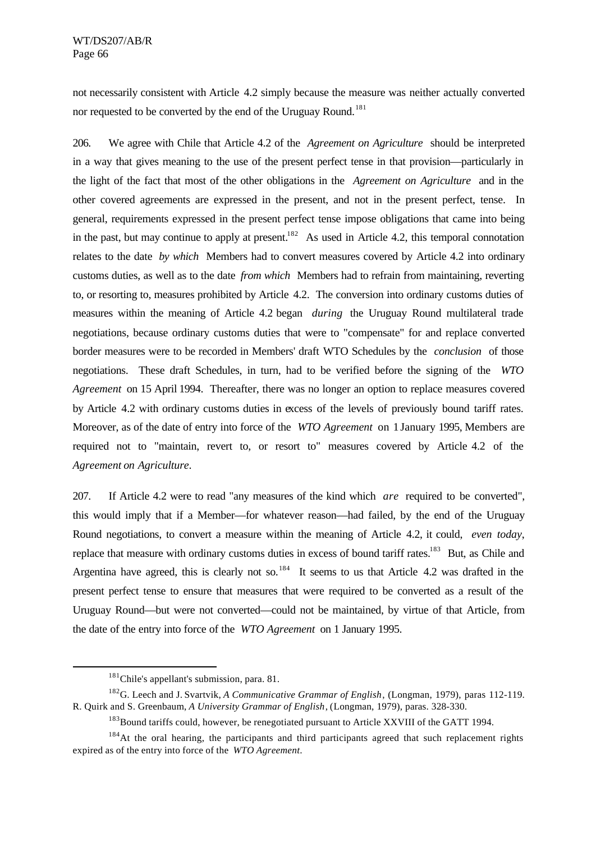not necessarily consistent with Article 4.2 simply because the measure was neither actually converted nor requested to be converted by the end of the Uruguay Round.<sup>181</sup>

206. We agree with Chile that Article 4.2 of the *Agreement on Agriculture* should be interpreted in a way that gives meaning to the use of the present perfect tense in that provision—particularly in the light of the fact that most of the other obligations in the *Agreement on Agriculture* and in the other covered agreements are expressed in the present, and not in the present perfect, tense. In general, requirements expressed in the present perfect tense impose obligations that came into being in the past, but may continue to apply at present.<sup>182</sup> As used in Article 4.2, this temporal connotation relates to the date *by which* Members had to convert measures covered by Article 4.2 into ordinary customs duties, as well as to the date *from which* Members had to refrain from maintaining, reverting to, or resorting to, measures prohibited by Article 4.2. The conversion into ordinary customs duties of measures within the meaning of Article 4.2 began *during* the Uruguay Round multilateral trade negotiations, because ordinary customs duties that were to "compensate" for and replace converted border measures were to be recorded in Members' draft WTO Schedules by the *conclusion* of those negotiations. These draft Schedules, in turn, had to be verified before the signing of the *WTO Agreement* on 15 April 1994. Thereafter, there was no longer an option to replace measures covered by Article 4.2 with ordinary customs duties in excess of the levels of previously bound tariff rates. Moreover, as of the date of entry into force of the *WTO Agreement* on 1 January 1995, Members are required not to "maintain, revert to, or resort to" measures covered by Article 4.2 of the *Agreement on Agriculture*.

207. If Article 4.2 were to read "any measures of the kind which *are* required to be converted", this would imply that if a Member—for whatever reason—had failed, by the end of the Uruguay Round negotiations, to convert a measure within the meaning of Article 4.2, it could, *even today*, replace that measure with ordinary customs duties in excess of bound tariff rates.<sup>183</sup> But, as Chile and Argentina have agreed, this is clearly not so.<sup>184</sup> It seems to us that Article 4.2 was drafted in the present perfect tense to ensure that measures that were required to be converted as a result of the Uruguay Round—but were not converted—could not be maintained, by virtue of that Article, from the date of the entry into force of the *WTO Agreement* on 1 January 1995.

<sup>&</sup>lt;sup>181</sup>Chile's appellant's submission, para. 81.

<sup>182</sup>G. Leech and J. Svartvik, *A Communicative Grammar of English*, (Longman, 1979), paras 112-119. R. Quirk and S. Greenbaum, *A University Grammar of English*, (Longman, 1979), paras. 328-330.

 $^{183}$ Bound tariffs could, however, be renegotiated pursuant to Article XXVIII of the GATT 1994.

<sup>&</sup>lt;sup>184</sup>At the oral hearing, the participants and third participants agreed that such replacement rights expired as of the entry into force of the *WTO Agreement*.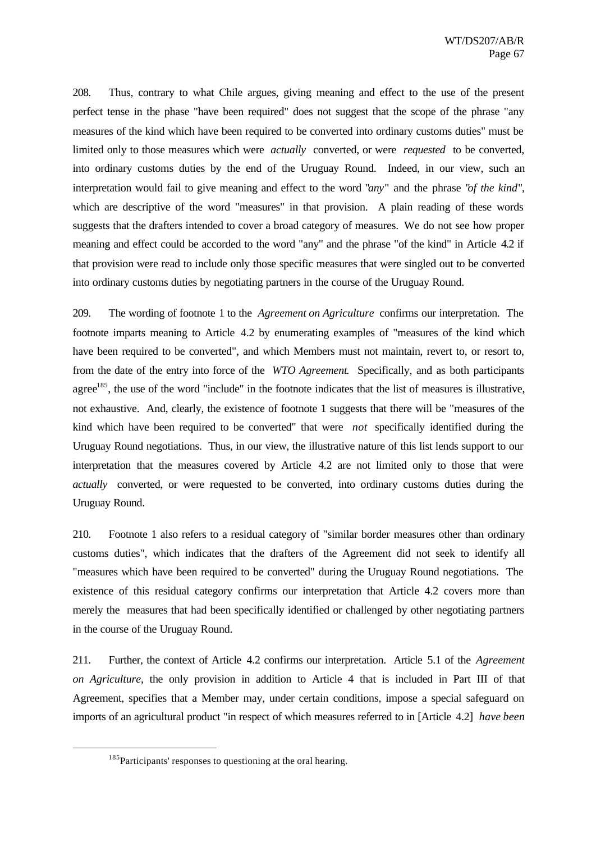208. Thus, contrary to what Chile argues, giving meaning and effect to the use of the present perfect tense in the phase "have been required" does not suggest that the scope of the phrase "any measures of the kind which have been required to be converted into ordinary customs duties" must be limited only to those measures which were *actually* converted, or were *requested* to be converted, into ordinary customs duties by the end of the Uruguay Round. Indeed, in our view, such an interpretation would fail to give meaning and effect to the word "*any*" and the phrase "*of the kind*", which are descriptive of the word "measures" in that provision. A plain reading of these words suggests that the drafters intended to cover a broad category of measures. We do not see how proper meaning and effect could be accorded to the word "any" and the phrase "of the kind" in Article 4.2 if that provision were read to include only those specific measures that were singled out to be converted into ordinary customs duties by negotiating partners in the course of the Uruguay Round.

209. The wording of footnote 1 to the *Agreement on Agriculture* confirms our interpretation. The footnote imparts meaning to Article 4.2 by enumerating examples of "measures of the kind which have been required to be converted", and which Members must not maintain, revert to, or resort to, from the date of the entry into force of the *WTO Agreement*. Specifically, and as both participants agree<sup>185</sup>, the use of the word "include" in the footnote indicates that the list of measures is illustrative, not exhaustive. And, clearly, the existence of footnote 1 suggests that there will be "measures of the kind which have been required to be converted" that were *not* specifically identified during the Uruguay Round negotiations. Thus, in our view, the illustrative nature of this list lends support to our interpretation that the measures covered by Article 4.2 are not limited only to those that were *actually* converted, or were requested to be converted, into ordinary customs duties during the Uruguay Round.

210. Footnote 1 also refers to a residual category of "similar border measures other than ordinary customs duties", which indicates that the drafters of the Agreement did not seek to identify all "measures which have been required to be converted" during the Uruguay Round negotiations. The existence of this residual category confirms our interpretation that Article 4.2 covers more than merely the measures that had been specifically identified or challenged by other negotiating partners in the course of the Uruguay Round.

211. Further, the context of Article 4.2 confirms our interpretation. Article 5.1 of the *Agreement on Agriculture*, the only provision in addition to Article 4 that is included in Part III of that Agreement, specifies that a Member may, under certain conditions, impose a special safeguard on imports of an agricultural product "in respect of which measures referred to in [Article 4.2] *have been*

<sup>&</sup>lt;sup>185</sup>Participants' responses to questioning at the oral hearing.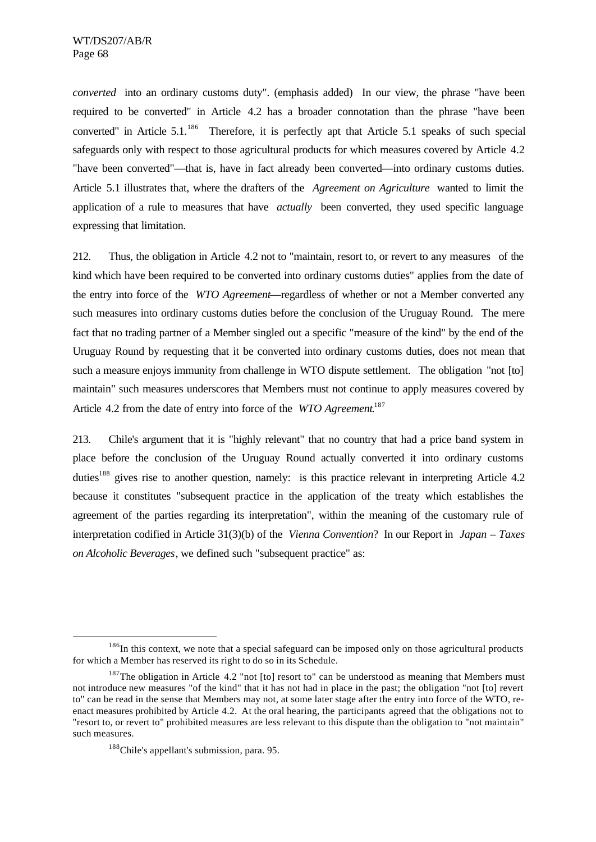*converted* into an ordinary customs duty". (emphasis added) In our view, the phrase "have been required to be converted" in Article 4.2 has a broader connotation than the phrase "have been converted" in Article  $5.1^{186}$  Therefore, it is perfectly apt that Article  $5.1$  speaks of such special safeguards only with respect to those agricultural products for which measures covered by Article 4.2 "have been converted"—that is, have in fact already been converted—into ordinary customs duties. Article 5.1 illustrates that, where the drafters of the *Agreement on Agriculture* wanted to limit the application of a rule to measures that have *actually* been converted, they used specific language expressing that limitation.

212. Thus, the obligation in Article 4.2 not to "maintain, resort to, or revert to any measures of the kind which have been required to be converted into ordinary customs duties" applies from the date of the entry into force of the *WTO Agreement*—regardless of whether or not a Member converted any such measures into ordinary customs duties before the conclusion of the Uruguay Round. The mere fact that no trading partner of a Member singled out a specific "measure of the kind" by the end of the Uruguay Round by requesting that it be converted into ordinary customs duties, does not mean that such a measure enjoys immunity from challenge in WTO dispute settlement. The obligation "not [to] maintain" such measures underscores that Members must not continue to apply measures covered by Article 4.2 from the date of entry into force of the *WTO Agreement*. 187

213. Chile's argument that it is "highly relevant" that no country that had a price band system in place before the conclusion of the Uruguay Round actually converted it into ordinary customs duties<sup>188</sup> gives rise to another question, namely: is this practice relevant in interpreting Article 4.2 because it constitutes "subsequent practice in the application of the treaty which establishes the agreement of the parties regarding its interpretation", within the meaning of the customary rule of interpretation codified in Article 31(3)(b) of the *Vienna Convention*? In our Report in *Japan – Taxes on Alcoholic Beverages*, we defined such "subsequent practice" as:

<sup>&</sup>lt;sup>186</sup>In this context, we note that a special safeguard can be imposed only on those agricultural products for which a Member has reserved its right to do so in its Schedule.

 $187$ The obligation in Article 4.2 "not [to] resort to" can be understood as meaning that Members must not introduce new measures "of the kind" that it has not had in place in the past; the obligation "not [to] revert to" can be read in the sense that Members may not, at some later stage after the entry into force of the WTO, reenact measures prohibited by Article 4.2. At the oral hearing, the participants agreed that the obligations not to "resort to, or revert to" prohibited measures are less relevant to this dispute than the obligation to "not maintain" such measures.

<sup>188</sup>Chile's appellant's submission, para. 95.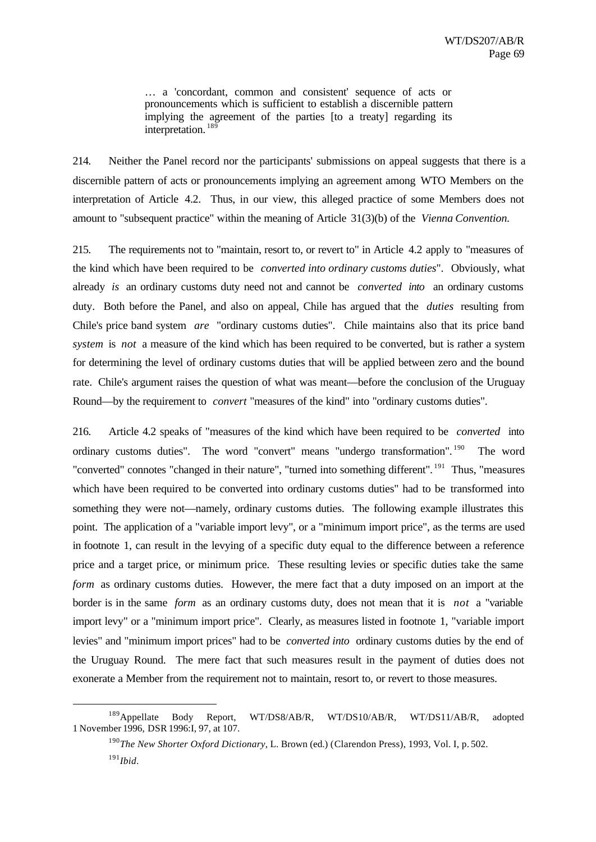… a 'concordant, common and consistent' sequence of acts or pronouncements which is sufficient to establish a discernible pattern implying the agreement of the parties [to a treaty] regarding its interpretation.<sup>189</sup>

214. Neither the Panel record nor the participants' submissions on appeal suggests that there is a discernible pattern of acts or pronouncements implying an agreement among WTO Members on the interpretation of Article 4.2. Thus, in our view, this alleged practice of some Members does not amount to "subsequent practice" within the meaning of Article 31(3)(b) of the *Vienna Convention.*

215. The requirements not to "maintain, resort to, or revert to" in Article 4.2 apply to "measures of the kind which have been required to be *converted into ordinary customs duties*". Obviously, what already *is* an ordinary customs duty need not and cannot be *converted into* an ordinary customs duty. Both before the Panel, and also on appeal, Chile has argued that the *duties* resulting from Chile's price band system *are* "ordinary customs duties". Chile maintains also that its price band *system* is *not* a measure of the kind which has been required to be converted, but is rather a system for determining the level of ordinary customs duties that will be applied between zero and the bound rate. Chile's argument raises the question of what was meant—before the conclusion of the Uruguay Round—by the requirement to *convert* "measures of the kind" into "ordinary customs duties".

216. Article 4.2 speaks of "measures of the kind which have been required to be *converted* into ordinary customs duties". The word "convert" means "undergo transformation".<sup>190</sup> The word "converted" connotes "changed in their nature", "turned into something different". <sup>191</sup> Thus, "measures which have been required to be converted into ordinary customs duties" had to be transformed into something they were not—namely, ordinary customs duties. The following example illustrates this point. The application of a "variable import levy", or a "minimum import price", as the terms are used in footnote 1, can result in the levying of a specific duty equal to the difference between a reference price and a target price, or minimum price. These resulting levies or specific duties take the same *form* as ordinary customs duties. However, the mere fact that a duty imposed on an import at the border is in the same *form* as an ordinary customs duty, does not mean that it is *not* a "variable import levy" or a "minimum import price". Clearly, as measures listed in footnote 1, "variable import levies" and "minimum import prices" had to be *converted into* ordinary customs duties by the end of the Uruguay Round. The mere fact that such measures result in the payment of duties does not exonerate a Member from the requirement not to maintain, resort to, or revert to those measures.

<sup>189</sup>Appellate Body Report, WT/DS8/AB/R, WT/DS10/AB/R, WT/DS11/AB/R, adopted 1 November 1996, DSR 1996:I, 97, at 107.

<sup>190</sup>*The New Shorter Oxford Dictionary*, L. Brown (ed.) (Clarendon Press), 1993, Vol. I, p. 502. <sup>191</sup>*Ibid*.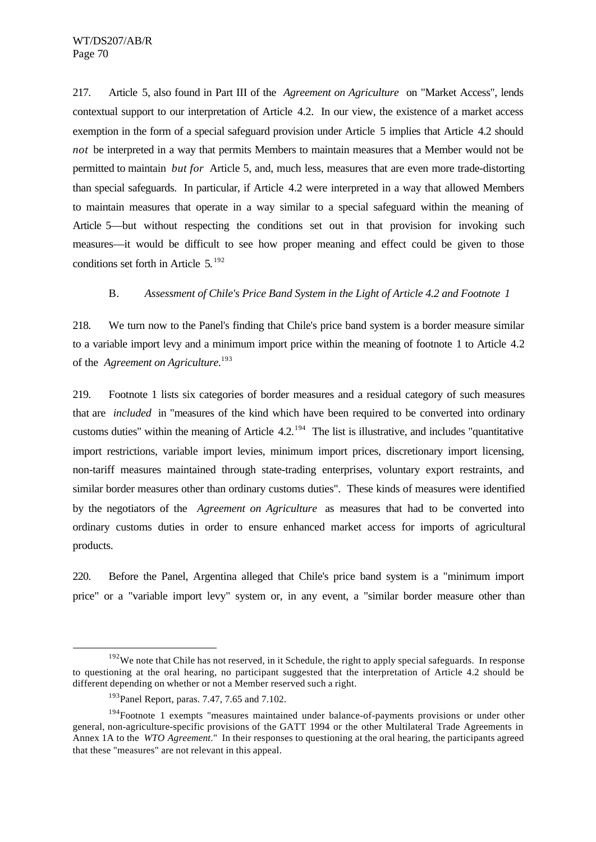217. Article 5, also found in Part III of the *Agreement on Agriculture* on "Market Access", lends contextual support to our interpretation of Article 4.2. In our view, the existence of a market access exemption in the form of a special safeguard provision under Article 5 implies that Article 4.2 should *not* be interpreted in a way that permits Members to maintain measures that a Member would not be permitted to maintain *but for* Article 5, and, much less, measures that are even more trade-distorting than special safeguards. In particular, if Article 4.2 were interpreted in a way that allowed Members to maintain measures that operate in a way similar to a special safeguard within the meaning of Article 5—but without respecting the conditions set out in that provision for invoking such measures—it would be difficult to see how proper meaning and effect could be given to those conditions set forth in Article 5.<sup>192</sup>

### B. *Assessment of Chile's Price Band System in the Light of Article 4.2 and Footnote 1*

218. We turn now to the Panel's finding that Chile's price band system is a border measure similar to a variable import levy and a minimum import price within the meaning of footnote 1 to Article 4.2 of the *Agreement on Agriculture.*<sup>193</sup>

219. Footnote 1 lists six categories of border measures and a residual category of such measures that are *included* in "measures of the kind which have been required to be converted into ordinary customs duties" within the meaning of Article  $4.2^{194}$ . The list is illustrative, and includes "quantitative import restrictions, variable import levies, minimum import prices, discretionary import licensing, non-tariff measures maintained through state-trading enterprises, voluntary export restraints, and similar border measures other than ordinary customs duties". These kinds of measures were identified by the negotiators of the *Agreement on Agriculture* as measures that had to be converted into ordinary customs duties in order to ensure enhanced market access for imports of agricultural products.

220. Before the Panel, Argentina alleged that Chile's price band system is a "minimum import price" or a "variable import levy" system or, in any event, a "similar border measure other than

 $192$ We note that Chile has not reserved, in it Schedule, the right to apply special safeguards. In response to questioning at the oral hearing, no participant suggested that the interpretation of Article 4.2 should be different depending on whether or not a Member reserved such a right.

<sup>193</sup>Panel Report, paras. 7.47, 7.65 and 7.102.

<sup>&</sup>lt;sup>194</sup>Footnote 1 exempts "measures maintained under balance-of-payments provisions or under other general, non-agriculture-specific provisions of the GATT 1994 or the other Multilateral Trade Agreements in Annex 1A to the *WTO Agreement*." In their responses to questioning at the oral hearing, the participants agreed that these "measures" are not relevant in this appeal.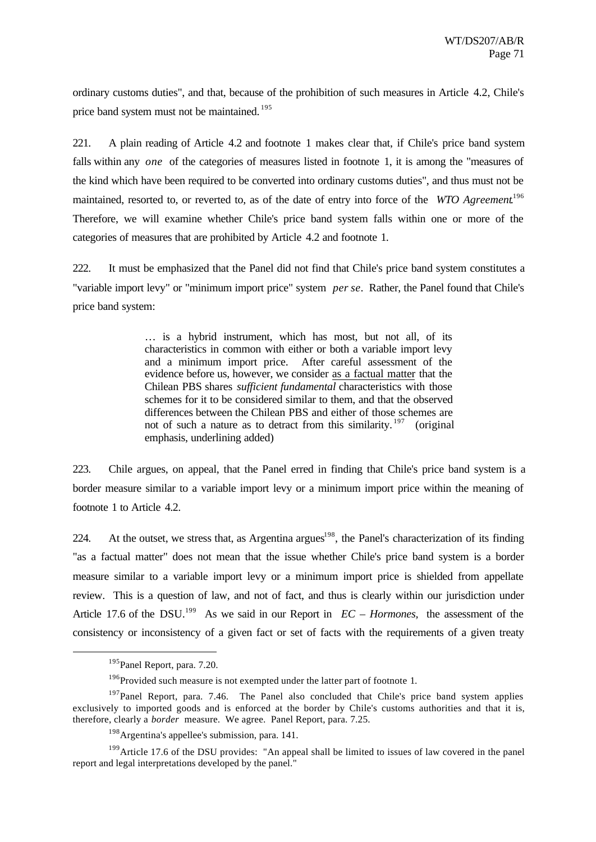ordinary customs duties", and that, because of the prohibition of such measures in Article 4.2, Chile's price band system must not be maintained. <sup>195</sup>

221. A plain reading of Article 4.2 and footnote 1 makes clear that, if Chile's price band system falls within any *one* of the categories of measures listed in footnote 1, it is among the "measures of the kind which have been required to be converted into ordinary customs duties", and thus must not be maintained, resorted to, or reverted to, as of the date of entry into force of the *WTO Agreement*. 196 Therefore, we will examine whether Chile's price band system falls within one or more of the categories of measures that are prohibited by Article 4.2 and footnote 1.

222. It must be emphasized that the Panel did not find that Chile's price band system constitutes a "variable import levy" or "minimum import price" system *per se*. Rather, the Panel found that Chile's price band system:

> … is a hybrid instrument, which has most, but not all, of its characteristics in common with either or both a variable import levy and a minimum import price. After careful assessment of the evidence before us, however, we consider as a factual matter that the Chilean PBS shares *sufficient fundamental* characteristics with those schemes for it to be considered similar to them, and that the observed differences between the Chilean PBS and either of those schemes are not of such a nature as to detract from this similarity.<sup>197</sup> (original emphasis, underlining added)

223. Chile argues, on appeal, that the Panel erred in finding that Chile's price band system is a border measure similar to a variable import levy or a minimum import price within the meaning of footnote 1 to Article 4.2.

224. At the outset, we stress that, as Argentina argues<sup>198</sup>, the Panel's characterization of its finding "as a factual matter" does not mean that the issue whether Chile's price band system is a border measure similar to a variable import levy or a minimum import price is shielded from appellate review. This is a question of law, and not of fact, and thus is clearly within our jurisdiction under Article 17.6 of the DSU.<sup>199</sup> As we said in our Report in  $EC-Hormones$ , the assessment of the consistency or inconsistency of a given fact or set of facts with the requirements of a given treaty

<sup>195</sup>Panel Report, para. 7.20.

<sup>&</sup>lt;sup>196</sup>Provided such measure is not exempted under the latter part of footnote 1.

<sup>&</sup>lt;sup>197</sup>Panel Report, para. 7.46. The Panel also concluded that Chile's price band system applies exclusively to imported goods and is enforced at the border by Chile's customs authorities and that it is, therefore, clearly a *border* measure. We agree. Panel Report, para. 7.25.

<sup>&</sup>lt;sup>198</sup>Argentina's appellee's submission, para. 141.

<sup>&</sup>lt;sup>199</sup>Article 17.6 of the DSU provides: "An appeal shall be limited to issues of law covered in the panel report and legal interpretations developed by the panel."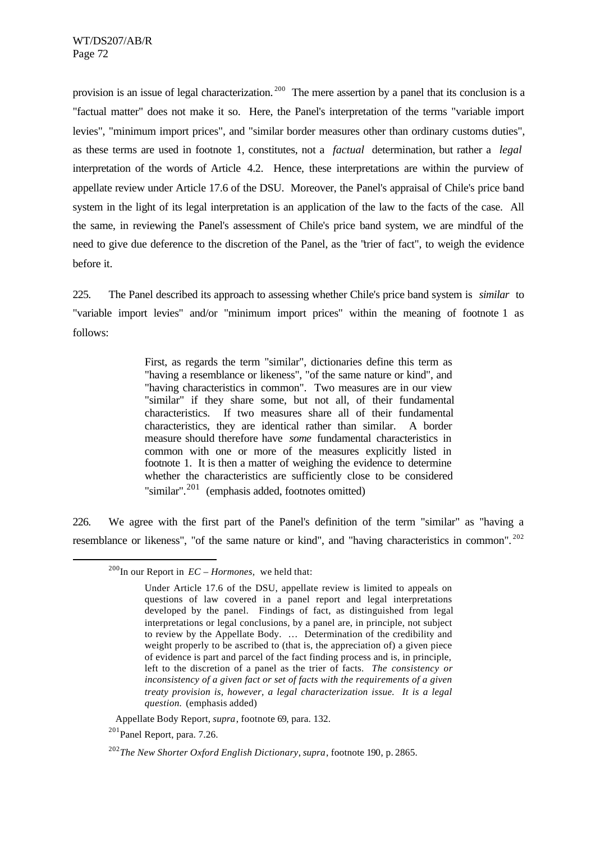provision is an issue of legal characterization.<sup>200</sup> The mere assertion by a panel that its conclusion is a "factual matter" does not make it so. Here, the Panel's interpretation of the terms "variable import levies", "minimum import prices", and "similar border measures other than ordinary customs duties", as these terms are used in footnote 1, constitutes, not a *factual* determination, but rather a *legal* interpretation of the words of Article 4.2. Hence, these interpretations are within the purview of appellate review under Article 17.6 of the DSU. Moreover, the Panel's appraisal of Chile's price band system in the light of its legal interpretation is an application of the law to the facts of the case. All the same, in reviewing the Panel's assessment of Chile's price band system, we are mindful of the need to give due deference to the discretion of the Panel, as the "trier of fact", to weigh the evidence before it.

225. The Panel described its approach to assessing whether Chile's price band system is *similar* to "variable import levies" and/or "minimum import prices" within the meaning of footnote 1 as follows:

> First, as regards the term "similar", dictionaries define this term as "having a resemblance or likeness", "of the same nature or kind", and "having characteristics in common". Two measures are in our view "similar" if they share some, but not all, of their fundamental characteristics. If two measures share all of their fundamental characteristics, they are identical rather than similar. A border measure should therefore have *some* fundamental characteristics in common with one or more of the measures explicitly listed in footnote 1. It is then a matter of weighing the evidence to determine whether the characteristics are sufficiently close to be considered "similar".<sup>201</sup> (emphasis added, footnotes omitted)

226. We agree with the first part of the Panel's definition of the term "similar" as "having a resemblance or likeness", "of the same nature or kind", and "having characteristics in common".<sup>202</sup>

Appellate Body Report, *supra*, footnote 69, para. 132.

<sup>201</sup>Panel Report, para. 7.26.

 $^{200}$ In our Report in *EC – Hormones*, we held that:

Under Article 17.6 of the DSU, appellate review is limited to appeals on questions of law covered in a panel report and legal interpretations developed by the panel. Findings of fact, as distinguished from legal interpretations or legal conclusions, by a panel are, in principle, not subject to review by the Appellate Body. … Determination of the credibility and weight properly to be ascribed to (that is, the appreciation of) a given piece of evidence is part and parcel of the fact finding process and is, in principle, left to the discretion of a panel as the trier of facts. *The consistency or inconsistency of a given fact or set of facts with the requirements of a given treaty provision is, however, a legal characterization issue. It is a legal question.* (emphasis added)

<sup>202</sup>*The New Shorter Oxford English Dictionary*, *supra*, footnote 190, p. 2865.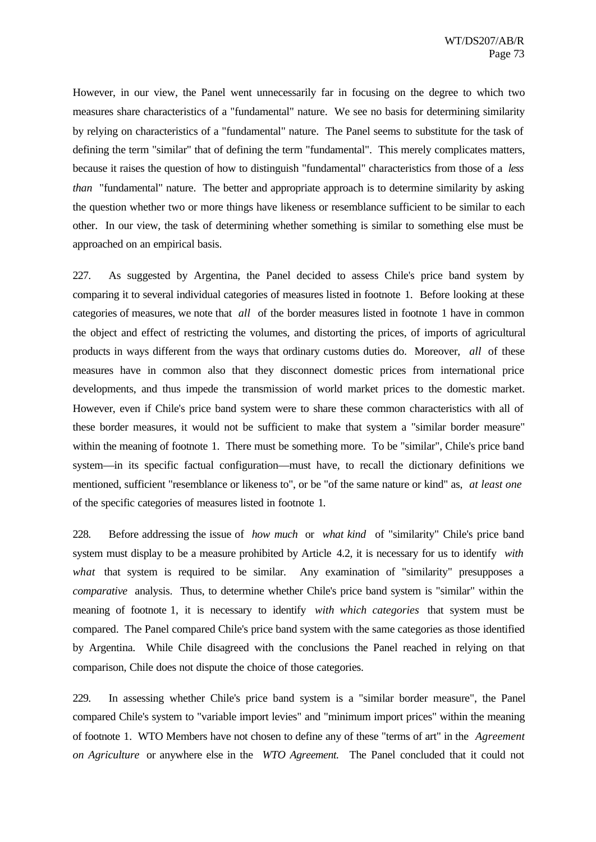However, in our view, the Panel went unnecessarily far in focusing on the degree to which two measures share characteristics of a "fundamental" nature. We see no basis for determining similarity by relying on characteristics of a "fundamental" nature. The Panel seems to substitute for the task of defining the term "similar" that of defining the term "fundamental". This merely complicates matters, because it raises the question of how to distinguish "fundamental" characteristics from those of a *less than* "fundamental" nature. The better and appropriate approach is to determine similarity by asking the question whether two or more things have likeness or resemblance sufficient to be similar to each other. In our view, the task of determining whether something is similar to something else must be approached on an empirical basis.

227. As suggested by Argentina, the Panel decided to assess Chile's price band system by comparing it to several individual categories of measures listed in footnote 1. Before looking at these categories of measures, we note that *all* of the border measures listed in footnote 1 have in common the object and effect of restricting the volumes, and distorting the prices, of imports of agricultural products in ways different from the ways that ordinary customs duties do. Moreover, *all* of these measures have in common also that they disconnect domestic prices from international price developments, and thus impede the transmission of world market prices to the domestic market. However, even if Chile's price band system were to share these common characteristics with all of these border measures, it would not be sufficient to make that system a "similar border measure" within the meaning of footnote 1. There must be something more. To be "similar", Chile's price band system—in its specific factual configuration—must have, to recall the dictionary definitions we mentioned, sufficient "resemblance or likeness to", or be "of the same nature or kind" as, *at least one* of the specific categories of measures listed in footnote 1.

228. Before addressing the issue of *how much* or *what kind* of "similarity" Chile's price band system must display to be a measure prohibited by Article 4.2, it is necessary for us to identify *with what* that system is required to be similar. Any examination of "similarity" presupposes a *comparative* analysis. Thus, to determine whether Chile's price band system is "similar" within the meaning of footnote 1, it is necessary to identify *with which categories* that system must be compared. The Panel compared Chile's price band system with the same categories as those identified by Argentina. While Chile disagreed with the conclusions the Panel reached in relying on that comparison, Chile does not dispute the choice of those categories.

229. In assessing whether Chile's price band system is a "similar border measure", the Panel compared Chile's system to "variable import levies" and "minimum import prices" within the meaning of footnote 1. WTO Members have not chosen to define any of these "terms of art" in the *Agreement on Agriculture* or anywhere else in the *WTO Agreement.* The Panel concluded that it could not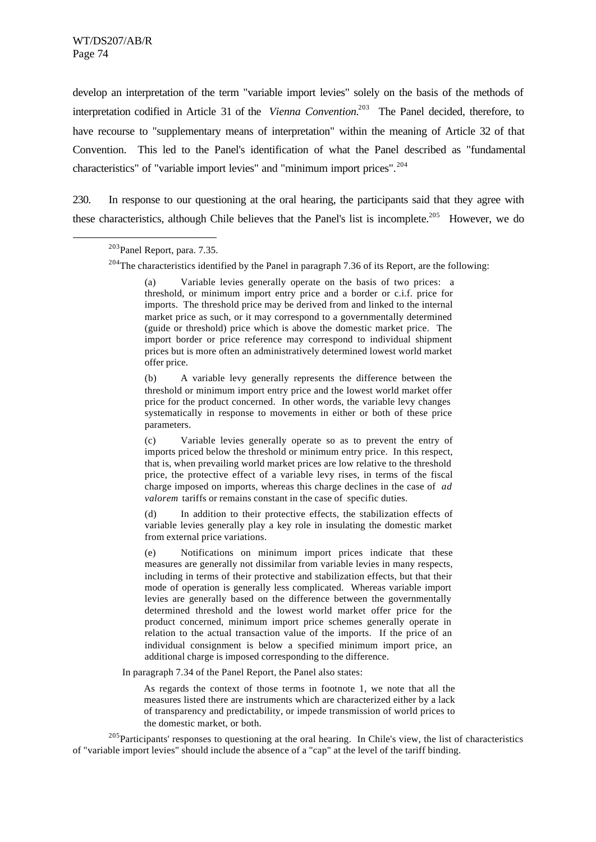l

develop an interpretation of the term "variable import levies" solely on the basis of the methods of interpretation codified in Article 31 of the *Vienna Convention.*<sup>203</sup> The Panel decided, therefore, to have recourse to "supplementary means of interpretation" within the meaning of Article 32 of that Convention. This led to the Panel's identification of what the Panel described as "fundamental characteristics" of "variable import levies" and "minimum import prices".<sup>204</sup>

230. In response to our questioning at the oral hearing, the participants said that they agree with these characteristics, although Chile believes that the Panel's list is incomplete.<sup>205</sup> However, we do

(d) In addition to their protective effects, the stabilization effects of variable levies generally play a key role in insulating the domestic market from external price variations.

(e) Notifications on minimum import prices indicate that these measures are generally not dissimilar from variable levies in many respects, including in terms of their protective and stabilization effects, but that their mode of operation is generally less complicated. Whereas variable import levies are generally based on the difference between the governmentally determined threshold and the lowest world market offer price for the product concerned, minimum import price schemes generally operate in relation to the actual transaction value of the imports. If the price of an individual consignment is below a specified minimum import price, an additional charge is imposed corresponding to the difference.

In paragraph 7.34 of the Panel Report, the Panel also states:

As regards the context of those terms in footnote 1, we note that all the measures listed there are instruments which are characterized either by a lack of transparency and predictability, or impede transmission of world prices to the domestic market, or both.

 $205$ Participants' responses to questioning at the oral hearing. In Chile's view, the list of characteristics of "variable import levies" should include the absence of a "cap" at the level of the tariff binding.

<sup>203</sup>Panel Report, para. 7.35.

 $204$ The characteristics identified by the Panel in paragraph 7.36 of its Report, are the following:

<sup>(</sup>a) Variable levies generally operate on the basis of two prices: a threshold, or minimum import entry price and a border or c.i.f. price for imports. The threshold price may be derived from and linked to the internal market price as such, or it may correspond to a governmentally determined (guide or threshold) price which is above the domestic market price. The import border or price reference may correspond to individual shipment prices but is more often an administratively determined lowest world market offer price.

<sup>(</sup>b) A variable levy generally represents the difference between the threshold or minimum import entry price and the lowest world market offer price for the product concerned. In other words, the variable levy changes systematically in response to movements in either or both of these price parameters.

<sup>(</sup>c) Variable levies generally operate so as to prevent the entry of imports priced below the threshold or minimum entry price. In this respect, that is, when prevailing world market prices are low relative to the threshold price, the protective effect of a variable levy rises, in terms of the fiscal charge imposed on imports, whereas this charge declines in the case of *ad valorem* tariffs or remains constant in the case of specific duties.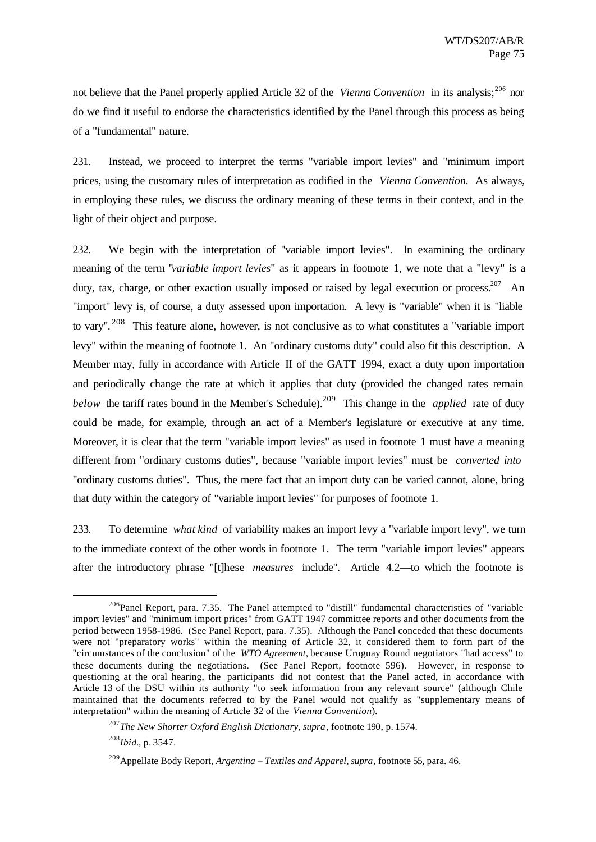not believe that the Panel properly applied Article 32 of the *Vienna Convention* in its analysis;<sup>206</sup> nor do we find it useful to endorse the characteristics identified by the Panel through this process as being of a "fundamental" nature.

231. Instead, we proceed to interpret the terms "variable import levies" and "minimum import prices, using the customary rules of interpretation as codified in the *Vienna Convention.* As always, in employing these rules, we discuss the ordinary meaning of these terms in their context, and in the light of their object and purpose.

232. We begin with the interpretation of "variable import levies". In examining the ordinary meaning of the term "*variable import levies*" as it appears in footnote 1, we note that a "levy" is a duty, tax, charge, or other exaction usually imposed or raised by legal execution or process.<sup>207</sup> An "import" levy is, of course, a duty assessed upon importation. A levy is "variable" when it is "liable to vary". <sup>208</sup> This feature alone, however, is not conclusive as to what constitutes a "variable import levy" within the meaning of footnote 1. An "ordinary customs duty" could also fit this description. A Member may, fully in accordance with Article II of the GATT 1994, exact a duty upon importation and periodically change the rate at which it applies that duty (provided the changed rates remain *below* the tariff rates bound in the Member's Schedule).<sup>209</sup> This change in the *applied* rate of duty could be made, for example, through an act of a Member's legislature or executive at any time. Moreover, it is clear that the term "variable import levies" as used in footnote 1 must have a meaning different from "ordinary customs duties", because "variable import levies" must be *converted into* "ordinary customs duties". Thus, the mere fact that an import duty can be varied cannot, alone, bring that duty within the category of "variable import levies" for purposes of footnote 1.

233. To determine *what kind* of variability makes an import levy a "variable import levy", we turn to the immediate context of the other words in footnote 1. The term "variable import levies" appears after the introductory phrase "[t]hese *measures* include". Article 4.2—to which the footnote is

 $^{206}$ Panel Report, para. 7.35. The Panel attempted to "distill" fundamental characteristics of "variable" import levies" and "minimum import prices" from GATT 1947 committee reports and other documents from the period between 1958-1986. (See Panel Report, para. 7.35). Although the Panel conceded that these documents were not "preparatory works" within the meaning of Article 32, it considered them to form part of the "circumstances of the conclusion" of the *WTO Agreement,* because Uruguay Round negotiators "had access" to these documents during the negotiations. (See Panel Report, footnote 596). However, in response to questioning at the oral hearing, the participants did not contest that the Panel acted, in accordance with Article 13 of the DSU within its authority "to seek information from any relevant source" (although Chile maintained that the documents referred to by the Panel would not qualify as "supplementary means of interpretation" within the meaning of Article 32 of the *Vienna Convention*).

<sup>207</sup>*The New Shorter Oxford English Dictionary*, *supra*, footnote 190, p. 1574.

<sup>208</sup>*Ibid.*, p. 3547.

<sup>209</sup>Appellate Body Report, *Argentina – Textiles and Apparel*, *supra*, footnote 55, para. 46.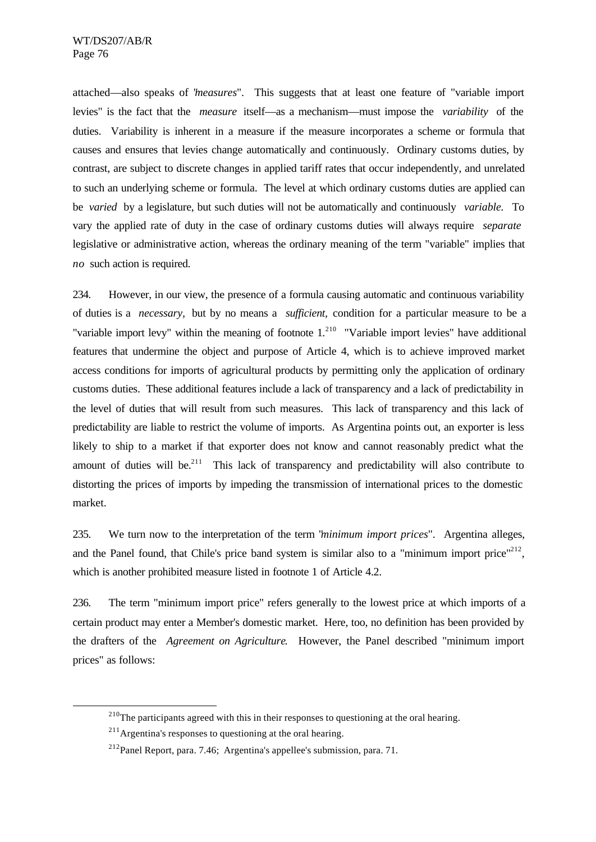attached—also speaks of "*measures*". This suggests that at least one feature of "variable import levies" is the fact that the *measure* itself—as a mechanism—must impose the *variability* of the duties. Variability is inherent in a measure if the measure incorporates a scheme or formula that causes and ensures that levies change automatically and continuously. Ordinary customs duties, by contrast, are subject to discrete changes in applied tariff rates that occur independently, and unrelated to such an underlying scheme or formula. The level at which ordinary customs duties are applied can be *varied* by a legislature, but such duties will not be automatically and continuously *variable.* To vary the applied rate of duty in the case of ordinary customs duties will always require *separate* legislative or administrative action, whereas the ordinary meaning of the term "variable" implies that *no* such action is required.

234. However, in our view, the presence of a formula causing automatic and continuous variability of duties is a *necessary,* but by no means a *sufficient,* condition for a particular measure to be a "variable import levy" within the meaning of footnote  $1.^{210}$  "Variable import levies" have additional features that undermine the object and purpose of Article 4, which is to achieve improved market access conditions for imports of agricultural products by permitting only the application of ordinary customs duties. These additional features include a lack of transparency and a lack of predictability in the level of duties that will result from such measures. This lack of transparency and this lack of predictability are liable to restrict the volume of imports. As Argentina points out, an exporter is less likely to ship to a market if that exporter does not know and cannot reasonably predict what the amount of duties will be.<sup>211</sup> This lack of transparency and predictability will also contribute to distorting the prices of imports by impeding the transmission of international prices to the domestic market.

235. We turn now to the interpretation of the term "*minimum import prices*". Argentina alleges, and the Panel found, that Chile's price band system is similar also to a "minimum import price"<sup>212</sup>, which is another prohibited measure listed in footnote 1 of Article 4.2.

236. The term "minimum import price" refers generally to the lowest price at which imports of a certain product may enter a Member's domestic market. Here, too, no definition has been provided by the drafters of the *Agreement on Agriculture*. However, the Panel described "minimum import prices" as follows:

<sup>&</sup>lt;sup>210</sup>The participants agreed with this in their responses to questioning at the oral hearing.

 $^{211}$ Argentina's responses to questioning at the oral hearing.

<sup>&</sup>lt;sup>212</sup>Panel Report, para. 7.46; Argentina's appellee's submission, para. 71.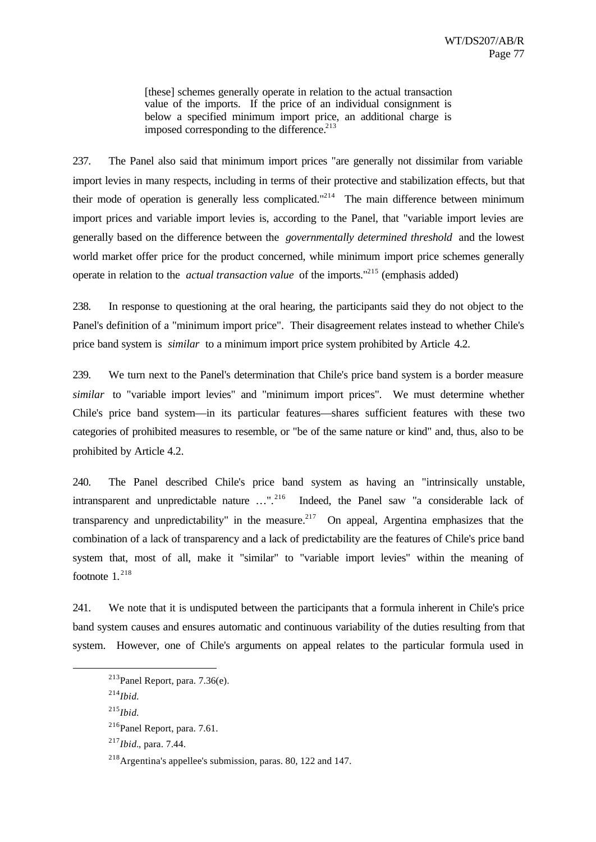[these] schemes generally operate in relation to the actual transaction value of the imports. If the price of an individual consignment is below a specified minimum import price, an additional charge is imposed corresponding to the difference. $2^{13}$ 

237. The Panel also said that minimum import prices "are generally not dissimilar from variable import levies in many respects, including in terms of their protective and stabilization effects, but that their mode of operation is generally less complicated. $1^{214}$  The main difference between minimum import prices and variable import levies is, according to the Panel, that "variable import levies are generally based on the difference between the *governmentally determined threshold* and the lowest world market offer price for the product concerned, while minimum import price schemes generally operate in relation to the *actual transaction value* of the imports."<sup>215</sup> (emphasis added)

238. In response to questioning at the oral hearing, the participants said they do not object to the Panel's definition of a "minimum import price". Their disagreement relates instead to whether Chile's price band system is *similar* to a minimum import price system prohibited by Article 4.2.

239. We turn next to the Panel's determination that Chile's price band system is a border measure *similar* to "variable import levies" and "minimum import prices". We must determine whether Chile's price band system—in its particular features—shares sufficient features with these two categories of prohibited measures to resemble, or "be of the same nature or kind" and, thus, also to be prohibited by Article 4.2.

240. The Panel described Chile's price band system as having an "intrinsically unstable, intransparent and unpredictable nature  $\ldots$ ".<sup>216</sup> Indeed, the Panel saw "a considerable lack of transparency and unpredictability" in the measure.<sup>217</sup> On appeal, Argentina emphasizes that the combination of a lack of transparency and a lack of predictability are the features of Chile's price band system that, most of all, make it "similar" to "variable import levies" within the meaning of footnote  $1^{218}$ 

241. We note that it is undisputed between the participants that a formula inherent in Chile's price band system causes and ensures automatic and continuous variability of the duties resulting from that system. However, one of Chile's arguments on appeal relates to the particular formula used in

 $213$ Panel Report, para. 7.36(e).

<sup>214</sup>*Ibid.*

<sup>215</sup>*Ibid.*

<sup>216</sup>Panel Report, para. 7.61.

<sup>217</sup>*Ibid.*, para. 7.44.

<sup>218</sup>Argentina's appellee's submission, paras. 80, 122 and 147.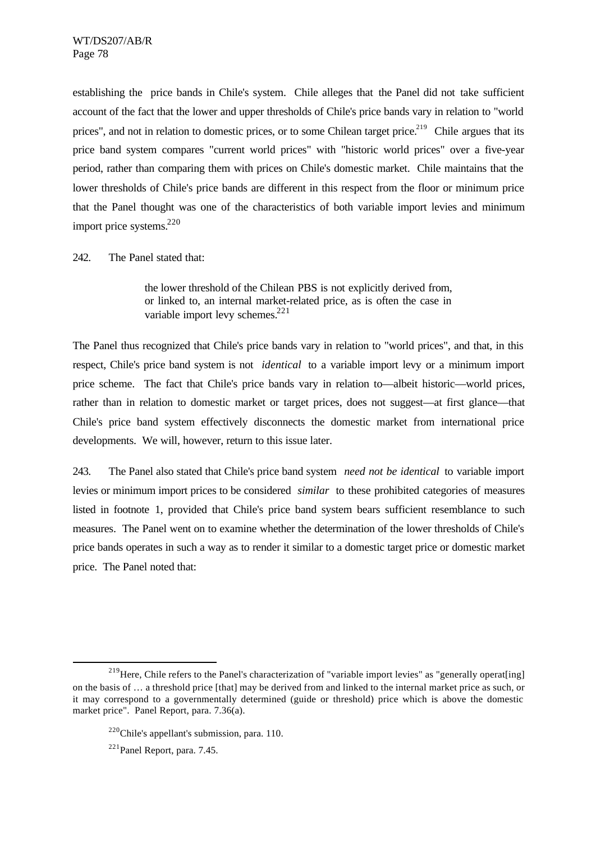establishing the price bands in Chile's system. Chile alleges that the Panel did not take sufficient account of the fact that the lower and upper thresholds of Chile's price bands vary in relation to "world prices", and not in relation to domestic prices, or to some Chilean target price.<sup>219</sup> Chile argues that its price band system compares "current world prices" with "historic world prices" over a five-year period, rather than comparing them with prices on Chile's domestic market. Chile maintains that the lower thresholds of Chile's price bands are different in this respect from the floor or minimum price that the Panel thought was one of the characteristics of both variable import levies and minimum import price systems.<sup>220</sup>

### 242. The Panel stated that:

the lower threshold of the Chilean PBS is not explicitly derived from, or linked to, an internal market-related price, as is often the case in variable import levy schemes.<sup>221</sup>

The Panel thus recognized that Chile's price bands vary in relation to "world prices", and that, in this respect, Chile's price band system is not *identical* to a variable import levy or a minimum import price scheme. The fact that Chile's price bands vary in relation to—albeit historic—world prices, rather than in relation to domestic market or target prices, does not suggest—at first glance—that Chile's price band system effectively disconnects the domestic market from international price developments. We will, however, return to this issue later.

243. The Panel also stated that Chile's price band system *need not be identical* to variable import levies or minimum import prices to be considered *similar* to these prohibited categories of measures listed in footnote 1, provided that Chile's price band system bears sufficient resemblance to such measures. The Panel went on to examine whether the determination of the lower thresholds of Chile's price bands operates in such a way as to render it similar to a domestic target price or domestic market price. The Panel noted that:

<sup>&</sup>lt;sup>219</sup>Here, Chile refers to the Panel's characterization of "variable import levies" as "generally operat[ing] on the basis of … a threshold price [that] may be derived from and linked to the internal market price as such, or it may correspond to a governmentally determined (guide or threshold) price which is above the domestic market price". Panel Report, para. 7.36(a).

 $220$ Chile's appellant's submission, para. 110.

 $221$ Panel Report, para. 7.45.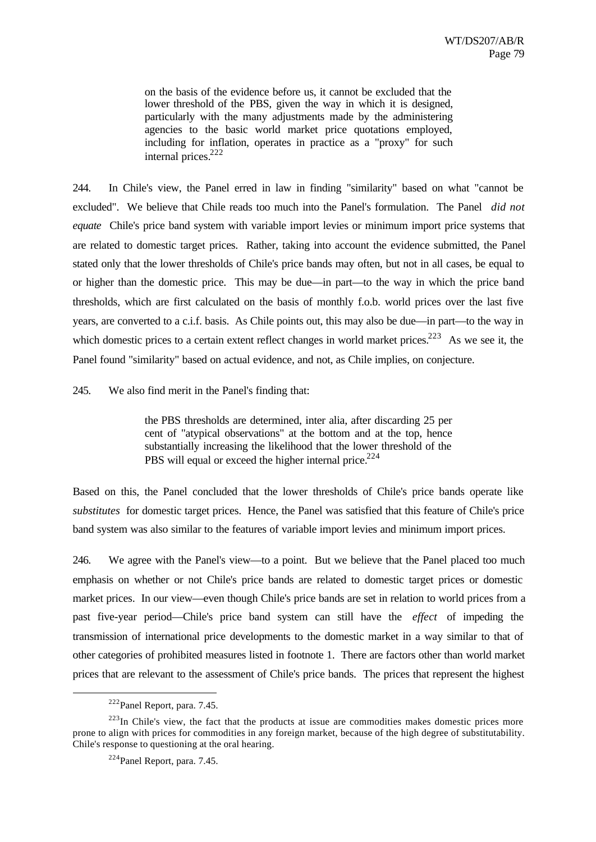on the basis of the evidence before us, it cannot be excluded that the lower threshold of the PBS, given the way in which it is designed, particularly with the many adjustments made by the administering agencies to the basic world market price quotations employed, including for inflation, operates in practice as a "proxy" for such internal prices.<sup>222</sup>

244. In Chile's view, the Panel erred in law in finding "similarity" based on what "cannot be excluded". We believe that Chile reads too much into the Panel's formulation. The Panel *did not equate* Chile's price band system with variable import levies or minimum import price systems that are related to domestic target prices. Rather, taking into account the evidence submitted, the Panel stated only that the lower thresholds of Chile's price bands may often, but not in all cases, be equal to or higher than the domestic price. This may be due—in part—to the way in which the price band thresholds, which are first calculated on the basis of monthly f.o.b. world prices over the last five years, are converted to a c.i.f. basis. As Chile points out, this may also be due—in part—to the way in which domestic prices to a certain extent reflect changes in world market prices.<sup>223</sup> As we see it, the Panel found "similarity" based on actual evidence, and not, as Chile implies, on conjecture.

245. We also find merit in the Panel's finding that:

the PBS thresholds are determined, inter alia, after discarding 25 per cent of "atypical observations" at the bottom and at the top, hence substantially increasing the likelihood that the lower threshold of the PBS will equal or exceed the higher internal price.<sup>224</sup>

Based on this, the Panel concluded that the lower thresholds of Chile's price bands operate like *substitutes* for domestic target prices. Hence, the Panel was satisfied that this feature of Chile's price band system was also similar to the features of variable import levies and minimum import prices.

246. We agree with the Panel's view—to a point. But we believe that the Panel placed too much emphasis on whether or not Chile's price bands are related to domestic target prices or domestic market prices. In our view—even though Chile's price bands are set in relation to world prices from a past five-year period—Chile's price band system can still have the *effect* of impeding the transmission of international price developments to the domestic market in a way similar to that of other categories of prohibited measures listed in footnote 1. There are factors other than world market prices that are relevant to the assessment of Chile's price bands. The prices that represent the highest

<sup>222</sup>Panel Report, para. 7.45.

 $223$ In Chile's view, the fact that the products at issue are commodities makes domestic prices more prone to align with prices for commodities in any foreign market, because of the high degree of substitutability. Chile's response to questioning at the oral hearing.

<sup>224</sup>Panel Report, para. 7.45.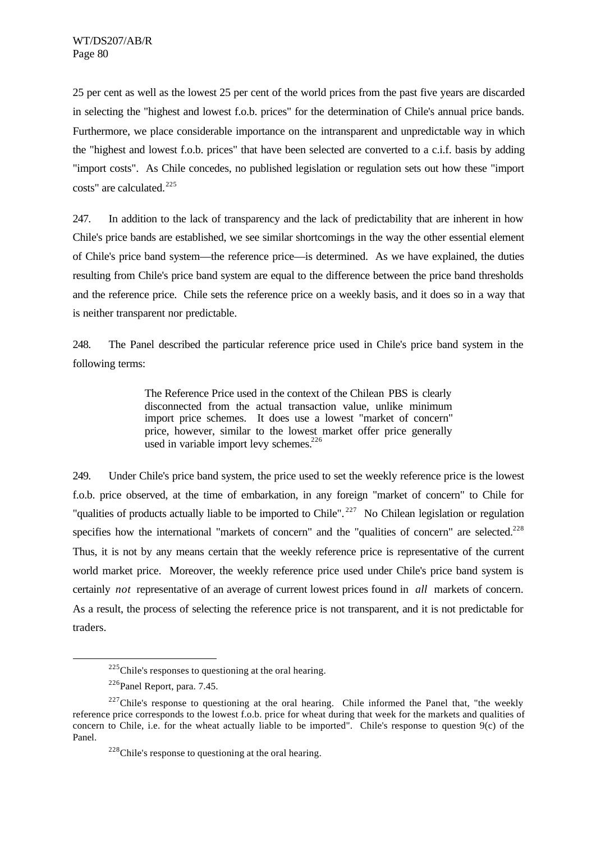25 per cent as well as the lowest 25 per cent of the world prices from the past five years are discarded in selecting the "highest and lowest f.o.b. prices" for the determination of Chile's annual price bands. Furthermore, we place considerable importance on the intransparent and unpredictable way in which the "highest and lowest f.o.b. prices" that have been selected are converted to a c.i.f. basis by adding "import costs". As Chile concedes, no published legislation or regulation sets out how these "import costs" are calculated. $225$ 

247. In addition to the lack of transparency and the lack of predictability that are inherent in how Chile's price bands are established, we see similar shortcomings in the way the other essential element of Chile's price band system—the reference price—is determined. As we have explained, the duties resulting from Chile's price band system are equal to the difference between the price band thresholds and the reference price. Chile sets the reference price on a weekly basis, and it does so in a way that is neither transparent nor predictable.

248. The Panel described the particular reference price used in Chile's price band system in the following terms:

> The Reference Price used in the context of the Chilean PBS is clearly disconnected from the actual transaction value, unlike minimum import price schemes. It does use a lowest "market of concern" price, however, similar to the lowest market offer price generally used in variable import levy schemes.<sup>226</sup>

249. Under Chile's price band system, the price used to set the weekly reference price is the lowest f.o.b. price observed, at the time of embarkation, in any foreign "market of concern" to Chile for "qualities of products actually liable to be imported to Chile".<sup>227</sup> No Chilean legislation or regulation specifies how the international "markets of concern" and the "qualities of concern" are selected.<sup>228</sup> Thus, it is not by any means certain that the weekly reference price is representative of the current world market price. Moreover, the weekly reference price used under Chile's price band system is certainly *not* representative of an average of current lowest prices found in *all* markets of concern. As a result, the process of selecting the reference price is not transparent, and it is not predictable for traders.

 $225$ Chile's responses to questioning at the oral hearing.

<sup>226</sup>Panel Report, para. 7.45.

 $227$ Chile's response to questioning at the oral hearing. Chile informed the Panel that, "the weekly reference price corresponds to the lowest f.o.b. price for wheat during that week for the markets and qualities of concern to Chile, i.e. for the wheat actually liable to be imported". Chile's response to question 9(c) of the Panel.

 $228$ Chile's response to questioning at the oral hearing.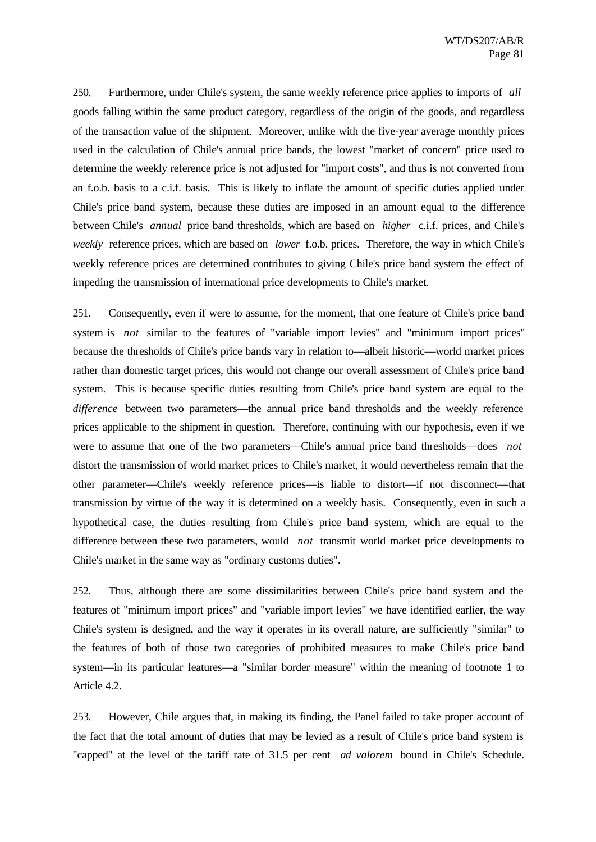250. Furthermore, under Chile's system, the same weekly reference price applies to imports of *all* goods falling within the same product category, regardless of the origin of the goods, and regardless of the transaction value of the shipment. Moreover, unlike with the five-year average monthly prices used in the calculation of Chile's annual price bands, the lowest "market of concern" price used to determine the weekly reference price is not adjusted for "import costs", and thus is not converted from an f.o.b. basis to a c.i.f. basis. This is likely to inflate the amount of specific duties applied under Chile's price band system, because these duties are imposed in an amount equal to the difference between Chile's *annual* price band thresholds, which are based on *higher* c.i.f. prices, and Chile's *weekly* reference prices, which are based on *lower* f.o.b. prices. Therefore, the way in which Chile's weekly reference prices are determined contributes to giving Chile's price band system the effect of impeding the transmission of international price developments to Chile's market.

251. Consequently, even if were to assume, for the moment, that one feature of Chile's price band system is *not* similar to the features of "variable import levies" and "minimum import prices" because the thresholds of Chile's price bands vary in relation to—albeit historic—world market prices rather than domestic target prices, this would not change our overall assessment of Chile's price band system. This is because specific duties resulting from Chile's price band system are equal to the *difference* between two parameters––the annual price band thresholds and the weekly reference prices applicable to the shipment in question. Therefore, continuing with our hypothesis, even if we were to assume that one of the two parameters––Chile's annual price band thresholds––does *not* distort the transmission of world market prices to Chile's market, it would nevertheless remain that the other parameter––Chile's weekly reference prices––is liable to distort—if not disconnect—that transmission by virtue of the way it is determined on a weekly basis. Consequently, even in such a hypothetical case, the duties resulting from Chile's price band system, which are equal to the difference between these two parameters, would *not* transmit world market price developments to Chile's market in the same way as "ordinary customs duties".

252. Thus, although there are some dissimilarities between Chile's price band system and the features of "minimum import prices" and "variable import levies" we have identified earlier, the way Chile's system is designed, and the way it operates in its overall nature, are sufficiently "similar" to the features of both of those two categories of prohibited measures to make Chile's price band system—in its particular features—a "similar border measure" within the meaning of footnote 1 to Article 4.2.

253. However, Chile argues that, in making its finding, the Panel failed to take proper account of the fact that the total amount of duties that may be levied as a result of Chile's price band system is "capped" at the level of the tariff rate of 31.5 per cent *ad valorem* bound in Chile's Schedule.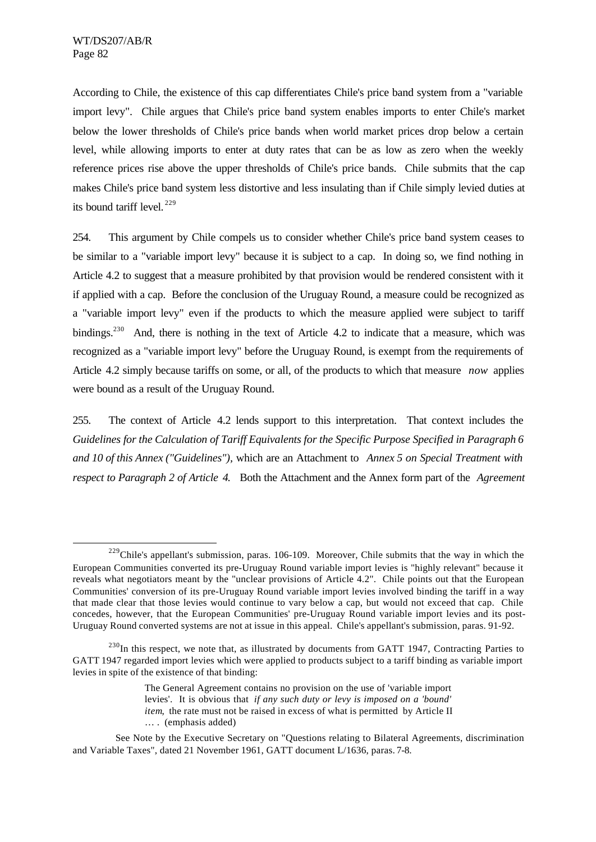l

According to Chile, the existence of this cap differentiates Chile's price band system from a "variable import levy". Chile argues that Chile's price band system enables imports to enter Chile's market below the lower thresholds of Chile's price bands when world market prices drop below a certain level, while allowing imports to enter at duty rates that can be as low as zero when the weekly reference prices rise above the upper thresholds of Chile's price bands. Chile submits that the cap makes Chile's price band system less distortive and less insulating than if Chile simply levied duties at its bound tariff level. $^{229}$ 

254. This argument by Chile compels us to consider whether Chile's price band system ceases to be similar to a "variable import levy" because it is subject to a cap. In doing so, we find nothing in Article 4.2 to suggest that a measure prohibited by that provision would be rendered consistent with it if applied with a cap. Before the conclusion of the Uruguay Round, a measure could be recognized as a "variable import levy" even if the products to which the measure applied were subject to tariff bindings.<sup>230</sup> And, there is nothing in the text of Article 4.2 to indicate that a measure, which was recognized as a "variable import levy" before the Uruguay Round, is exempt from the requirements of Article 4.2 simply because tariffs on some, or all, of the products to which that measure *now* applies were bound as a result of the Uruguay Round.

255. The context of Article 4.2 lends support to this interpretation. That context includes the *Guidelines for the Calculation of Tariff Equivalents for the Specific Purpose Specified in Paragraph 6 and 10 of this Annex ("Guidelines"),* which are an Attachment to *Annex 5 on Special Treatment with respect to Paragraph 2 of Article 4.* Both the Attachment and the Annex form part of the *Agreement*

<sup>&</sup>lt;sup>229</sup>Chile's appellant's submission, paras. 106-109. Moreover, Chile submits that the way in which the European Communities converted its pre-Uruguay Round variable import levies is "highly relevant" because it reveals what negotiators meant by the "unclear provisions of Article 4.2". Chile points out that the European Communities' conversion of its pre-Uruguay Round variable import levies involved binding the tariff in a way that made clear that those levies would continue to vary below a cap, but would not exceed that cap. Chile concedes, however, that the European Communities' pre-Uruguay Round variable import levies and its post-Uruguay Round converted systems are not at issue in this appeal. Chile's appellant's submission, paras. 91-92.

 $^{230}$ In this respect, we note that, as illustrated by documents from GATT 1947, Contracting Parties to GATT 1947 regarded import levies which were applied to products subject to a tariff binding as variable import levies in spite of the existence of that binding:

The General Agreement contains no provision on the use of 'variable import levies'. It is obvious that *if any such duty or levy is imposed on a 'bound' item*, the rate must not be raised in excess of what is permitted by Article II … . (emphasis added)

See Note by the Executive Secretary on "Questions relating to Bilateral Agreements, discrimination and Variable Taxes", dated 21 November 1961, GATT document L/1636, paras. 7-8.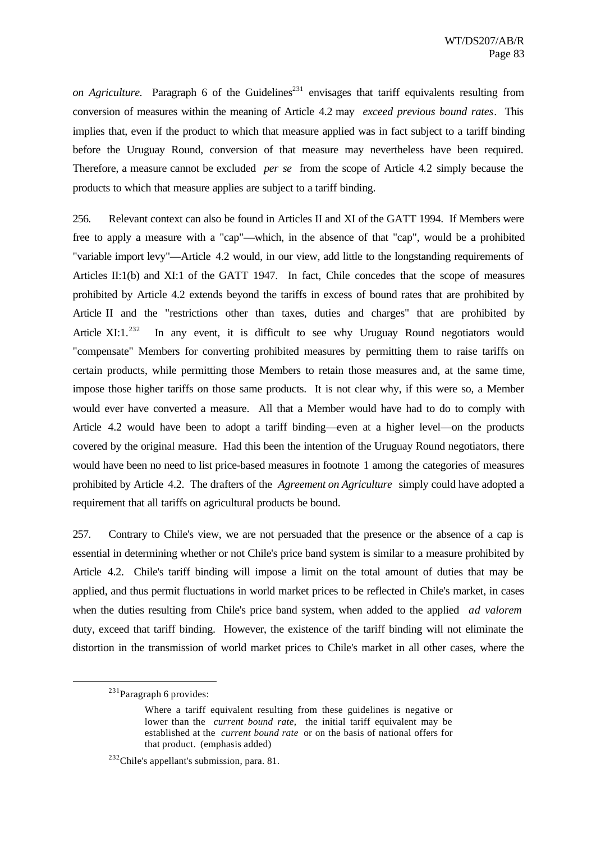*on Agriculture.* Paragraph 6 of the Guidelines<sup>231</sup> envisages that tariff equivalents resulting from conversion of measures within the meaning of Article 4.2 may *exceed previous bound rates*. This implies that, even if the product to which that measure applied was in fact subject to a tariff binding before the Uruguay Round, conversion of that measure may nevertheless have been required. Therefore, a measure cannot be excluded *per se* from the scope of Article 4.2 simply because the products to which that measure applies are subject to a tariff binding.

256. Relevant context can also be found in Articles II and XI of the GATT 1994. If Members were free to apply a measure with a "cap"—which, in the absence of that "cap", would be a prohibited "variable import levy"—Article 4.2 would, in our view, add little to the longstanding requirements of Articles II:1(b) and XI:1 of the GATT 1947. In fact, Chile concedes that the scope of measures prohibited by Article 4.2 extends beyond the tariffs in excess of bound rates that are prohibited by Article II and the "restrictions other than taxes, duties and charges" that are prohibited by Article  $XI:1.^{232}$  In any event, it is difficult to see why Uruguay Round negotiators would "compensate" Members for converting prohibited measures by permitting them to raise tariffs on certain products, while permitting those Members to retain those measures and, at the same time, impose those higher tariffs on those same products. It is not clear why, if this were so, a Member would ever have converted a measure. All that a Member would have had to do to comply with Article 4.2 would have been to adopt a tariff binding—even at a higher level—on the products covered by the original measure. Had this been the intention of the Uruguay Round negotiators, there would have been no need to list price-based measures in footnote 1 among the categories of measures prohibited by Article 4.2. The drafters of the *Agreement on Agriculture* simply could have adopted a requirement that all tariffs on agricultural products be bound.

257. Contrary to Chile's view, we are not persuaded that the presence or the absence of a cap is essential in determining whether or not Chile's price band system is similar to a measure prohibited by Article 4.2. Chile's tariff binding will impose a limit on the total amount of duties that may be applied, and thus permit fluctuations in world market prices to be reflected in Chile's market, in cases when the duties resulting from Chile's price band system, when added to the applied *ad valorem* duty, exceed that tariff binding. However, the existence of the tariff binding will not eliminate the distortion in the transmission of world market prices to Chile's market in all other cases, where the

<sup>231</sup>Paragraph 6 provides:

Where a tariff equivalent resulting from these guidelines is negative or lower than the *current bound rate*, the initial tariff equivalent may be established at the *current bound rate* or on the basis of national offers for that product. (emphasis added)

 $^{232}$ Chile's appellant's submission, para. 81.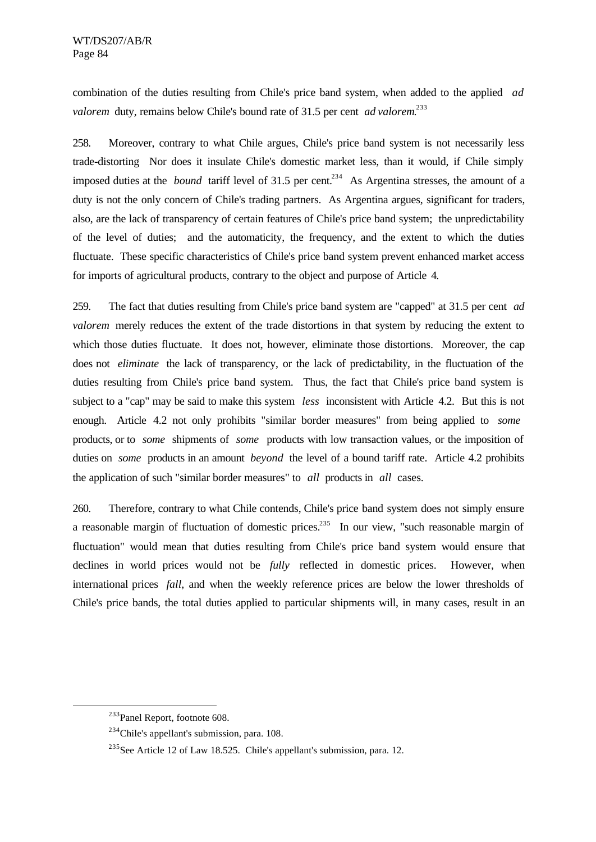combination of the duties resulting from Chile's price band system, when added to the applied *ad valorem* duty, remains below Chile's bound rate of 31.5 per cent *ad valorem*. 233

258. Moreover, contrary to what Chile argues, Chile's price band system is not necessarily less trade-distorting Nor does it insulate Chile's domestic market less, than it would, if Chile simply imposed duties at the *bound* tariff level of 31.5 per cent.<sup>234</sup> As Argentina stresses, the amount of a duty is not the only concern of Chile's trading partners. As Argentina argues, significant for traders, also, are the lack of transparency of certain features of Chile's price band system; the unpredictability of the level of duties; and the automaticity, the frequency, and the extent to which the duties fluctuate. These specific characteristics of Chile's price band system prevent enhanced market access for imports of agricultural products, contrary to the object and purpose of Article 4.

259. The fact that duties resulting from Chile's price band system are "capped" at 31.5 per cent *ad valorem* merely reduces the extent of the trade distortions in that system by reducing the extent to which those duties fluctuate. It does not, however, eliminate those distortions. Moreover, the cap does not *eliminate* the lack of transparency, or the lack of predictability, in the fluctuation of the duties resulting from Chile's price band system. Thus, the fact that Chile's price band system is subject to a "cap" may be said to make this system *less* inconsistent with Article 4.2. But this is not enough. Article 4.2 not only prohibits "similar border measures" from being applied to *some* products, or to *some* shipments of *some* products with low transaction values, or the imposition of duties on *some* products in an amount *beyond* the level of a bound tariff rate. Article 4.2 prohibits the application of such "similar border measures" to *all* products in *all* cases.

260. Therefore, contrary to what Chile contends, Chile's price band system does not simply ensure a reasonable margin of fluctuation of domestic prices.<sup>235</sup> In our view, "such reasonable margin of fluctuation" would mean that duties resulting from Chile's price band system would ensure that declines in world prices would not be *fully* reflected in domestic prices. However, when international prices *fall*, and when the weekly reference prices are below the lower thresholds of Chile's price bands, the total duties applied to particular shipments will, in many cases, result in an

<sup>233</sup>Panel Report, footnote 608.

 $^{234}$ Chile's appellant's submission, para. 108.

<sup>&</sup>lt;sup>235</sup>See Article 12 of Law 18.525. Chile's appellant's submission, para. 12.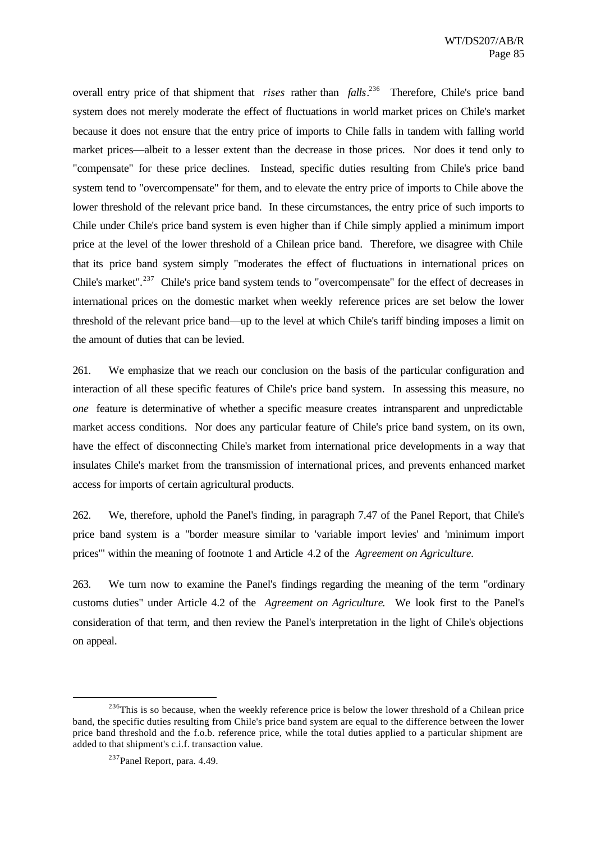overall entry price of that shipment that *rises* rather than *falls*.<sup>236</sup> Therefore, Chile's price band system does not merely moderate the effect of fluctuations in world market prices on Chile's market because it does not ensure that the entry price of imports to Chile falls in tandem with falling world market prices—albeit to a lesser extent than the decrease in those prices. Nor does it tend only to "compensate" for these price declines. Instead, specific duties resulting from Chile's price band system tend to "overcompensate" for them, and to elevate the entry price of imports to Chile above the lower threshold of the relevant price band. In these circumstances, the entry price of such imports to Chile under Chile's price band system is even higher than if Chile simply applied a minimum import price at the level of the lower threshold of a Chilean price band. Therefore, we disagree with Chile that its price band system simply "moderates the effect of fluctuations in international prices on Chile's market".<sup>237</sup> Chile's price band system tends to "overcompensate" for the effect of decreases in international prices on the domestic market when weekly reference prices are set below the lower threshold of the relevant price band—up to the level at which Chile's tariff binding imposes a limit on the amount of duties that can be levied.

261. We emphasize that we reach our conclusion on the basis of the particular configuration and interaction of all these specific features of Chile's price band system. In assessing this measure, no *one* feature is determinative of whether a specific measure creates intransparent and unpredictable market access conditions. Nor does any particular feature of Chile's price band system, on its own, have the effect of disconnecting Chile's market from international price developments in a way that insulates Chile's market from the transmission of international prices, and prevents enhanced market access for imports of certain agricultural products.

262. We, therefore, uphold the Panel's finding, in paragraph 7.47 of the Panel Report, that Chile's price band system is a "border measure similar to 'variable import levies' and 'minimum import prices'" within the meaning of footnote 1 and Article 4.2 of the *Agreement on Agriculture.*

263. We turn now to examine the Panel's findings regarding the meaning of the term "ordinary customs duties" under Article 4.2 of the *Agreement on Agriculture*. We look first to the Panel's consideration of that term, and then review the Panel's interpretation in the light of Chile's objections on appeal.

<sup>&</sup>lt;sup>236</sup>This is so because, when the weekly reference price is below the lower threshold of a Chilean price band, the specific duties resulting from Chile's price band system are equal to the difference between the lower price band threshold and the f.o.b. reference price, while the total duties applied to a particular shipment are added to that shipment's c.i.f. transaction value.

<sup>237</sup>Panel Report, para. 4.49.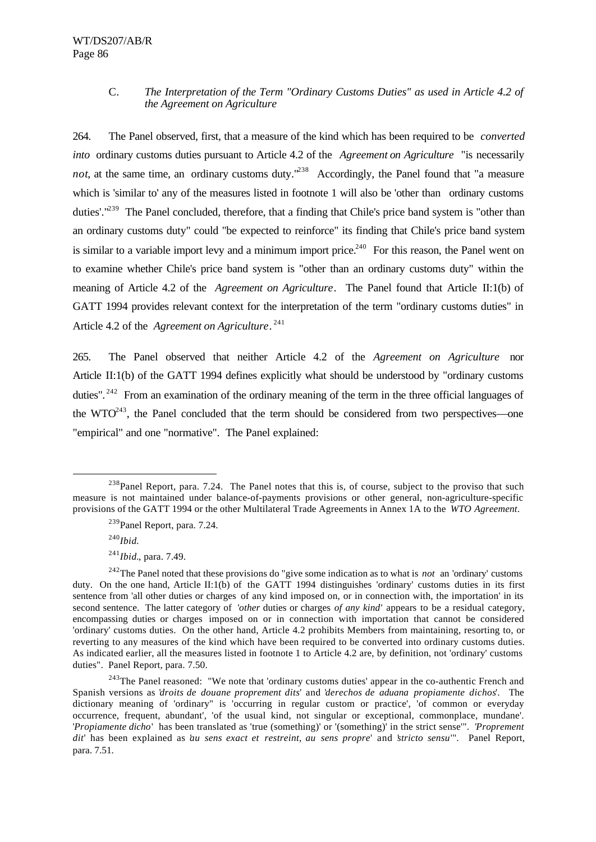## C. *The Interpretation of the Term "Ordinary Customs Duties" as used in Article 4.2 of the Agreement on Agriculture*

264. The Panel observed, first, that a measure of the kind which has been required to be *converted into* ordinary customs duties pursuant to Article 4.2 of the *Agreement on Agriculture* "is necessarily *not*, at the same time, an ordinary customs duty."<sup>238</sup> Accordingly, the Panel found that "a measure which is 'similar to' any of the measures listed in footnote 1 will also be 'other than ordinary customs duties'."<sup>239</sup> The Panel concluded, therefore, that a finding that Chile's price band system is "other than an ordinary customs duty" could "be expected to reinforce" its finding that Chile's price band system is similar to a variable import levy and a minimum import price.<sup>240</sup> For this reason, the Panel went on to examine whether Chile's price band system is "other than an ordinary customs duty" within the meaning of Article 4.2 of the *Agreement on Agriculture*. The Panel found that Article II:1(b) of GATT 1994 provides relevant context for the interpretation of the term "ordinary customs duties" in Article 4.2 of the *Agreement on Agriculture*. 241

265. The Panel observed that neither Article 4.2 of the *Agreement on Agriculture* nor Article II:1(b) of the GATT 1994 defines explicitly what should be understood by "ordinary customs duties".<sup>242</sup> From an examination of the ordinary meaning of the term in the three official languages of the WTO $^{243}$ , the Panel concluded that the term should be considered from two perspectives—one "empirical" and one "normative". The Panel explained:

 $^{238}$ Panel Report, para. 7.24. The Panel notes that this is, of course, subject to the proviso that such measure is not maintained under balance-of-payments provisions or other general, non-agriculture-specific provisions of the GATT 1994 or the other Multilateral Trade Agreements in Annex 1A to the *WTO Agreement*.

<sup>239</sup>Panel Report, para. 7.24.

<sup>240</sup>*Ibid.*

<sup>241</sup>*Ibid.*, para. 7.49.

<sup>242</sup>The Panel noted that these provisions do "give some indication as to what is *not* an 'ordinary' customs duty. On the one hand, Article II:1(b) of the GATT 1994 distinguishes 'ordinary' customs duties in its first sentence from 'all other duties or charges of any kind imposed on, or in connection with, the importation' in its second sentence. The latter category of '*other* duties or charges *of any kind*' appears to be a residual category, encompassing duties or charges imposed on or in connection with importation that cannot be considered 'ordinary' customs duties. On the other hand, Article 4.2 prohibits Members from maintaining, resorting to, or reverting to any measures of the kind which have been required to be converted into ordinary customs duties. As indicated earlier, all the measures listed in footnote 1 to Article 4.2 are, by definition, not 'ordinary' customs duties". Panel Report, para. 7.50.

<sup>&</sup>lt;sup>243</sup>The Panel reasoned: "We note that 'ordinary customs duties' appear in the co-authentic French and Spanish versions as '*droits de douane proprement dits*' and '*derechos de aduana propiamente dichos*'. The dictionary meaning of 'ordinary" is 'occurring in regular custom or practice', 'of common or everyday occurrence, frequent, abundant', 'of the usual kind, not singular or exceptional, commonplace, mundane'. '*Propiamente dicho*' has been translated as 'true (something)' or '(something)' in the strict sense'". '*Proprement dit*' has been explained as '*au sens exact et restreint, au sens propre*' and '*stricto sensu*'". Panel Report, para. 7.51.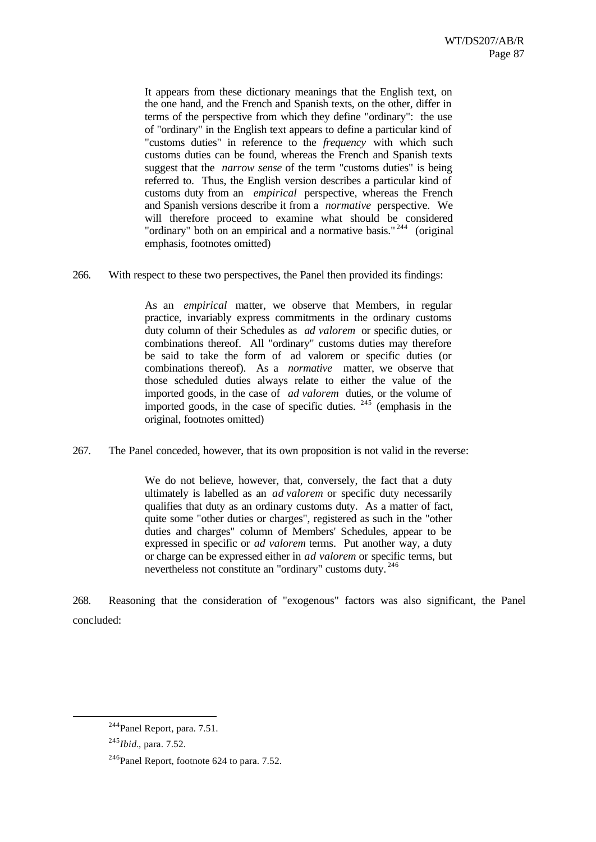It appears from these dictionary meanings that the English text, on the one hand, and the French and Spanish texts, on the other, differ in terms of the perspective from which they define "ordinary": the use of "ordinary" in the English text appears to define a particular kind of "customs duties" in reference to the *frequency* with which such customs duties can be found, whereas the French and Spanish texts suggest that the *narrow sense* of the term "customs duties" is being referred to. Thus, the English version describes a particular kind of customs duty from an *empirical* perspective, whereas the French and Spanish versions describe it from a *normative* perspective. We will therefore proceed to examine what should be considered "ordinary" both on an empirical and a normative basis."<sup>244</sup> (original emphasis, footnotes omitted)

266. With respect to these two perspectives, the Panel then provided its findings:

As an *empirical* matter, we observe that Members, in regular practice, invariably express commitments in the ordinary customs duty column of their Schedules as *ad valorem* or specific duties, or combinations thereof. All "ordinary" customs duties may therefore be said to take the form of ad valorem or specific duties (or combinations thereof). As a *normative* matter, we observe that those scheduled duties always relate to either the value of the imported goods, in the case of *ad valorem* duties, or the volume of imported goods, in the case of specific duties.  $245$  (emphasis in the original, footnotes omitted)

267. The Panel conceded, however, that its own proposition is not valid in the reverse:

We do not believe, however, that, conversely, the fact that a duty ultimately is labelled as an *ad valorem* or specific duty necessarily qualifies that duty as an ordinary customs duty. As a matter of fact, quite some "other duties or charges", registered as such in the "other duties and charges" column of Members' Schedules, appear to be expressed in specific or *ad valorem* terms. Put another way, a duty or charge can be expressed either in *ad valorem* or specific terms, but nevertheless not constitute an "ordinary" customs duty.<sup>246</sup>

268. Reasoning that the consideration of "exogenous" factors was also significant, the Panel concluded:

<sup>&</sup>lt;sup>244</sup>Panel Report, para. 7.51.

<sup>245</sup>*Ibid.*, para. 7.52.

<sup>&</sup>lt;sup>246</sup>Panel Report, footnote 624 to para. 7.52.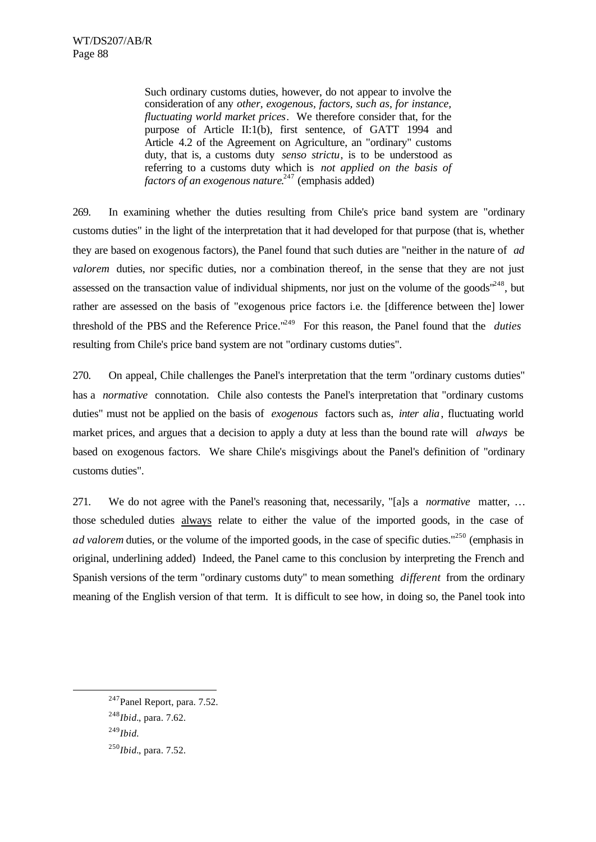Such ordinary customs duties, however, do not appear to involve the consideration of any *other, exogenous, factors, such as, for instance, fluctuating world market prices*. We therefore consider that, for the purpose of Article II:1(b), first sentence, of GATT 1994 and Article 4.2 of the Agreement on Agriculture, an "ordinary" customs duty, that is, a customs duty *senso strictu*, is to be understood as referring to a customs duty which is *not applied on the basis of factors of an exogenous nature*. <sup>247</sup> (emphasis added)

269. In examining whether the duties resulting from Chile's price band system are "ordinary customs duties" in the light of the interpretation that it had developed for that purpose (that is, whether they are based on exogenous factors), the Panel found that such duties are "neither in the nature of *ad valorem* duties, nor specific duties, nor a combination thereof, in the sense that they are not just assessed on the transaction value of individual shipments, nor just on the volume of the goods<sup>1248</sup>, but rather are assessed on the basis of "exogenous price factors i.e. the [difference between the] lower threshold of the PBS and the Reference Price."<sup>249</sup> For this reason, the Panel found that the *duties* resulting from Chile's price band system are not "ordinary customs duties".

270. On appeal, Chile challenges the Panel's interpretation that the term "ordinary customs duties" has a *normative* connotation. Chile also contests the Panel's interpretation that "ordinary customs duties" must not be applied on the basis of *exogenous* factors such as, *inter alia*, fluctuating world market prices, and argues that a decision to apply a duty at less than the bound rate will *always* be based on exogenous factors. We share Chile's misgivings about the Panel's definition of "ordinary customs duties".

271. We do not agree with the Panel's reasoning that, necessarily, "[a]s a *normative* matter, … those scheduled duties always relate to either the value of the imported goods, in the case of *ad valorem* duties, or the volume of the imported goods, in the case of specific duties."<sup>250</sup> (emphasis in original, underlining added) Indeed, the Panel came to this conclusion by interpreting the French and Spanish versions of the term "ordinary customs duty" to mean something *different* from the ordinary meaning of the English version of that term. It is difficult to see how, in doing so, the Panel took into

<sup>&</sup>lt;sup>247</sup>Panel Report, para. 7.52.

<sup>248</sup>*Ibid.*, para. 7.62.

<sup>249</sup>*Ibid.*

<sup>250</sup>*Ibid.*, para. 7.52.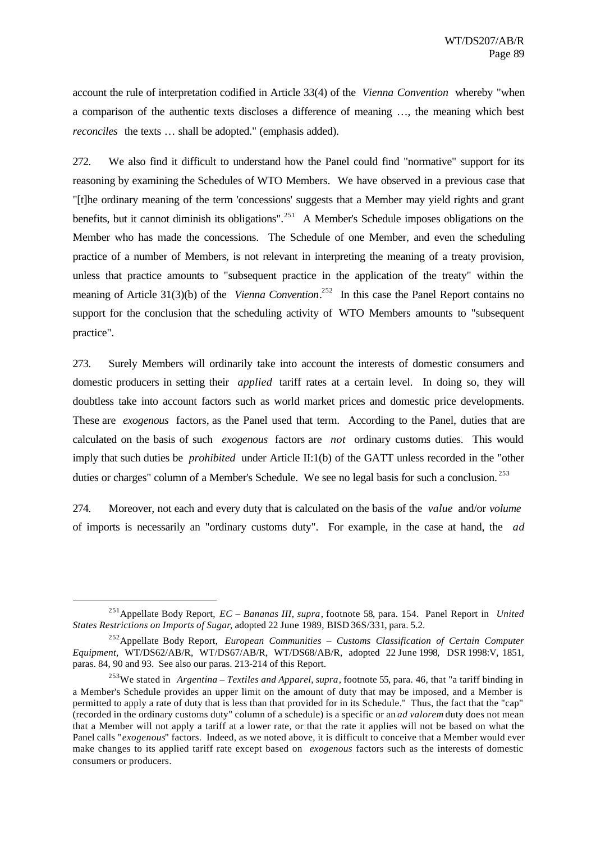account the rule of interpretation codified in Article 33(4) of the *Vienna Convention* whereby "when a comparison of the authentic texts discloses a difference of meaning …, the meaning which best *reconciles* the texts … shall be adopted." (emphasis added).

272. We also find it difficult to understand how the Panel could find "normative" support for its reasoning by examining the Schedules of WTO Members. We have observed in a previous case that "[t]he ordinary meaning of the term 'concessions' suggests that a Member may yield rights and grant benefits, but it cannot diminish its obligations".<sup>251</sup> A Member's Schedule imposes obligations on the Member who has made the concessions. The Schedule of one Member, and even the scheduling practice of a number of Members, is not relevant in interpreting the meaning of a treaty provision, unless that practice amounts to "subsequent practice in the application of the treaty" within the meaning of Article 31(3)(b) of the *Vienna Convention*.<sup>252</sup> In this case the Panel Report contains no support for the conclusion that the scheduling activity of WTO Members amounts to "subsequent" practice".

273. Surely Members will ordinarily take into account the interests of domestic consumers and domestic producers in setting their *applied* tariff rates at a certain level. In doing so, they will doubtless take into account factors such as world market prices and domestic price developments. These are *exogenous* factors, as the Panel used that term. According to the Panel, duties that are calculated on the basis of such *exogenous* factors are *not* ordinary customs duties. This would imply that such duties be *prohibited* under Article II:1(b) of the GATT unless recorded in the "other duties or charges" column of a Member's Schedule. We see no legal basis for such a conclusion.<sup>253</sup>

274. Moreover, not each and every duty that is calculated on the basis of the *value* and/or *volume* of imports is necessarily an "ordinary customs duty". For example, in the case at hand, the *ad*

<sup>251</sup>Appellate Body Report, *EC – Bananas III, supra*, footnote 58, para. 154. Panel Report in *United States Restrictions on Imports of Sugar*, adopted 22 June 1989, BISD 36S/331, para. 5.2.

<sup>252</sup>Appellate Body Report, *European Communities – Customs Classification of Certain Computer Equipment*, WT/DS62/AB/R, WT/DS67/AB/R, WT/DS68/AB/R, adopted 22 June 1998, DSR 1998:V, 1851, paras. 84, 90 and 93. See also our paras. 213-214 of this Report.

<sup>253</sup>We stated in *Argentina – Textiles and Apparel*, *supra*, footnote 55, para. 46, that "a tariff binding in a Member's Schedule provides an upper limit on the amount of duty that may be imposed, and a Member is permitted to apply a rate of duty that is less than that provided for in its Schedule." Thus, the fact that the "cap" (recorded in the ordinary customs duty" column of a schedule) is a specific or an *ad valorem* duty does not mean that a Member will not apply a tariff at a lower rate, or that the rate it applies will not be based on what the Panel calls "*exogenous*" factors. Indeed, as we noted above, it is difficult to conceive that a Member would ever make changes to its applied tariff rate except based on *exogenous* factors such as the interests of domestic consumers or producers.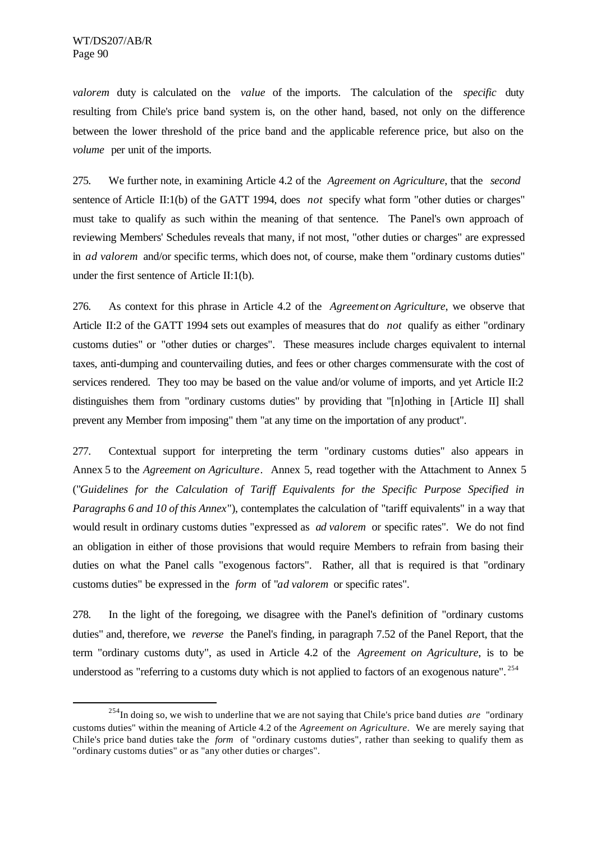l

*valorem* duty is calculated on the *value* of the imports. The calculation of the *specific* duty resulting from Chile's price band system is, on the other hand, based, not only on the difference between the lower threshold of the price band and the applicable reference price, but also on the *volume* per unit of the imports.

275. We further note, in examining Article 4.2 of the *Agreement on Agriculture*, that the *second* sentence of Article II:1(b) of the GATT 1994, does *not* specify what form "other duties or charges" must take to qualify as such within the meaning of that sentence. The Panel's own approach of reviewing Members' Schedules reveals that many, if not most, "other duties or charges" are expressed in *ad valorem* and/or specific terms, which does not, of course, make them "ordinary customs duties" under the first sentence of Article II:1(b).

276. As context for this phrase in Article 4.2 of the *Agreement on Agriculture*, we observe that Article II:2 of the GATT 1994 sets out examples of measures that do *not* qualify as either "ordinary customs duties" or "other duties or charges". These measures include charges equivalent to internal taxes, anti-dumping and countervailing duties, and fees or other charges commensurate with the cost of services rendered. They too may be based on the value and/or volume of imports, and yet Article II:2 distinguishes them from "ordinary customs duties" by providing that "[n]othing in [Article II] shall prevent any Member from imposing" them "at any time on the importation of any product".

277. Contextual support for interpreting the term "ordinary customs duties" also appears in Annex 5 to the *Agreement on Agriculture*. Annex 5, read together with the Attachment to Annex 5 ("*Guidelines for the Calculation of Tariff Equivalents for the Specific Purpose Specified in Paragraphs 6 and 10 of this Annex*"), contemplates the calculation of "tariff equivalents" in a way that would result in ordinary customs duties "expressed as *ad valorem* or specific rates". We do not find an obligation in either of those provisions that would require Members to refrain from basing their duties on what the Panel calls "exogenous factors". Rather, all that is required is that "ordinary customs duties" be expressed in the *form* of "*ad valorem* or specific rates".

278. In the light of the foregoing, we disagree with the Panel's definition of "ordinary customs duties" and, therefore, we *reverse* the Panel's finding, in paragraph 7.52 of the Panel Report, that the term "ordinary customs duty", as used in Article 4.2 of the *Agreement on Agriculture*, is to be understood as "referring to a customs duty which is not applied to factors of an exogenous nature". <sup>254</sup>

<sup>254</sup>In doing so, we wish to underline that we are not saying that Chile's price band duties *are* "ordinary customs duties" within the meaning of Article 4.2 of the *Agreement on Agriculture*. We are merely saying that Chile's price band duties take the *form* of "ordinary customs duties", rather than seeking to qualify them as "ordinary customs duties" or as "any other duties or charges".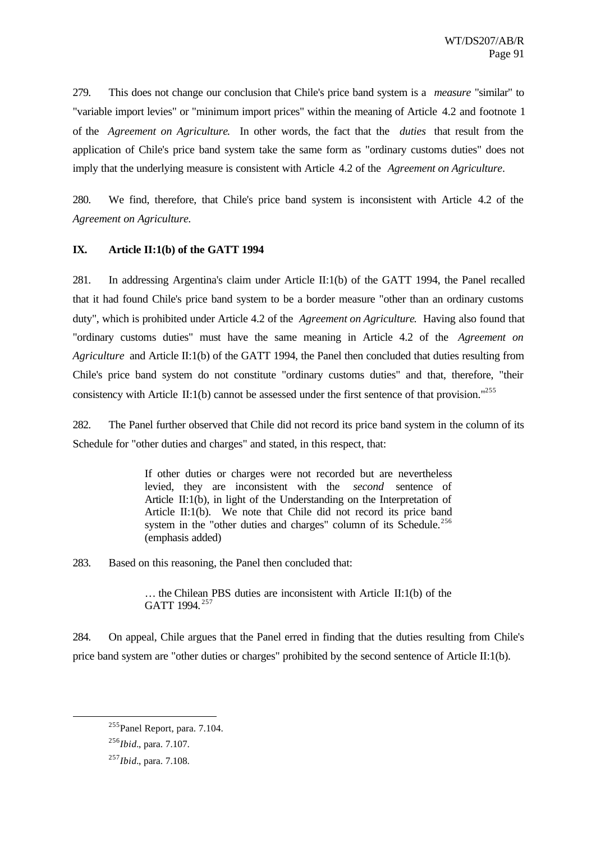279. This does not change our conclusion that Chile's price band system is a *measure* "similar" to "variable import levies" or "minimum import prices" within the meaning of Article 4.2 and footnote 1 of the *Agreement on Agriculture*. In other words, the fact that the *duties* that result from the application of Chile's price band system take the same form as "ordinary customs duties" does not imply that the underlying measure is consistent with Article 4.2 of the *Agreement on Agriculture*.

280. We find, therefore, that Chile's price band system is inconsistent with Article 4.2 of the *Agreement on Agriculture.*

## **IX. Article II:1(b) of the GATT 1994**

281. In addressing Argentina's claim under Article II:1(b) of the GATT 1994, the Panel recalled that it had found Chile's price band system to be a border measure "other than an ordinary customs duty", which is prohibited under Article 4.2 of the *Agreement on Agriculture*. Having also found that "ordinary customs duties" must have the same meaning in Article 4.2 of the *Agreement on Agriculture* and Article II:1(b) of the GATT 1994, the Panel then concluded that duties resulting from Chile's price band system do not constitute "ordinary customs duties" and that, therefore, "their consistency with Article II:1(b) cannot be assessed under the first sentence of that provision."<sup>255</sup>

282. The Panel further observed that Chile did not record its price band system in the column of its Schedule for "other duties and charges" and stated, in this respect, that:

> If other duties or charges were not recorded but are nevertheless levied, they are inconsistent with the *second* sentence of Article II:1(b), in light of the Understanding on the Interpretation of Article II:1(b). We note that Chile did not record its price band system in the "other duties and charges" column of its Schedule.<sup>256</sup> (emphasis added)

283. Based on this reasoning, the Panel then concluded that:

… the Chilean PBS duties are inconsistent with Article II:1(b) of the GATT 1994.<sup>257</sup>

284. On appeal, Chile argues that the Panel erred in finding that the duties resulting from Chile's price band system are "other duties or charges" prohibited by the second sentence of Article II:1(b).

<sup>255</sup>Panel Report, para. 7.104.

<sup>256</sup>*Ibid.*, para. 7.107.

<sup>257</sup>*Ibid.*, para. 7.108.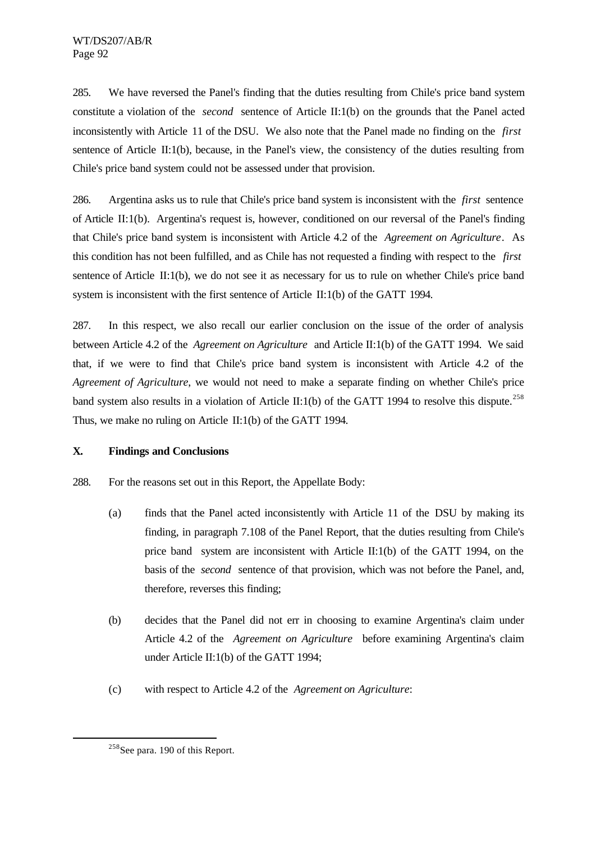285. We have reversed the Panel's finding that the duties resulting from Chile's price band system constitute a violation of the *second* sentence of Article II:1(b) on the grounds that the Panel acted inconsistently with Article 11 of the DSU. We also note that the Panel made no finding on the *first* sentence of Article II:1(b), because, in the Panel's view, the consistency of the duties resulting from Chile's price band system could not be assessed under that provision.

286. Argentina asks us to rule that Chile's price band system is inconsistent with the *first* sentence of Article II:1(b). Argentina's request is, however, conditioned on our reversal of the Panel's finding that Chile's price band system is inconsistent with Article 4.2 of the *Agreement on Agriculture*. As this condition has not been fulfilled, and as Chile has not requested a finding with respect to the *first* sentence of Article II:1(b), we do not see it as necessary for us to rule on whether Chile's price band system is inconsistent with the first sentence of Article II:1(b) of the GATT 1994.

287. In this respect, we also recall our earlier conclusion on the issue of the order of analysis between Article 4.2 of the *Agreement on Agriculture* and Article II:1(b) of the GATT 1994. We said that, if we were to find that Chile's price band system is inconsistent with Article 4.2 of the *Agreement of Agriculture*, we would not need to make a separate finding on whether Chile's price band system also results in a violation of Article II:1(b) of the GATT 1994 to resolve this dispute.<sup>258</sup> Thus, we make no ruling on Article II:1(b) of the GATT 1994.

# **X. Findings and Conclusions**

288. For the reasons set out in this Report, the Appellate Body:

- (a) finds that the Panel acted inconsistently with Article 11 of the DSU by making its finding, in paragraph 7.108 of the Panel Report, that the duties resulting from Chile's price band system are inconsistent with Article II:1(b) of the GATT 1994, on the basis of the *second* sentence of that provision, which was not before the Panel, and, therefore, reverses this finding;
- (b) decides that the Panel did not err in choosing to examine Argentina's claim under Article 4.2 of the *Agreement on Agriculture* before examining Argentina's claim under Article II:1(b) of the GATT 1994;
- (c) with respect to Article 4.2 of the *Agreement on Agriculture*:

<sup>&</sup>lt;sup>258</sup>See para. 190 of this Report.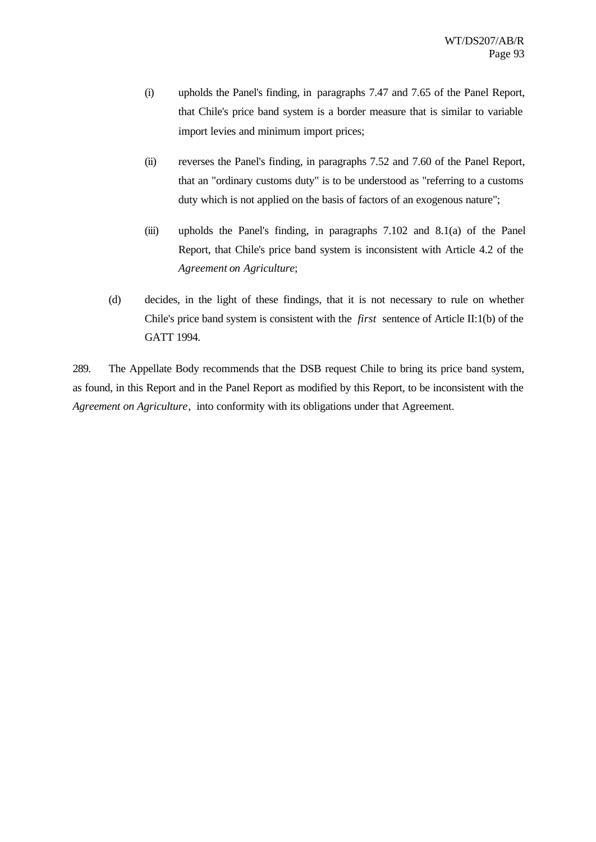- (i) upholds the Panel's finding, in paragraphs 7.47 and 7.65 of the Panel Report, that Chile's price band system is a border measure that is similar to variable import levies and minimum import prices;
- (ii) reverses the Panel's finding, in paragraphs 7.52 and 7.60 of the Panel Report, that an "ordinary customs duty" is to be understood as "referring to a customs duty which is not applied on the basis of factors of an exogenous nature";
- (iii) upholds the Panel's finding, in paragraphs 7.102 and 8.1(a) of the Panel Report, that Chile's price band system is inconsistent with Article 4.2 of the *Agreement on Agriculture*;
- (d) decides, in the light of these findings, that it is not necessary to rule on whether Chile's price band system is consistent with the *first* sentence of Article II:1(b) of the GATT 1994.

289. The Appellate Body recommends that the DSB request Chile to bring its price band system, as found, in this Report and in the Panel Report as modified by this Report, to be inconsistent with the *Agreement on Agriculture*, into conformity with its obligations under that Agreement.